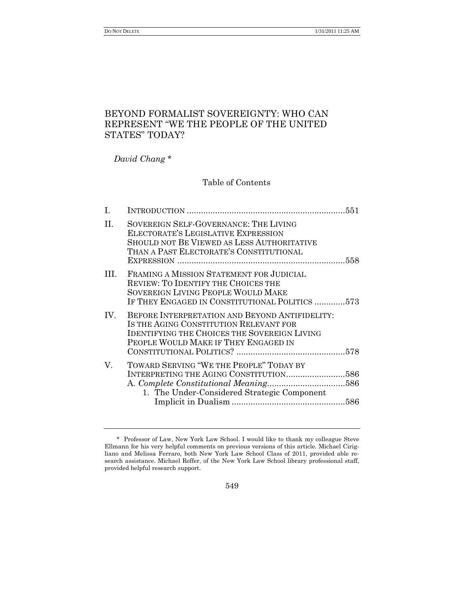DO NOT DELETE 1/31/2011 11:25 AM

# BEYOND FORMALIST SOVEREIGNTY: WHO CAN REPRESENT "WE THE PEOPLE OF THE UNITED STATES" TODAY?

*David Chang* \*

# Table of Contents

| L       |                                                                                                                                                                                         |  |
|---------|-----------------------------------------------------------------------------------------------------------------------------------------------------------------------------------------|--|
| П.      | SOVEREIGN SELF-GOVERNANCE: THE LIVING<br>ELECTORATE'S LEGISLATIVE EXPRESSION<br>SHOULD NOT BE VIEWED AS LESS AUTHORITATIVE<br>THAN A PAST ELECTORATE'S CONSTITUTIONAL                   |  |
| $\Pi L$ | FRAMING A MISSION STATEMENT FOR JUDICIAL<br>REVIEW: TO IDENTIFY THE CHOICES THE<br>SOVEREIGN LIVING PEOPLE WOULD MAKE<br>IF THEY ENGAGED IN CONSTITUTIONAL POLITICS 573                 |  |
| IV.     | BEFORE INTERPRETATION AND BEYOND ANTIFIDELITY:<br>IS THE AGING CONSTITUTION RELEVANT FOR<br><b>IDENTIFYING THE CHOICES THE SOVEREIGN LIVING</b><br>PEOPLE WOULD MAKE IF THEY ENGAGED IN |  |
| V.      | TOWARD SERVING "WE THE PEOPLE" TODAY BY<br>INTERPRETING THE AGING CONSTITUTION586<br>1. The Under-Considered Strategic Component                                                        |  |
|         |                                                                                                                                                                                         |  |

<sup>\*</sup> Professor of Law, New York Law School. I would like to thank my colleague Steve Ellmann for his very helpful comments on previous versions of this article. Michael Cirigliano and Melissa Ferraro, both New York Law School Class of 2011, provided able research assistance. Michael Roffer, of the New York Law School library professional staff, provided helpful research support.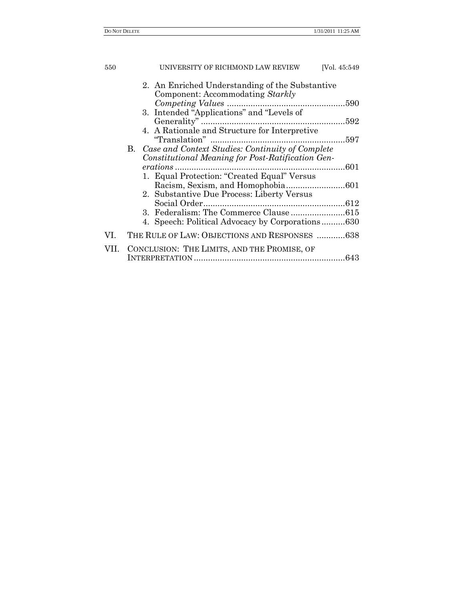| 550  | UNIVERSITY OF RICHMOND LAW REVIEW                                                   | [Vol. 45:549] |
|------|-------------------------------------------------------------------------------------|---------------|
|      | 2. An Enriched Understanding of the Substantive<br>Component: Accommodating Starkly |               |
|      |                                                                                     |               |
|      | 3. Intended "Applications" and "Levels of                                           |               |
|      | 4. A Rationale and Structure for Interpretive                                       |               |
|      |                                                                                     |               |
|      | B. Case and Context Studies: Continuity of Complete                                 |               |
|      | Constitutional Meaning for Post-Ratification Gen-                                   |               |
|      | 601                                                                                 |               |
|      | 1. Equal Protection: "Created Equal" Versus                                         |               |
|      |                                                                                     |               |
|      | 2. Substantive Due Process: Liberty Versus                                          |               |
|      |                                                                                     |               |
|      |                                                                                     |               |
|      | 4. Speech: Political Advocacy by Corporations630                                    |               |
| VI.  | THE RULE OF LAW: OBJECTIONS AND RESPONSES  638                                      |               |
| VII. | CONCLUSION: THE LIMITS, AND THE PROMISE, OF                                         |               |
|      |                                                                                     |               |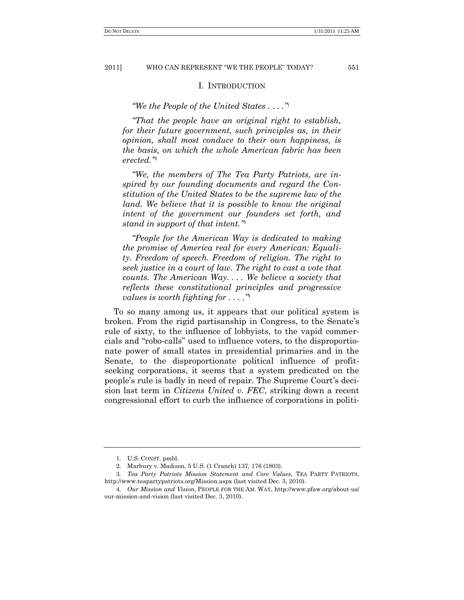#### I. INTRODUCTION

*―We the People of the United States . . . .‖* 1

*―That the people have an original right to establish, for their future government, such principles as, in their opinion, shall most conduce to their own happiness, is the basis, on which the whole American fabric has been erected.‖* 2

*―We, the members of The Tea Party Patriots, are inspired by our founding documents and regard the Constitution of the United States to be the supreme law of the land.* We believe that it is possible to know the original *intent of the government our founders set forth, and stand in support of that intent.‖* 3

*―People for the American Way is dedicated to making the promise of America real for every American: Equality. Freedom of speech. Freedom of religion. The right to seek justice in a court of law. The right to cast a vote that counts. The American Way. . . . We believe a society that reflects these constitutional principles and progressive values is worth fighting for . . . .‖*<sup>4</sup>

To so many among us, it appears that our political system is broken. From the rigid partisanship in Congress, to the Senate's rule of sixty, to the influence of lobbyists, to the vapid commercials and "robo-calls" used to influence voters, to the disproportionate power of small states in presidential primaries and in the Senate, to the disproportionate political influence of profitseeking corporations, it seems that a system predicated on the people's rule is badly in need of repair. The Supreme Court's decision last term in *Citizens United v. FEC*, striking down a recent congressional effort to curb the influence of corporations in politi-

<sup>1.</sup> U.S. CONST. pmbl.

<sup>2.</sup> Marbury v. Madison, 5 U.S. (1 Cranch) 137, 176 (1803).

<sup>3</sup>*. Tea Party Patriots Mission Statement and Core Values*, TEA PARTY PATRIOTS, http://www.teapartypatriots.org/Mission.aspx (last visited Dec. 3, 2010).

<sup>4</sup>*. Our Mission and Vision*, PEOPLE FOR THE AM. WAY, http://www.pfaw.org/about-us/ our-mission-and-vision (last visited Dec. 3, 2010).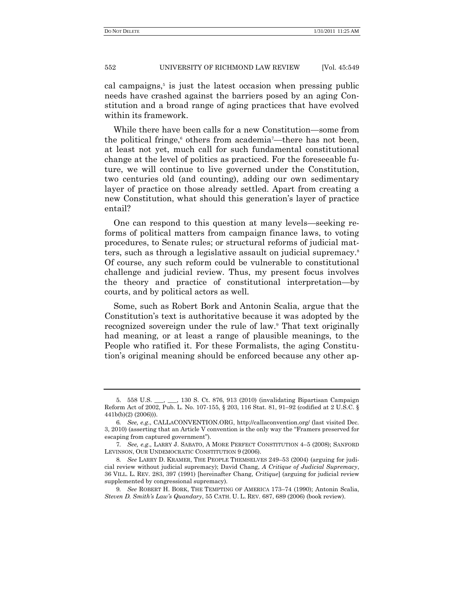cal campaigns,<sup>5</sup> is just the latest occasion when pressing public needs have crashed against the barriers posed by an aging Constitution and a broad range of aging practices that have evolved within its framework.

While there have been calls for a new Constitution—some from the political fringe,<sup>6</sup> others from academia<sup>7</sup>—there has not been, at least not yet, much call for such fundamental constitutional change at the level of politics as practiced. For the foreseeable future, we will continue to live governed under the Constitution, two centuries old (and counting), adding our own sedimentary layer of practice on those already settled. Apart from creating a new Constitution, what should this generation's layer of practice entail?

One can respond to this question at many levels—seeking reforms of political matters from campaign finance laws, to voting procedures, to Senate rules; or structural reforms of judicial matters, such as through a legislative assault on judicial supremacy.<sup>8</sup> Of course, any such reform could be vulnerable to constitutional challenge and judicial review. Thus, my present focus involves the theory and practice of constitutional interpretation—by courts, and by political actors as well.

Some, such as Robert Bork and Antonin Scalia, argue that the Constitution's text is authoritative because it was adopted by the recognized sovereign under the rule of law.<sup>9</sup> That text originally had meaning, or at least a range of plausible meanings, to the People who ratified it. For these Formalists, the aging Constitution's original meaning should be enforced because any other ap-

<sup>5.</sup> 558 U.S. \_\_\_, \_\_\_, 130 S. Ct. 876, 913 (2010) (invalidating Bipartisan Campaign Reform Act of 2002, Pub. L. No. 107-155, § 203, 116 Stat. 81, 91–92 (codified at 2 U.S.C. § 441b(b)(2) (2006))).

<sup>6</sup>*. See, e.g*., CALLACONVENTION.ORG, http://callaconvention.org/ (last visited Dec. 3, 2010) (asserting that an Article V convention is the only way the "Framers preserved for escaping from captured government".

<sup>7</sup>*. See, e.g*., LARRY J. SABATO, A MORE PERFECT CONSTITUTION 4–5 (2008); SANFORD LEVINSON, OUR UNDEMOCRATIC CONSTITUTION 9 (2006).

<sup>8</sup>*. See* LARRY D. KRAMER, THE PEOPLE THEMSELVES 249–53 (2004) (arguing for judicial review without judicial supremacy); David Chang, *A Critique of Judicial Supremacy*, 36 VILL. L. REV. 283, 397 (1991) [hereinafter Chang, *Critique*] (arguing for judicial review supplemented by congressional supremacy).

<sup>9</sup>*. See* ROBERT H. BORK, THE TEMPTING OF AMERICA 173–74 (1990); Antonin Scalia, *Steven D. Smith's Law's Quandary*, 55 CATH. U. L. REV. 687, 689 (2006) (book review).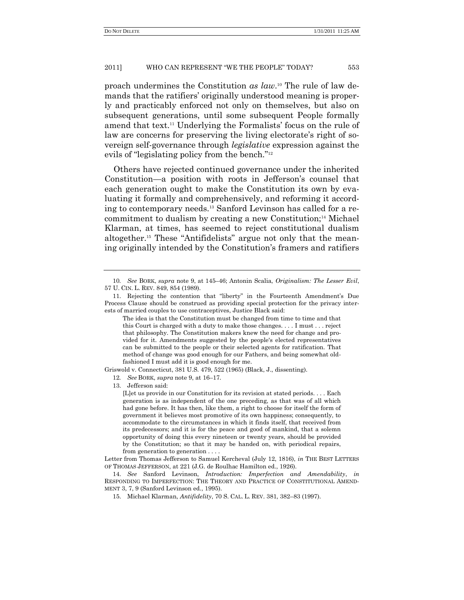proach undermines the Constitution *as law*. <sup>10</sup> The rule of law demands that the ratifiers' originally understood meaning is properly and practicably enforced not only on themselves, but also on subsequent generations, until some subsequent People formally amend that text.<sup>11</sup> Underlying the Formalists' focus on the rule of law are concerns for preserving the living electorate's right of sovereign self-governance through *legislative* expression against the evils of "legislating policy from the bench." $12$ 

Others have rejected continued governance under the inherited Constitution—a position with roots in Jefferson's counsel that each generation ought to make the Constitution its own by evaluating it formally and comprehensively, and reforming it according to contemporary needs.<sup>13</sup> Sanford Levinson has called for a recommitment to dualism by creating a new Constitution;<sup>14</sup> Michael Klarman, at times, has seemed to reject constitutional dualism altogether.<sup>15</sup> These "Antifidelists" argue not only that the meaning originally intended by the Constitution's framers and ratifiers

Griswold v. Connecticut, 381 U.S. 479, 522 (1965) (Black, J., dissenting).

12*. See* BORK, *supra* note 9, at 16–17.

13. Jefferson said:

[L]et us provide in our Constitution for its revision at stated periods. . . . Each generation is as independent of the one preceding, as that was of all which had gone before. It has then, like them, a right to choose for itself the form of government it believes most promotive of its own happiness; consequently, to accommodate to the circumstances in which it finds itself, that received from its predecessors; and it is for the peace and good of mankind, that a solemn opportunity of doing this every nineteen or twenty years, should be provided by the Constitution; so that it may be handed on, with periodical repairs, from generation to generation . . . .

Letter from Thomas Jefferson to Samuel Kercheval (July 12, 1816), *in* THE BEST LETTERS OF THOMAS JEFFERSON, at 221 (J.G. de Roulhac Hamilton ed., 1926).

14. *See* Sanford Levinson, *Introduction: Imperfection and Amendability*, *in* RESPONDING TO IMPERFECTION: THE THEORY AND PRACTICE OF CONSTITUTIONAL AMEND-MENT 3, 7, 9 (Sanford Levinson ed., 1995).

<sup>10</sup>*. See* BORK, *supra* note 9, at 145–46; Antonin Scalia, *Originalism: The Lesser Evil*, 57 U. CIN. L. REV. 849, 854 (1989).

<sup>11.</sup> Rejecting the contention that "liberty" in the Fourteenth Amendment's Due Process Clause should be construed as providing special protection for the privacy interests of married couples to use contraceptives, Justice Black said:

The idea is that the Constitution must be changed from time to time and that this Court is charged with a duty to make those changes. . . . I must . . . reject that philosophy. The Constitution makers knew the need for change and provided for it. Amendments suggested by the people's elected representatives can be submitted to the people or their selected agents for ratification. That method of change was good enough for our Fathers, and being somewhat oldfashioned I must add it is good enough for me.

<sup>15.</sup> Michael Klarman, *Antifidelity*, 70 S. CAL. L. REV. 381, 382–83 (1997).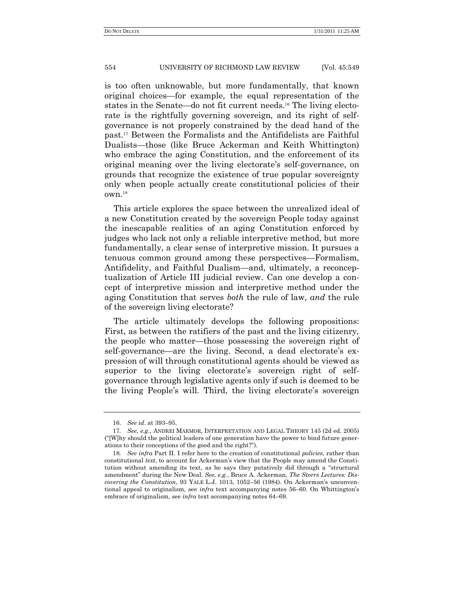is too often unknowable, but more fundamentally, that known original choices—for example, the equal representation of the states in the Senate—do not fit current needs.<sup>16</sup> The living electorate is the rightfully governing sovereign, and its right of selfgovernance is not properly constrained by the dead hand of the past.<sup>17</sup> Between the Formalists and the Antifidelists are Faithful Dualists—those (like Bruce Ackerman and Keith Whittington) who embrace the aging Constitution, and the enforcement of its original meaning over the living electorate's self-governance, on grounds that recognize the existence of true popular sovereignty only when people actually create constitutional policies of their own.<sup>18</sup>

This article explores the space between the unrealized ideal of a new Constitution created by the sovereign People today against the inescapable realities of an aging Constitution enforced by judges who lack not only a reliable interpretive method, but more fundamentally, a clear sense of interpretive mission. It pursues a tenuous common ground among these perspectives—Formalism, Antifidelity, and Faithful Dualism—and, ultimately, a reconceptualization of Article III judicial review. Can one develop a concept of interpretive mission and interpretive method under the aging Constitution that serves *both* the rule of law, *and* the rule of the sovereign living electorate?

The article ultimately develops the following propositions: First, as between the ratifiers of the past and the living citizenry, the people who matter—those possessing the sovereign right of self-governance—are the living. Second, a dead electorate's expression of will through constitutional agents should be viewed as superior to the living electorate's sovereign right of selfgovernance through legislative agents only if such is deemed to be the living People's will. Third, the living electorate's sovereign

<sup>16.</sup> *See id*. at 393–95.

<sup>17</sup>*. See, e.g*., ANDREI MARMOR, INTERPRETATION AND LEGAL THEORY 145 (2d ed. 2005) (―[W]hy should the political leaders of one generation have the power to bind future generations to their conceptions of the good and the right?").

<sup>18</sup>*. See infra* Part II. I refer here to the creation of constitutional *policies*, rather than constitutional *text*, to account for Ackerman's view that the People may amend the Constitution without amending its text, as he says they putatively did through a "structural" amendment" during the New Deal. See, e.g., Bruce A. Ackerman, *The Storrs Lectures: Discovering the Constitution*, 93 YALE L.J. 1013, 1052–56 (1984). On Ackerman's unconventional appeal to originalism, see *infra* text accompanying notes 56–60. On Whittington's embrace of originalism, see *infra* text accompanying notes 64–69.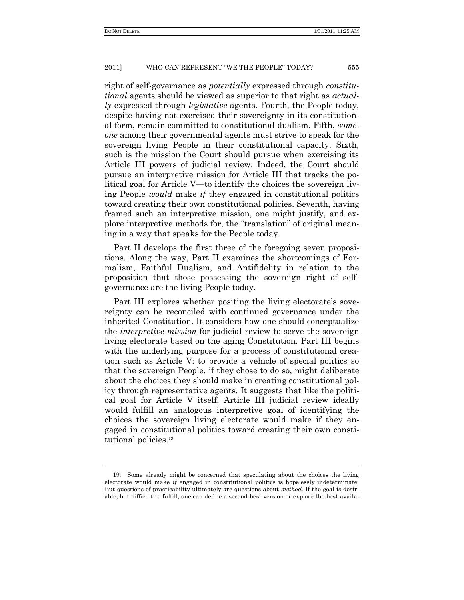right of self-governance as *potentially* expressed through *constitutional* agents should be viewed as superior to that right as *actually* expressed through *legislative* agents. Fourth, the People today, despite having not exercised their sovereignty in its constitutional form, remain committed to constitutional dualism. Fifth, *someone* among their governmental agents must strive to speak for the sovereign living People in their constitutional capacity. Sixth, such is the mission the Court should pursue when exercising its Article III powers of judicial review. Indeed, the Court should pursue an interpretive mission for Article III that tracks the political goal for Article V—to identify the choices the sovereign living People *would* make *if* they engaged in constitutional politics toward creating their own constitutional policies. Seventh, having framed such an interpretive mission, one might justify, and explore interpretive methods for, the "translation" of original meaning in a way that speaks for the People today.

Part II develops the first three of the foregoing seven propositions. Along the way, Part II examines the shortcomings of Formalism, Faithful Dualism, and Antifidelity in relation to the proposition that those possessing the sovereign right of selfgovernance are the living People today.

Part III explores whether positing the living electorate's sovereignty can be reconciled with continued governance under the inherited Constitution. It considers how one should conceptualize the *interpretive mission* for judicial review to serve the sovereign living electorate based on the aging Constitution. Part III begins with the underlying purpose for a process of constitutional creation such as Article V: to provide a vehicle of special politics so that the sovereign People, if they chose to do so, might deliberate about the choices they should make in creating constitutional policy through representative agents. It suggests that like the political goal for Article V itself, Article III judicial review ideally would fulfill an analogous interpretive goal of identifying the choices the sovereign living electorate would make if they engaged in constitutional politics toward creating their own constitutional policies.<sup>19</sup>

<sup>19.</sup> Some already might be concerned that speculating about the choices the living electorate would make *if* engaged in constitutional politics is hopelessly indeterminate. But questions of practicability ultimately are questions about *method*. If the goal is desirable, but difficult to fulfill, one can define a second-best version or explore the best availa-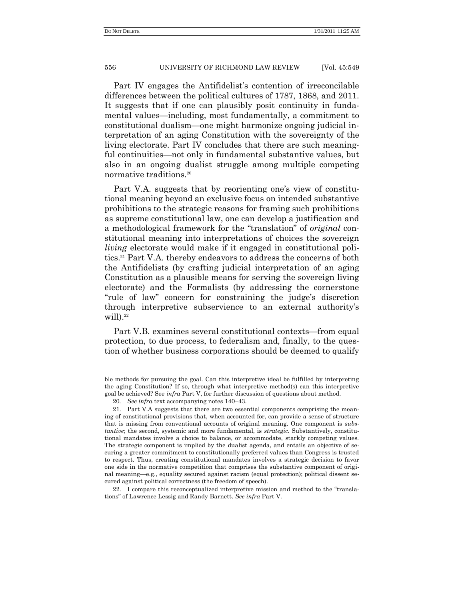Part IV engages the Antifidelist's contention of irreconcilable differences between the political cultures of 1787, 1868, and 2011. It suggests that if one can plausibly posit continuity in fundamental values—including, most fundamentally, a commitment to constitutional dualism—one might harmonize ongoing judicial interpretation of an aging Constitution with the sovereignty of the living electorate. Part IV concludes that there are such meaningful continuities—not only in fundamental substantive values, but also in an ongoing dualist struggle among multiple competing normative traditions.<sup>20</sup>

Part V.A. suggests that by reorienting one's view of constitutional meaning beyond an exclusive focus on intended substantive prohibitions to the strategic reasons for framing such prohibitions as supreme constitutional law, one can develop a justification and a methodological framework for the "translation" of *original* constitutional meaning into interpretations of choices the sovereign *living* electorate would make if it engaged in constitutional politics.<sup>21</sup> Part V.A. thereby endeavors to address the concerns of both the Antifidelists (by crafting judicial interpretation of an aging Constitution as a plausible means for serving the sovereign living electorate) and the Formalists (by addressing the cornerstone ―rule of law‖ concern for constraining the judge's discretion through interpretive subservience to an external authority's will $).$ <sup>22</sup>

Part V.B. examines several constitutional contexts—from equal protection, to due process, to federalism and, finally, to the question of whether business corporations should be deemed to qualify

ble methods for pursuing the goal. Can this interpretive ideal be fulfilled by interpreting the aging Constitution? If so, through what interpretive method(s) can this interpretive goal be achieved? See *infra* Part V, for further discussion of questions about method.

<sup>20</sup>*. See infra* text accompanying notes 140–43.

<sup>21.</sup> Part V.A suggests that there are two essential components comprising the meaning of constitutional provisions that, when accounted for, can provide a sense of structure that is missing from conventional accounts of original meaning. One component is *substantive*; the second, systemic and more fundamental, is *strategic*. Substantively, constitutional mandates involve a choice to balance, or accommodate, starkly competing values. The strategic component is implied by the dualist agenda, and entails an objective of securing a greater commitment to constitutionally preferred values than Congress is trusted to respect. Thus, creating constitutional mandates involves a strategic decision to favor one side in the normative competition that comprises the substantive component of original meaning—e.g., equality secured against racism (equal protection); political dissent secured against political correctness (the freedom of speech).

<sup>22.</sup> I compare this reconceptualized interpretive mission and method to the  $\text{``transl}_a$ tions‖ of Lawrence Lessig and Randy Barnett. *See infra* Part V.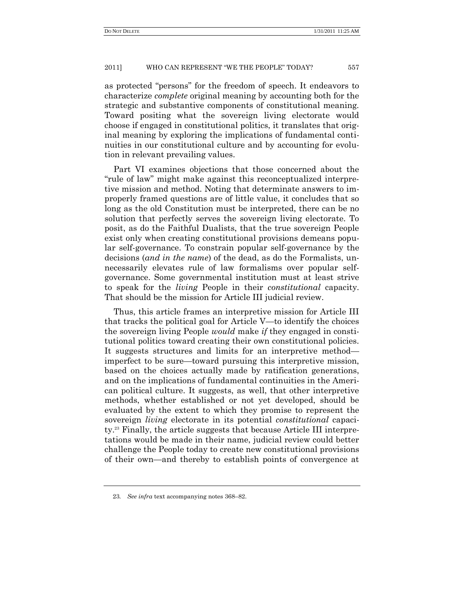as protected "persons" for the freedom of speech. It endeavors to characterize *complete* original meaning by accounting both for the strategic and substantive components of constitutional meaning. Toward positing what the sovereign living electorate would choose if engaged in constitutional politics, it translates that original meaning by exploring the implications of fundamental continuities in our constitutional culture and by accounting for evolution in relevant prevailing values.

Part VI examines objections that those concerned about the "rule of law" might make against this reconceptualized interpretive mission and method. Noting that determinate answers to improperly framed questions are of little value, it concludes that so long as the old Constitution must be interpreted, there can be no solution that perfectly serves the sovereign living electorate. To posit, as do the Faithful Dualists, that the true sovereign People exist only when creating constitutional provisions demeans popular self-governance. To constrain popular self-governance by the decisions (*and in the name*) of the dead, as do the Formalists, unnecessarily elevates rule of law formalisms over popular selfgovernance. Some governmental institution must at least strive to speak for the *living* People in their *constitutional* capacity. That should be the mission for Article III judicial review.

Thus, this article frames an interpretive mission for Article III that tracks the political goal for Article V—to identify the choices the sovereign living People *would* make *if* they engaged in constitutional politics toward creating their own constitutional policies. It suggests structures and limits for an interpretive method imperfect to be sure—toward pursuing this interpretive mission, based on the choices actually made by ratification generations, and on the implications of fundamental continuities in the American political culture. It suggests, as well, that other interpretive methods, whether established or not yet developed, should be evaluated by the extent to which they promise to represent the sovereign *living* electorate in its potential *constitutional* capacity.<sup>23</sup> Finally, the article suggests that because Article III interpretations would be made in their name, judicial review could better challenge the People today to create new constitutional provisions of their own—and thereby to establish points of convergence at

<sup>23</sup>*. See infra* text accompanying notes 368–82.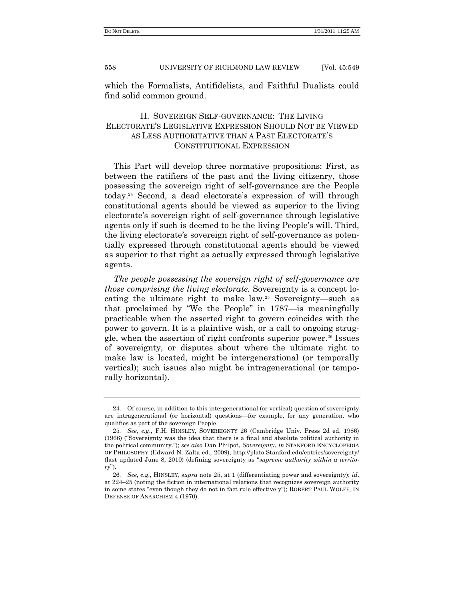which the Formalists, Antifidelists, and Faithful Dualists could find solid common ground.

# II. SOVEREIGN SELF-GOVERNANCE: THE LIVING ELECTORATE'S LEGISLATIVE EXPRESSION SHOULD NOT BE VIEWED AS LESS AUTHORITATIVE THAN A PAST ELECTORATE'S CONSTITUTIONAL EXPRESSION

This Part will develop three normative propositions: First, as between the ratifiers of the past and the living citizenry, those possessing the sovereign right of self-governance are the People today.<sup>24</sup> Second, a dead electorate's expression of will through constitutional agents should be viewed as superior to the living electorate's sovereign right of self-governance through legislative agents only if such is deemed to be the living People's will. Third, the living electorate's sovereign right of self-governance as potentially expressed through constitutional agents should be viewed as superior to that right as actually expressed through legislative agents.

*The people possessing the sovereign right of self-governance are those comprising the living electorate.* Sovereignty is a concept locating the ultimate right to make law.<sup>25</sup> Sovereignty—such as that proclaimed by "We the People" in  $1787$ —is meaningfully practicable when the asserted right to govern coincides with the power to govern. It is a plaintive wish, or a call to ongoing struggle, when the assertion of right confronts superior power.<sup>26</sup> Issues of sovereignty, or disputes about where the ultimate right to make law is located, might be intergenerational (or temporally vertical); such issues also might be intragenerational (or temporally horizontal).

<sup>24.</sup> Of course, in addition to this intergenerational (or vertical) question of sovereignty are intragenerational (or horizontal) questions—for example, for any generation, who qualifies as part of the sovereign People.

<sup>25</sup>*. See, e.g*., F.H. HINSLEY, SOVEREIGNTY 26 (Cambridge Univ. Press 2d ed. 1986) (1966) ("Sovereignty was the idea that there is a final and absolute political authority in the political community.‖); *see also* Dan Philpot, *Sovereignty*, *in* STANFORD ENCYCLOPEDIA OF PHILOSOPHY (Edward N. Zalta ed., 2009), http://plato.Stanford.edu/entries/sovereignty/ (last updated June 8, 2010) (defining sovereignty as "supreme authority within a territo*ry*‖).

<sup>26</sup>*. See*, *e.g*., HINSLEY, *supra* note 25, at 1 (differentiating power and sovereignty); *id*. at 224–25 (noting the fiction in international relations that recognizes sovereign authority in some states "even though they do not in fact rule effectively"); ROBERT PAUL WOLFF, IN DEFENSE OF ANARCHISM 4 (1970).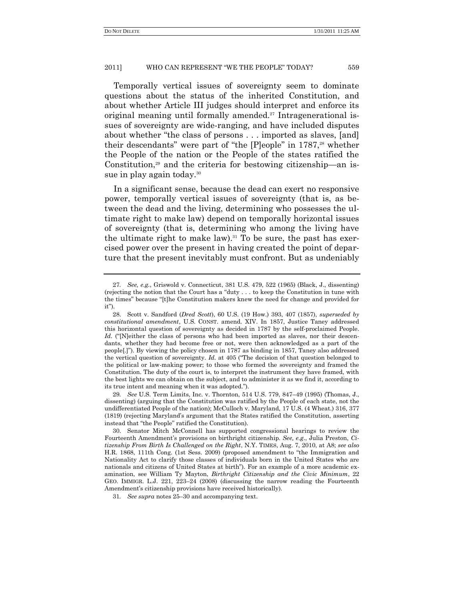Temporally vertical issues of sovereignty seem to dominate questions about the status of the inherited Constitution, and about whether Article III judges should interpret and enforce its original meaning until formally amended.<sup>27</sup> Intragenerational issues of sovereignty are wide-ranging, and have included disputes about whether "the class of persons  $\dots$  imported as slaves, [and] their descendants" were part of "the  $[P]$ eople" in 1787,<sup>28</sup> whether the People of the nation or the People of the states ratified the Constitution, $29$  and the criteria for bestowing citizenship—an issue in play again today.<sup>30</sup>

In a significant sense, because the dead can exert no responsive power, temporally vertical issues of sovereignty (that is, as between the dead and the living, determining who possesses the ultimate right to make law) depend on temporally horizontal issues of sovereignty (that is, determining who among the living have the ultimate right to make law).<sup>31</sup> To be sure, the past has exercised power over the present in having created the point of departure that the present inevitably must confront. But as undeniably

<sup>27</sup>*. See, e.g.*, Griswold v. Connecticut, 381 U.S. 479, 522 (1965) (Black, J., dissenting) (rejecting the notion that the Court has a "duty  $\dots$  to keep the Constitution in tune with the times" because "[t]he Constitution makers knew the need for change and provided for  $it$ ").

<sup>28.</sup> Scott v. Sandford (*Dred Scott*), 60 U.S. (19 How.) 393, 407 (1857), *superseded by constitutional amendment*, U.S. CONST. amend. XIV. In 1857, Justice Taney addressed this horizontal question of sovereignty as decided in 1787 by the self-proclaimed People. *Id.* ("Neither the class of persons who had been imported as slaves, nor their descendants, whether they had become free or not, were then acknowledged as a part of the people[.]‖). By viewing the policy chosen in 1787 as binding in 1857, Taney also addressed the vertical question of sovereignty. *Id.* at 405 ("The decision of that question belonged to the political or law-making power; to those who formed the sovereignty and framed the Constitution. The duty of the court is, to interpret the instrument they have framed, with the best lights we can obtain on the subject, and to administer it as we find it, according to its true intent and meaning when it was adopted.").

<sup>29</sup>*. See* U.S. Term Limits, Inc. v. Thornton, 514 U.S. 779, 847–49 (1995) (Thomas, J., dissenting) (arguing that the Constitution was ratified by the People of each state, not the undifferentiated People of the nation); McCulloch v. Maryland, 17 U.S. (4 Wheat.) 316, 377 (1819) (rejecting Maryland's argument that the States ratified the Constitution, asserting instead that "the People" ratified the Constitution).

<sup>30.</sup> Senator Mitch McConnell has supported congressional hearings to review the Fourteenth Amendment's provisions on birthright citizenship. *See, e.g*., Julia Preston, *Citizenship From Birth Is Challenged on the Right*, N.Y. TIMES, Aug. 7, 2010, at A8; *see also*  H.R. 1868, 111th Cong. (1st Sess. 2009) (proposed amendment to "the Immigration and Nationality Act to clarify those classes of individuals born in the United States who are nationals and citizens of United States at birth‖)*.* For an example of a more academic examination, see William Ty Mayton, *Birthright Citizenship and the Civic Minimum*, 22 GEO. IMMIGR. L.J. 221, 223–24 (2008) (discussing the narrow reading the Fourteenth Amendment's citizenship provisions have received historically).

<sup>31</sup>*. See supra* notes 25–30 and accompanying text.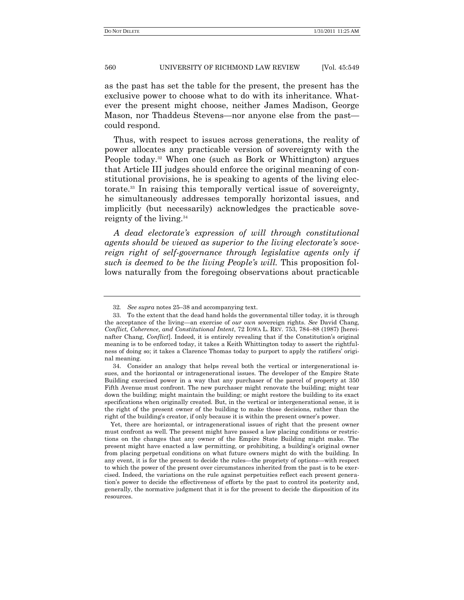as the past has set the table for the present, the present has the exclusive power to choose what to do with its inheritance. Whatever the present might choose, neither James Madison, George Mason, nor Thaddeus Stevens—nor anyone else from the past could respond.

Thus, with respect to issues across generations, the reality of power allocates any practicable version of sovereignty with the People today.<sup>32</sup> When one (such as Bork or Whittington) argues that Article III judges should enforce the original meaning of constitutional provisions, he is speaking to agents of the living electorate.<sup>33</sup> In raising this temporally vertical issue of sovereignty, he simultaneously addresses temporally horizontal issues, and implicitly (but necessarily) acknowledges the practicable sovereignty of the living.<sup>34</sup>

*A dead electorate's expression of will through constitutional agents should be viewed as superior to the living electorate's sovereign right of self-governance through legislative agents only if such is deemed to be the living People's will.* This proposition follows naturally from the foregoing observations about practicable

<sup>32</sup>*. See supra* notes 25–38 and accompanying text.

<sup>33.</sup> To the extent that the dead hand holds the governmental tiller today, it is through the acceptance of the living—an exercise of *our own* sovereign rights. *See* David Chang, *Conflict, Coherence, and Constitutional Intent*, 72 IOWA L. REV. 753, 784–88 (1987) [hereinafter Chang, *Conflict*]. Indeed, it is entirely revealing that if the Constitution's original meaning is to be enforced today, it takes a Keith Whittington today to assert the rightfulness of doing so; it takes a Clarence Thomas today to purport to apply the ratifiers' original meaning.

<sup>34.</sup> Consider an analogy that helps reveal both the vertical or intergenerational issues, and the horizontal or intragenerational issues. The developer of the Empire State Building exercised power in a way that any purchaser of the parcel of property at 350 Fifth Avenue must confront. The new purchaser might renovate the building; might tear down the building; might maintain the building; or might restore the building to its exact specifications when originally created. But, in the vertical or intergenerational sense, it is the right of the present owner of the building to make those decisions, rather than the right of the building's creator, if only because it is within the present owner's power.

Yet, there are horizontal, or intragenerational issues of right that the present owner must confront as well. The present might have passed a law placing conditions or restrictions on the changes that any owner of the Empire State Building might make. The present might have enacted a law permitting, or prohibiting, a building's original owner from placing perpetual conditions on what future owners might do with the building. In any event, it is for the present to decide the rules—the propriety of options—with respect to which the power of the present over circumstances inherited from the past is to be exercised. Indeed, the variations on the rule against perpetuities reflect each present generation's power to decide the effectiveness of efforts by the past to control its posterity and, generally, the normative judgment that it is for the present to decide the disposition of its resources.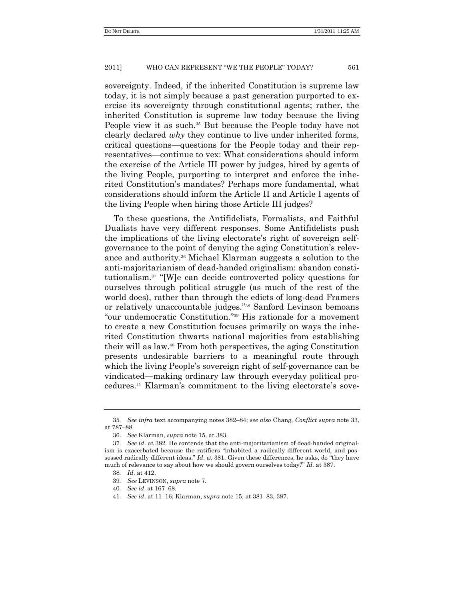sovereignty. Indeed, if the inherited Constitution is supreme law today, it is not simply because a past generation purported to exercise its sovereignty through constitutional agents; rather, the inherited Constitution is supreme law today because the living People view it as such.<sup>35</sup> But because the People today have not clearly declared *why* they continue to live under inherited forms, critical questions—questions for the People today and their representatives—continue to vex: What considerations should inform the exercise of the Article III power by judges, hired by agents of the living People, purporting to interpret and enforce the inherited Constitution's mandates? Perhaps more fundamental, what considerations should inform the Article II and Article I agents of the living People when hiring those Article III judges?

To these questions, the Antifidelists, Formalists, and Faithful Dualists have very different responses. Some Antifidelists push the implications of the living electorate's right of sovereign selfgovernance to the point of denying the aging Constitution's relevance and authority.<sup>36</sup> Michael Klarman suggests a solution to the anti-majoritarianism of dead-handed originalism: abandon constitutionalism.<sup>37</sup> "[W]e can decide controverted policy questions for ourselves through political struggle (as much of the rest of the world does), rather than through the edicts of long-dead Framers or relatively unaccountable judges."<sup>38</sup> Sanford Levinson bemoans "our undemocratic Constitution."<sup>39</sup> His rationale for a movement to create a new Constitution focuses primarily on ways the inherited Constitution thwarts national majorities from establishing their will as law.<sup>40</sup> From both perspectives, the aging Constitution presents undesirable barriers to a meaningful route through which the living People's sovereign right of self-governance can be vindicated—making ordinary law through everyday political procedures.<sup>41</sup> Klarman's commitment to the living electorate's sove-

<sup>35</sup>*. See infra* text accompanying notes 382–84; *see also* Chang, *Conflict supra* note 33, at 787–88.

<sup>36.</sup> *See* Klarman, *supra* note 15, at 383.

<sup>37</sup>*. See id*. at 382. He contends that the anti-majoritarianism of dead-handed originalism is exacerbated because the ratifiers "inhabited a radically different world, and possessed radically different ideas." *Id.* at 381. Given these differences, he asks, do "they have much of relevance to say about how we should govern ourselves today?" *Id.* at 387.

<sup>38</sup>*. Id*. at 412.

<sup>39</sup>*. See* LEVINSON, *supra* note 7.

<sup>40</sup>*. See id*. at 167–68.

<sup>41</sup>*. See id*. at 11–16; Klarman, *supra* note 15, at 381–83, 387.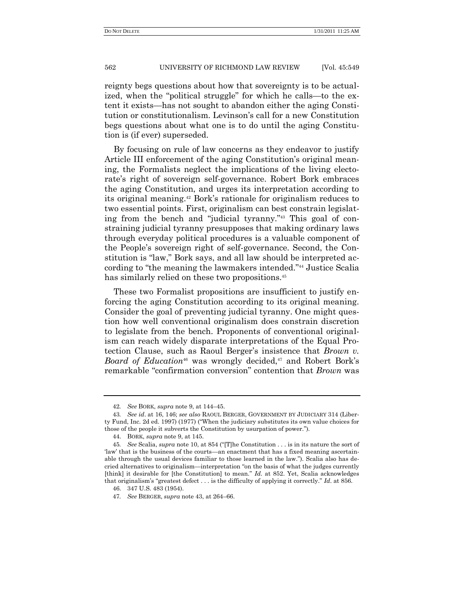reignty begs questions about how that sovereignty is to be actualized, when the "political struggle" for which he calls—to the extent it exists—has not sought to abandon either the aging Constitution or constitutionalism. Levinson's call for a new Constitution begs questions about what one is to do until the aging Constitution is (if ever) superseded.

By focusing on rule of law concerns as they endeavor to justify Article III enforcement of the aging Constitution's original meaning, the Formalists neglect the implications of the living electorate's right of sovereign self-governance. Robert Bork embraces the aging Constitution, and urges its interpretation according to its original meaning.<sup>42</sup> Bork's rationale for originalism reduces to two essential points. First, originalism can best constrain legislating from the bench and "judicial tyranny."<sup>43</sup> This goal of constraining judicial tyranny presupposes that making ordinary laws through everyday political procedures is a valuable component of the People's sovereign right of self-governance. Second, the Constitution is "law," Bork says, and all law should be interpreted according to "the meaning the lawmakers intended."<sup>44</sup> Justice Scalia has similarly relied on these two propositions.<sup>45</sup>

These two Formalist propositions are insufficient to justify enforcing the aging Constitution according to its original meaning. Consider the goal of preventing judicial tyranny. One might question how well conventional originalism does constrain discretion to legislate from the bench. Proponents of conventional originalism can reach widely disparate interpretations of the Equal Protection Clause, such as Raoul Berger's insistence that *Brown v. Board of Education*<sup>46</sup> was wrongly decided,<sup>47</sup> and Robert Bork's remarkable "confirmation conversion" contention that *Brown* was

<sup>42</sup>*. See* BORK, *supra* note 9, at 144–45.

<sup>43</sup>*. See id*. at 16, 146; *see also* RAOUL BERGER, GOVERNMENT BY JUDICIARY 314 (Liberty Fund, Inc. 2d ed. 1997) (1977) ("When the judiciary substitutes its own value choices for those of the people it subverts the Constitution by usurpation of power.").

<sup>44.</sup> BORK, *supra* note 9, at 145.

<sup>45.</sup> *See* Scalia, *supra* note 10, at 854 ("[T]he Constitution . . . is in its nature the sort of ‗law' that is the business of the courts—an enactment that has a fixed meaning ascertainable through the usual devices familiar to those learned in the law."). Scalia also has decried alternatives to originalism—interpretation "on the basis of what the judges currently [think] it desirable for [the Constitution] to mean." *Id.* at 852. Yet, Scalia acknowledges that originalism's "greatest defect  $\dots$  is the difficulty of applying it correctly." *Id*. at 856.

<sup>46.</sup> 347 U.S. 483 (1954).

<sup>47</sup>*. See* BERGER, *supra* note 43, at 264–66.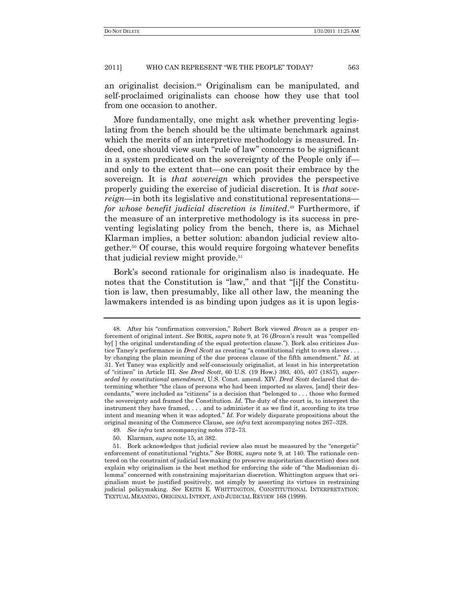an originalist decision.<sup>48</sup> Originalism can be manipulated, and self-proclaimed originalists can choose how they use that tool from one occasion to another.

More fundamentally, one might ask whether preventing legislating from the bench should be the ultimate benchmark against which the merits of an interpretive methodology is measured. Indeed, one should view such "rule of law" concerns to be significant in a system predicated on the sovereignty of the People only if and only to the extent that—one can posit their embrace by the sovereign. It is *that sovereign* which provides the perspective properly guiding the exercise of judicial discretion. It is *that sovereign*—in both its legislative and constitutional representations *for whose benefit judicial discretion is limited*. <sup>49</sup> Furthermore, if the measure of an interpretive methodology is its success in preventing legislating policy from the bench, there is, as Michael Klarman implies, a better solution: abandon judicial review altogether.<sup>50</sup> Of course, this would require forgoing whatever benefits that judicial review might provide. 51

Bork's second rationale for originalism also is inadequate. He notes that the Constitution is "law," and that "[i]f the Constitution is law, then presumably, like all other law, the meaning the lawmakers intended is as binding upon judges as it is upon legis-

<sup>48.</sup> After his "confirmation conversion," Robert Bork viewed *Brown* as a proper enforcement of original intent. *See* BORK, *supra* note 9, at 76 (*Brown*'s result was "compelled by | the original understanding of the equal protection clause."). Bork also criticizes Justice Taney's performance in *Dred Scott* as creating "a constitutional right to own slaves . . . by changing the plain meaning of the due process clause of the fifth amendment." *Id.* at 31. Yet Taney was explicitly and self-consciously originalist, at least in his interpretation of "citizen" in Article III. *See Dred Scott*, 60 U.S. (19 How.) 393, 405, 407 (1857), *superseded by constitutional amendment*, U.S. Const. amend. XIV. *Dred Scott* declared that determining whether "the class of persons who had been imported as slaves, [and] their descendants," were included as "citizens" is a decision that "belonged to . . . those who formed the sovereignty and framed the Constitution. *Id*. The duty of the court is, to interpret the instrument they have framed, . . . and to administer it as we find it, according to its true intent and meaning when it was adopted." *Id*. For widely disparate propositions about the original meaning of the Commerce Clause, see *infra* text accompanying notes 267–328.

<sup>49</sup>*. See infra* text accompanying notes 372–73.

<sup>50.</sup> Klarman, *supra* note 15, at 382.

<sup>51.</sup> Bork acknowledges that judicial review also must be measured by the "energetic" enforcement of constitutional "rights." See BORK, *supra* note 9, at 140. The rationale centered on the constraint of judicial lawmaking (to preserve majoritarian discretion) does not explain why originalism is the best method for enforcing the side of "the Madisonian dilemma" concerned with constraining majoritarian discretion. Whittington argues that originalism must be justified positively, not simply by asserting its virtues in restraining judicial policymaking. *See* KEITH E. WHITTINGTON, CONSTITUTIONAL INTERPRETATION: TEXTUAL MEANING, ORIGINAL INTENT, AND JUDICIAL REVIEW 168 (1999).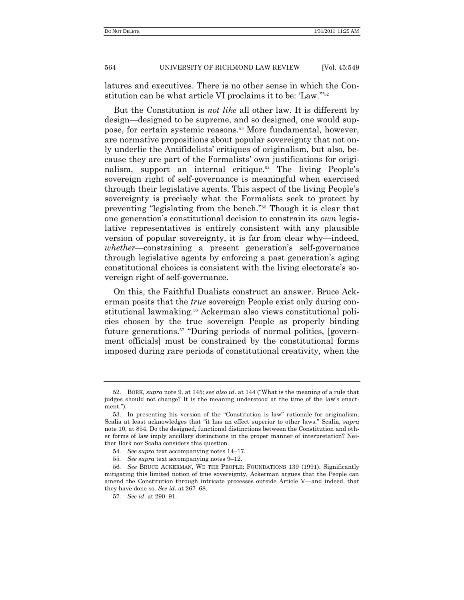latures and executives. There is no other sense in which the Constitution can be what article VI proclaims it to be: 'Law."<sup>52</sup>

But the Constitution is *not like* all other law. It is different by design—designed to be supreme, and so designed, one would suppose, for certain systemic reasons.<sup>53</sup> More fundamental, however, are normative propositions about popular sovereignty that not only underlie the Antifidelists' critiques of originalism, but also, because they are part of the Formalists' own justifications for originalism, support an internal critique.<sup>54</sup> The living People's sovereign right of self-governance is meaningful when exercised through their legislative agents. This aspect of the living People's sovereignty is precisely what the Formalists seek to protect by preventing "legislating from the bench."<sup>55</sup> Though it is clear that one generation's constitutional decision to constrain its *own* legislative representatives is entirely consistent with any plausible version of popular sovereignty, it is far from clear why—indeed, *whether*—constraining a present generation's self-governance through legislative agents by enforcing a past generation's aging constitutional choices is consistent with the living electorate's sovereign right of self-governance.

On this, the Faithful Dualists construct an answer. Bruce Ackerman posits that the *true* sovereign People exist only during constitutional lawmaking.<sup>56</sup> Ackerman also views constitutional policies chosen by the true sovereign People as properly binding future generations.<sup>57</sup> "During periods of normal politics, [government officials] must be constrained by the constitutional forms imposed during rare periods of constitutional creativity, when the

<sup>52.</sup> BORK, *supra* note 9, at 145; *see also id.* at 144 ("What is the meaning of a rule that judges should not change? It is the meaning understood at the time of the law's enactment.")

<sup>53.</sup> In presenting his version of the "Constitution is law" rationale for originalism, Scalia at least acknowledges that "it has an effect superior to other laws." Scalia, *supra* note 10, at 854. Do the designed, functional distinctions between the Constitution and other forms of law imply ancillary distinctions in the proper manner of interpretation? Neither Bork nor Scalia considers this question.

<sup>54</sup>*. See supra* text accompanying notes 14–17.

<sup>55</sup>*. See supra* text accompanying notes 9–12.

<sup>56</sup>*. See* BRUCE ACKERMAN, WE THE PEOPLE: FOUNDATIONS 139 (1991). Significantly mitigating this limited notion of true sovereignty, Ackerman argues that the People can amend the Constitution through intricate processes outside Article V—and indeed, that they have done so. *See id*. at 267–68.

<sup>57</sup>*. See id*. at 290–91.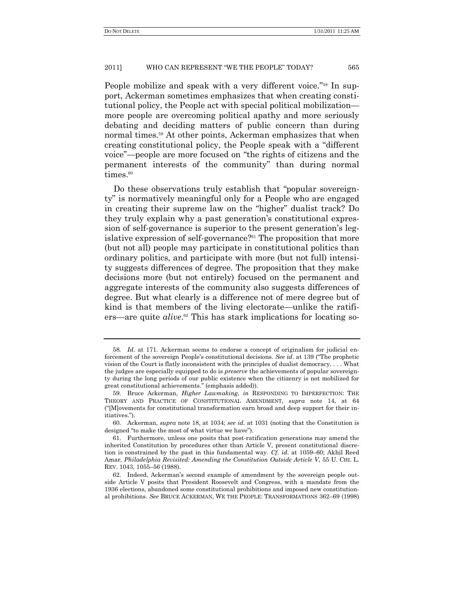People mobilize and speak with a very different voice."<sup>58</sup> In support, Ackerman sometimes emphasizes that when creating constitutional policy, the People act with special political mobilization more people are overcoming political apathy and more seriously debating and deciding matters of public concern than during normal times.<sup>59</sup> At other points, Ackerman emphasizes that when creating constitutional policy, the People speak with a "different" voice"—people are more focused on "the rights of citizens and the permanent interests of the community" than during normal times.<sup>60</sup>

Do these observations truly establish that "popular sovereignty" is normatively meaningful only for a People who are engaged in creating their supreme law on the "higher" dualist track? Do they truly explain why a past generation's constitutional expression of self-governance is superior to the present generation's legislative expression of self-governance?<sup>61</sup> The proposition that more (but not all) people may participate in constitutional politics than ordinary politics, and participate with more (but not full) intensity suggests differences of degree. The proposition that they make decisions more (but not entirely) focused on the permanent and aggregate interests of the community also suggests differences of degree. But what clearly is a difference not of mere degree but of kind is that members of the living electorate—unlike the ratifiers—are quite *alive*.<sup>62</sup> This has stark implications for locating so-

<sup>58</sup>*. Id*. at 171. Ackerman seems to endorse a concept of originalism for judicial enforcement of the sovereign People's constitutional decisions. *See id.* at 139 ("The prophetic vision of the Court is flatly inconsistent with the principles of dualist democracy. . . . What the judges are especially equipped to do is *preserve* the achievements of popular sovereignty during the long periods of our public existence when the citizenry is not mobilized for great constitutional achievements." (emphasis added)).

<sup>59.</sup> Bruce Ackerman, *Higher Lawmaking*, *in* RESPONDING TO IMPERFECTION: THE THEORY AND PRACTICE OF CONSTITUTIONAL AMENDMENT, *supra* note 14, at 64 (―[M]ovements for constitutional transformation earn broad and deep support for their initiatives.").

<sup>60.</sup> Ackerman, *supra* note 18, at 1034; *see id*. at 1031 (noting that the Constitution is designed "to make the most of what virtue we have").

<sup>61.</sup> Furthermore, unless one posits that post-ratification generations may amend the inherited Constitution by procedures other than Article V, present constitutional discretion is constrained by the past in this fundamental way*. Cf. id*. at 1059–60; Akhil Reed Amar, *Philadelphia Revisited: Amending the Constitution Outside Article V*, 55 U. CHI. L. REV. 1043, 1055–56 (1988).

<sup>62.</sup> Indeed, Ackerman's second example of amendment by the sovereign people outside Article V posits that President Roosevelt and Congress, with a mandate from the 1936 elections, abandoned some constitutional prohibitions and imposed new constitutional prohibitions. *See* BRUCE ACKERMAN, WE THE PEOPLE: TRANSFORMATIONS 362–69 (1998)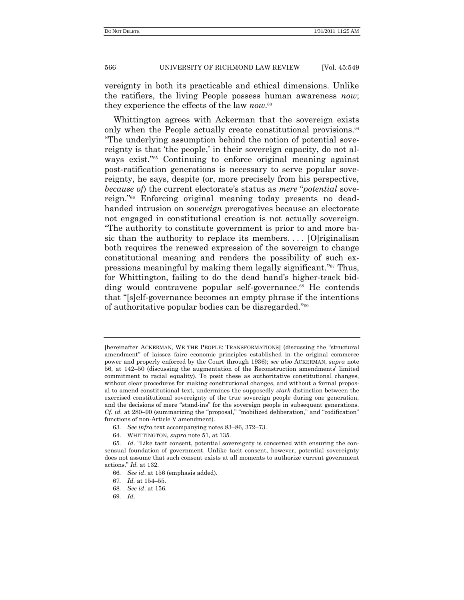vereignty in both its practicable and ethical dimensions. Unlike the ratifiers, the living People possess human awareness *now*; they experience the effects of the law *now*. 63

Whittington agrees with Ackerman that the sovereign exists only when the People actually create constitutional provisions.<sup>64</sup> ―The underlying assumption behind the notion of potential sovereignty is that 'the people,' in their sovereign capacity, do not always exist."<sup>65</sup> Continuing to enforce original meaning against post-ratification generations is necessary to serve popular sovereignty, he says, despite (or, more precisely from his perspective, *because of*) the current electorate's status as *mere* "*potential* sovereign."<sup>66</sup> Enforcing original meaning today presents no deadhanded intrusion on *sovereign* prerogatives because an electorate not engaged in constitutional creation is not actually sovereign. ―The authority to constitute government is prior to and more basic than the authority to replace its members. . . . [O]riginalism both requires the renewed expression of the sovereign to change constitutional meaning and renders the possibility of such expressions meaningful by making them legally significant."<sup>67</sup> Thus, for Whittington, failing to do the dead hand's higher-track bidding would contravene popular self-governance.<sup>68</sup> He contends that "[s]elf-governance becomes an empty phrase if the intentions of authoritative popular bodies can be disregarded."<sup>69</sup>

64. WHITTINGTON, *supra* note 51, at 135.

69*. Id*.

<sup>[</sup>hereinafter ACKERMAN, WE THE PEOPLE: TRANSFORMATIONS] (discussing the "structural amendment" of laissez faire economic principles established in the original commerce power and properly enforced by the Court through 1936); *see also* ACKERMAN, *supra* note 56, at 142–50 (discussing the augmentation of the Reconstruction amendments' limited commitment to racial equality). To posit these as authoritative constitutional changes, without clear procedures for making constitutional changes, and without a formal proposal to amend constitutional text, undermines the supposedly *stark* distinction between the exercised constitutional sovereignty of the true sovereign people during one generation, and the decisions of mere "stand-ins" for the sovereign people in subsequent generations.  $C_f$ . *id.* at 280–90 (summarizing the "proposal," "mobilized deliberation," and "codification" functions of non-Article V amendment).

<sup>63</sup>*. See infra* text accompanying notes 83–86, 372–73.

<sup>65.</sup> *Id.* "Like tacit consent, potential sovereignty is concerned with ensuring the consensual foundation of government. Unlike tacit consent, however, potential sovereignty does not assume that such consent exists at all moments to authorize current government actions.‖ *Id.* at 132.

<sup>66</sup>*. See id*. at 156 (emphasis added).

<sup>67</sup>*. Id.* at 154–55.

<sup>68</sup>*. See id*. at 156.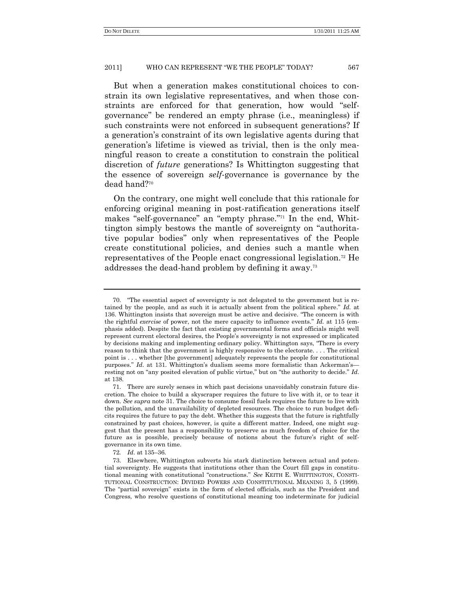But when a generation makes constitutional choices to constrain its own legislative representatives, and when those constraints are enforced for that generation, how would "selfgovernance‖ be rendered an empty phrase (i.e., meaningless) if such constraints were not enforced in subsequent generations? If a generation's constraint of its own legislative agents during that generation's lifetime is viewed as trivial, then is the only meaningful reason to create a constitution to constrain the political discretion of *future* generations? Is Whittington suggesting that the essence of sovereign *self*-governance is governance by the dead hand?<sup>70</sup>

On the contrary, one might well conclude that this rationale for enforcing original meaning in post-ratification generations itself makes "self-governance" an "empty phrase."<sup>71</sup> In the end, Whittington simply bestows the mantle of sovereignty on "authoritative popular bodies" only when representatives of the People create constitutional policies, and denies such a mantle when representatives of the People enact congressional legislation.<sup>72</sup> He addresses the dead-hand problem by defining it away.<sup>73</sup>

<sup>70.</sup> ―The essential aspect of sovereignty is not delegated to the government but is retained by the people, and as such it is actually absent from the political sphere." *Id.* at 136. Whittington insists that sovereign must be active and decisive. "The concern is with the rightful *exercise* of power, not the mere capacity to influence events." *Id.* at 115 (emphasis added). Despite the fact that existing governmental forms and officials might well represent current electoral desires, the People's sovereignty is not expressed or implicated by decisions making and implementing ordinary policy. Whittington says, "There is every reason to think that the government is highly responsive to the electorate. . . . The critical point is . . . whether [the government] adequately represents the people for constitutional purposes.‖ *Id*. at 131. Whittington's dualism seems more formalistic than Ackerman's resting not on "any posited elevation of public virtue," but on "the authority to decide." *Id.* at 138.

<sup>71.</sup> There are surely senses in which past decisions unavoidably constrain future discretion. The choice to build a skyscraper requires the future to live with it, or to tear it down. *See supra* note 31. The choice to consume fossil fuels requires the future to live with the pollution, and the unavailability of depleted resources. The choice to run budget deficits requires the future to pay the debt. Whether this suggests that the future is rightfully constrained by past choices, however, is quite a different matter. Indeed, one might suggest that the present has a responsibility to preserve as much freedom of choice for the future as is possible, precisely because of notions about the future's right of selfgovernance in its own time.

<sup>72</sup>*. Id*. at 135–36.

<sup>73.</sup> Elsewhere, Whittington subverts his stark distinction between actual and potential sovereignty. He suggests that institutions other than the Court fill gaps in constitutional meaning with constitutional "constructions." See KEITH E. WHITTINGTON, CONSTI-TUTIONAL CONSTRUCTION: DIVIDED POWERS AND CONSTITUTIONAL MEANING 3, 5 (1999). The "partial sovereign" exists in the form of elected officials, such as the President and Congress, who resolve questions of constitutional meaning too indeterminate for judicial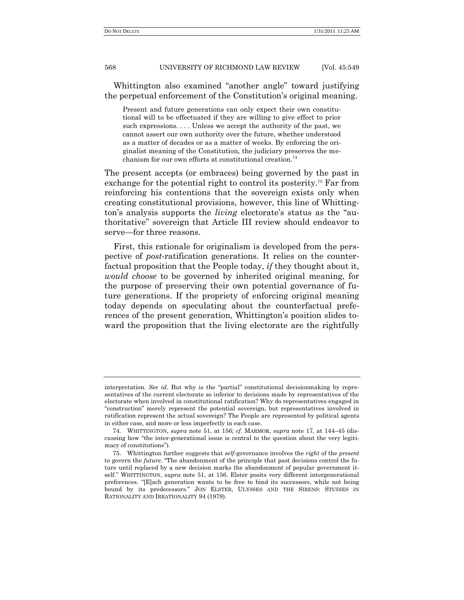Whittington also examined "another angle" toward justifying the perpetual enforcement of the Constitution's original meaning.

Present and future generations can only expect their own constitutional will to be effectuated if they are willing to give effect to prior such expressions.... Unless we accept the authority of the past, we cannot assert our own authority over the future, whether understood as a matter of decades or as a matter of weeks. By enforcing the originalist meaning of the Constitution, the judiciary preserves the mechanism for our own efforts at constitutional creation.<sup>74</sup>

The present accepts (or embraces) being governed by the past in exchange for the potential right to control its posterity.<sup>75</sup> Far from reinforcing his contentions that the sovereign exists only when creating constitutional provisions, however, this line of Whittington's analysis supports the *living* electorate's status as the "authoritative‖ sovereign that Article III review should endeavor to serve—for three reasons.

First, this rationale for originalism is developed from the perspective of *post*-ratification generations. It relies on the counterfactual proposition that the People today, *if* they thought about it, *would choose* to be governed by inherited original meaning, for the purpose of preserving their own potential governance of future generations. If the propriety of enforcing original meaning today depends on speculating about the counterfactual preferences of the present generation, Whittington's position slides toward the proposition that the living electorate are the rightfully

interpretation. See id. But why is the "partial" constitutional decisionmaking by representatives of the current electorate so inferior to decisions made by representatives of the electorate when involved in constitutional ratification? Why do representatives engaged in ―construction‖ merely represent the potential sovereign, but representatives involved in ratification represent the actual sovereign? The People are represented by political agents in either case, and more or less imperfectly in each case.

<sup>74.</sup> WHITTINGTON, *supra* note 51, at 156; *cf.* MARMOR, *supra* note 17, at 144–45 (discussing how "the inter-generational issue is central to the question about the very legitimacy of constitutions").

<sup>75.</sup> Whittington further suggests that *self*-governance involves the *right* of the *present* to govern the *future*. "The abandonment of the principle that past decisions control the future until replaced by a new decision marks the abandonment of popular government itself." WHITTINGTON, *supra* note 51, at 156. Elster posits very different intergenerational preferences. "[E]ach generation wants to be free to bind its successors, while not being bound by its predecessors." JON ELSTER, ULYSSES AND THE SIRENS: STUDIES IN RATIONALITY AND IRRATIONALITY 94 (1979).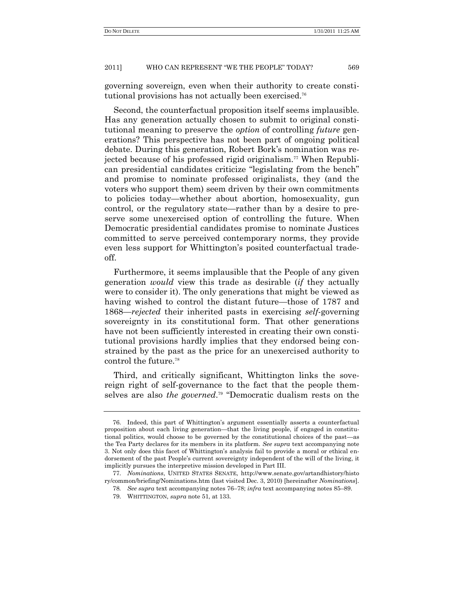governing sovereign, even when their authority to create constitutional provisions has not actually been exercised.<sup>76</sup>

Second, the counterfactual proposition itself seems implausible. Has any generation actually chosen to submit to original constitutional meaning to preserve the *option* of controlling *future* generations? This perspective has not been part of ongoing political debate. During this generation, Robert Bork's nomination was rejected because of his professed rigid originalism.<sup>77</sup> When Republican presidential candidates criticize "legislating from the bench" and promise to nominate professed originalists, they (and the voters who support them) seem driven by their own commitments to policies today—whether about abortion, homosexuality, gun control, or the regulatory state—rather than by a desire to preserve some unexercised option of controlling the future. When Democratic presidential candidates promise to nominate Justices committed to serve perceived contemporary norms, they provide even less support for Whittington's posited counterfactual tradeoff.

Furthermore, it seems implausible that the People of any given generation *would* view this trade as desirable (*if* they actually were to consider it). The only generations that might be viewed as having wished to control the distant future—those of 1787 and 1868—*rejected* their inherited pasts in exercising *self*-governing sovereignty in its constitutional form. That other generations have not been sufficiently interested in creating their own constitutional provisions hardly implies that they endorsed being constrained by the past as the price for an unexercised authority to control the future.<sup>78</sup>

Third, and critically significant, Whittington links the sovereign right of self-governance to the fact that the people themselves are also *the governed*.<sup>79</sup> "Democratic dualism rests on the

<sup>76.</sup> Indeed, this part of Whittington's argument essentially asserts a counterfactual proposition about each living generation—that the living people, if engaged in constitutional politics, would choose to be governed by the constitutional choices of the past—as the Tea Party declares for its members in its platform. *See supra* text accompanying note 3. Not only does this facet of Whittington's analysis fail to provide a moral or ethical endorsement of the past People's current sovereignty independent of the will of the living, it implicitly pursues the interpretive mission developed in Part III.

<sup>77.</sup> *Nominations*, UNITED STATES SENATE, http://www.senate.gov/artandhistory/histo ry/common/briefing/Nominations.htm (last visited Dec. 3, 2010) [hereinafter *Nominations*].

<sup>78</sup>*. See supra* text accompanying notes 76–78; *infra* text accompanying notes 85–89.

<sup>79.</sup> WHITTINGTON, *supra* note 51, at 133.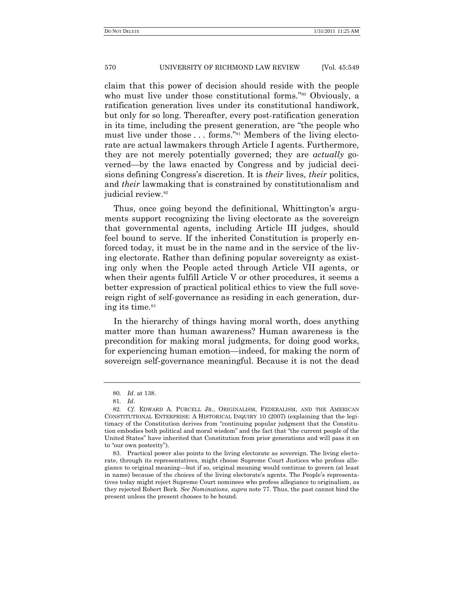claim that this power of decision should reside with the people who must live under those constitutional forms."<sup>80</sup> Obviously, a ratification generation lives under its constitutional handiwork, but only for so long. Thereafter, every post-ratification generation in its time, including the present generation, are "the people who must live under those ... forms."<sup>81</sup> Members of the living electorate are actual lawmakers through Article I agents. Furthermore, they are not merely potentially governed; they are *actually* governed—by the laws enacted by Congress and by judicial decisions defining Congress's discretion. It is *their* lives, *their* politics, and *their* lawmaking that is constrained by constitutionalism and judicial review.<sup>82</sup>

Thus, once going beyond the definitional, Whittington's arguments support recognizing the living electorate as the sovereign that governmental agents, including Article III judges, should feel bound to serve. If the inherited Constitution is properly enforced today, it must be in the name and in the service of the living electorate. Rather than defining popular sovereignty as existing only when the People acted through Article VII agents, or when their agents fulfill Article V or other procedures, it seems a better expression of practical political ethics to view the full sovereign right of self-governance as residing in each generation, during its time.<sup>83</sup>

In the hierarchy of things having moral worth, does anything matter more than human awareness? Human awareness is the precondition for making moral judgments, for doing good works, for experiencing human emotion—indeed, for making the norm of sovereign self-governance meaningful. Because it is not the dead

<sup>80</sup>*. Id*. at 138.

<sup>81</sup>*. Id*.

<sup>82</sup>*. Cf.* EDWARD A. PURCELL JR., ORIGINALISM, FEDERALISM, AND THE AMERICAN CONSTITUTIONAL ENTERPRISE: A HISTORICAL INQUIRY 10 (2007) (explaining that the legitimacy of the Constitution derives from "continuing popular judgment that the Constitution embodies both political and moral wisdom" and the fact that "the current people of the United States‖ have inherited that Constitution from prior generations and will pass it on to "our own posterity").

<sup>83.</sup> Practical power also points to the living electorate as sovereign. The living electorate, through its representatives, might choose Supreme Court Justices who profess allegiance to original meaning—but if so, original meaning would continue to govern (at least in name) because of the choices of the living electorate's agents. The People's representatives today might reject Supreme Court nominees who profess allegiance to originalism, as they rejected Robert Bork. *See Nominations*, *supra* note 77. Thus, the past cannot bind the present unless the present chooses to be bound.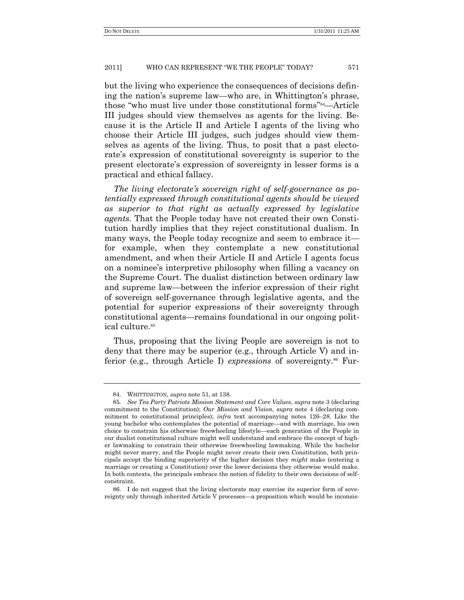but the living who experience the consequences of decisions defining the nation's supreme law—who are, in Whittington's phrase, those "who must live under those constitutional forms"<sup>84</sup>—Article III judges should view themselves as agents for the living. Because it is the Article II and Article I agents of the living who choose their Article III judges, such judges should view themselves as agents of the living. Thus, to posit that a past electorate's expression of constitutional sovereignty is superior to the present electorate's expression of sovereignty in lesser forms is a practical and ethical fallacy.

*The living electorate's sovereign right of self-governance as potentially expressed through constitutional agents should be viewed as superior to that right as actually expressed by legislative agents.* That the People today have not created their own Constitution hardly implies that they reject constitutional dualism. In many ways, the People today recognize and seem to embrace it for example, when they contemplate a new constitutional amendment, and when their Article II and Article I agents focus on a nominee's interpretive philosophy when filling a vacancy on the Supreme Court. The dualist distinction between ordinary law and supreme law—between the inferior expression of their right of sovereign self-governance through legislative agents, and the potential for superior expressions of their sovereignty through constitutional agents—remains foundational in our ongoing political culture.<sup>85</sup>

Thus, proposing that the living People are sovereign is not to deny that there may be superior (e.g., through Article V) and inferior (e.g., through Article I) *expressions* of sovereignty.<sup>86</sup> Fur-

86. I do not suggest that the living electorate may exercise its superior form of sovereignty only through inherited Article V processes—a proposition which would be inconsis-

<sup>84.</sup> WHITTINGTON, *supra* note 51, at 138.

<sup>85</sup>*. See Tea Party Patriots Mission Statement and Core Values*, *supra* note 3 (declaring commitment to the Constitution); *Our Mission and Vision*, *supra* note 4 (declaring commitment to constitutional principles); *infra* text accompanying notes 126–28. Like the young bachelor who contemplates the potential of marriage—and with marriage, his own choice to constrain his otherwise freewheeling lifestyle—each generation of the People in our dualist constitutional culture might well understand and embrace the concept of higher lawmaking to constrain their otherwise freewheeling lawmaking. While the bachelor might never marry, and the People might never create their own Constitution, both principals accept the binding superiority of the higher decision they *might* make (entering a marriage or creating a Constitution) over the lower decisions they otherwise would make. In both contexts, the principals embrace the notion of fidelity to their own decisions of selfconstraint.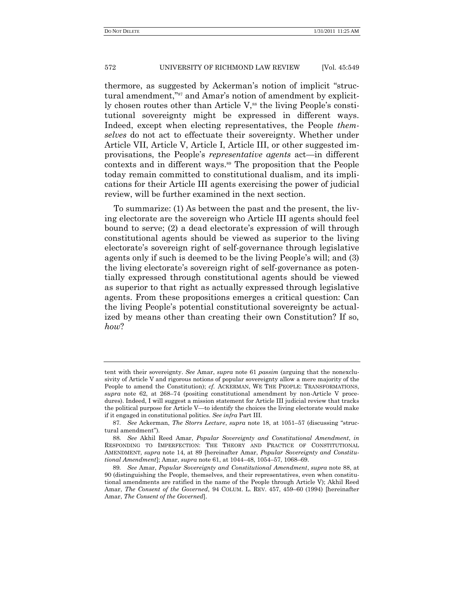thermore, as suggested by Ackerman's notion of implicit "structural amendment,"<sup>87</sup> and Amar's notion of amendment by explicitly chosen routes other than Article  $V$ ,<sup>88</sup> the living People's constitutional sovereignty might be expressed in different ways. Indeed, except when electing representatives, the People *themselves* do not act to effectuate their sovereignty. Whether under Article VII, Article V, Article I, Article III, or other suggested improvisations, the People's *representative agents* act—in different contexts and in different ways.<sup>89</sup> The proposition that the People today remain committed to constitutional dualism, and its implications for their Article III agents exercising the power of judicial review, will be further examined in the next section.

To summarize: (1) As between the past and the present, the living electorate are the sovereign who Article III agents should feel bound to serve; (2) a dead electorate's expression of will through constitutional agents should be viewed as superior to the living electorate's sovereign right of self-governance through legislative agents only if such is deemed to be the living People's will; and (3) the living electorate's sovereign right of self-governance as potentially expressed through constitutional agents should be viewed as superior to that right as actually expressed through legislative agents. From these propositions emerges a critical question: Can the living People's potential constitutional sovereignty be actualized by means other than creating their own Constitution? If so, *how*?

tent with their sovereignty. *See* Amar, *supra* note 61 *passim* (arguing that the nonexclusivity of Article V and rigorous notions of popular sovereignty allow a mere majority of the People to amend the Constitution); *cf.* ACKERMAN, WE THE PEOPLE: TRANSFORMATIONS, *supra* note 62, at 268–74 (positing constitutional amendment by non-Article V procedures). Indeed, I will suggest a mission statement for Article III judicial review that tracks the political purpose for Article V—to identify the choices the living electorate would make if it engaged in constitutional politics. *See infra* Part III.

<sup>87.</sup> See Ackerman, *The Storrs Lecture*, *supra* note 18, at 1051-57 (discussing "structural amendment").

<sup>88</sup>*. See* Akhil Reed Amar, *Popular Sovereignty and Constitutional Amendment*, *in* RESPONDING TO IMPERFECTION: THE THEORY AND PRACTICE OF CONSTITUTIONAL AMENDMENT, *supra* note 14, at 89 [hereinafter Amar, *Popular Sovereignty and Constitutional Amendment*]; Amar, *supra* note 61, at 1044–48, 1054–57, 1068–69.

<sup>89</sup>*. See* Amar, *Popular Sovereignty and Constitutional Amendment*, *supra* note 88, at 90 (distinguishing the People, themselves, and their representatives, even when constitutional amendments are ratified in the name of the People through Article V); Akhil Reed Amar, *The Consent of the Governed*, 94 COLUM. L. REV. 457, 459–60 (1994) [hereinafter Amar, *The Consent of the Governed*].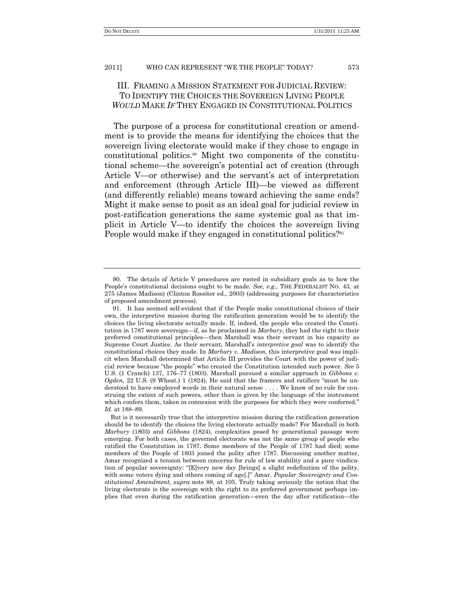# III. FRAMING A MISSION STATEMENT FOR JUDICIAL REVIEW: TO IDENTIFY THE CHOICES THE SOVEREIGN LIVING PEOPLE *WOULD* MAKE *IF* THEY ENGAGED IN CONSTITUTIONAL POLITICS

The purpose of a process for constitutional creation or amendment is to provide the means for identifying the choices that the sovereign living electorate would make if they chose to engage in constitutional politics.<sup>90</sup> Might two components of the constitutional scheme—the sovereign's potential act of creation (through Article V—or otherwise) and the servant's act of interpretation and enforcement (through Article III)—be viewed as different (and differently reliable) means toward achieving the same ends? Might it make sense to posit as an ideal goal for judicial review in post-ratification generations the same systemic goal as that implicit in Article V—to identify the choices the sovereign living People would make if they engaged in constitutional politics?<sup>91</sup>

<sup>90.</sup> The details of Article V procedures are rooted in subsidiary goals as to how the People's constitutional decisions ought to be made. *See, e.g*., THE FEDERALIST NO. 43, at 275 (James Madison) (Clinton Rossiter ed., 2003) (addressing purposes for characteristics of proposed amendment process).

<sup>91.</sup> It has seemed self-evident that if the People make constitutional choices of their own, the interpretive mission during the ratification generation would be to identify the choices the living electorate actually made. If, indeed, the people who created the Constitution in 1787 were sovereign—if, as he proclaimed in *Marbury*, they had the right to their preferred constitutional principles—then Marshall was their servant in his capacity as Supreme Court Justice. As their servant, Marshall's *interpretive goal* was to identify the constitutional choices they made. In *Marbury v. Madison*, this interpretive goal was implicit when Marshall determined that Article III provides the Court with the power of judicial review because "the people" who created the Constitution intended such power. *See* 5 U.S. (1 Cranch) 137, 176–77 (1803). Marshall pursued a similar approach in *Gibbons v. Ogden*, 22 U.S. (9 Wheat.) 1 (1824). He said that the framers and ratifiers "must be understood to have employed words in their natural sense . . . . We know of no rule for construing the extent of such powers, other than is given by the language of the instrument which confers them, taken in connexion with the purposes for which they were conferred." *Id*. at 188–89.

But is it necessarily true that the interpretive mission during the ratification generation should be to identify the choices the living electorate actually made? For Marshall in both *Marbury* (1803) and *Gibbons* (1824), complexities posed by generational passage were emerging. For both cases, the governed electorate was not the same group of people who ratified the Constitution in 1787. Some members of the People of 1787 had died; some members of the People of 1803 joined the polity after 1787. Discussing another matter, Amar recognized a tension between concerns for rule of law stability and a pure vindication of popular sovereignty: "[E]very new day [brings] a slight redefinition of the polity, with some voters dying and others coming of age[.]" Amar, *Popular Sovereignty and Constitutional Amendment*, *supra* note 88, at 105. Truly taking seriously the notion that the living electorate is the sovereign with the right to its preferred government perhaps implies that even during the ratification generation—even the day after ratification—the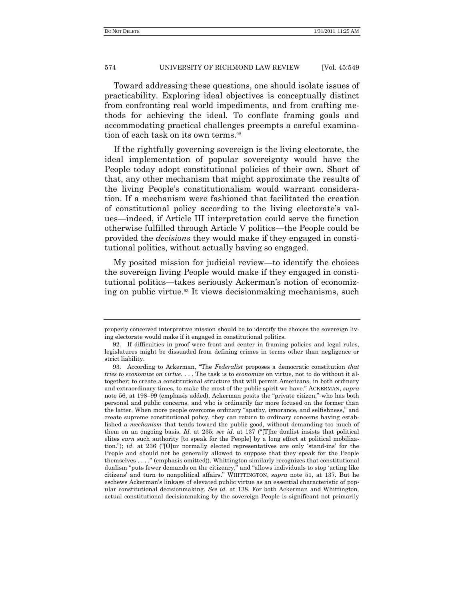Toward addressing these questions, one should isolate issues of practicability. Exploring ideal objectives is conceptually distinct from confronting real world impediments, and from crafting methods for achieving the ideal. To conflate framing goals and accommodating practical challenges preempts a careful examination of each task on its own terms.<sup>92</sup>

If the rightfully governing sovereign is the living electorate, the ideal implementation of popular sovereignty would have the People today adopt constitutional policies of their own. Short of that, any other mechanism that might approximate the results of the living People's constitutionalism would warrant consideration. If a mechanism were fashioned that facilitated the creation of constitutional policy according to the living electorate's values—indeed, if Article III interpretation could serve the function otherwise fulfilled through Article V politics—the People could be provided the *decisions* they would make if they engaged in constitutional politics, without actually having so engaged.

My posited mission for judicial review—to identify the choices the sovereign living People would make if they engaged in constitutional politics—takes seriously Ackerman's notion of economizing on public virtue.<sup>93</sup> It views decisionmaking mechanisms, such

properly conceived interpretive mission should be to identify the choices the sovereign living electorate would make if it engaged in constitutional politics.

<sup>92.</sup> If difficulties in proof were front and center in framing policies and legal rules, legislatures might be dissuaded from defining crimes in terms other than negligence or strict liability.

<sup>93.</sup> According to Ackerman, "The *Federalist* proposes a democratic constitution *that tries to economize on virtue*. . . . The task is to *economize* on virtue, not to do without it altogether; to create a constitutional structure that will permit Americans, in both ordinary and extraordinary times, to make the most of the public spirit we have.‖ ACKERMAN, *supra* note 56, at 198–99 (emphasis added). Ackerman posits the "private citizen," who has both personal and public concerns, and who is ordinarily far more focused on the former than the latter. When more people overcome ordinary "apathy, ignorance, and selfishness," and create supreme constitutional policy, they can return to ordinary concerns having established a *mechanism* that tends toward the public good, without demanding too much of them on an ongoing basis. *Id.* at 235; *see id.* at 137 ("The dualist insists that political elites *earn* such authority [to speak for the People] by a long effort at political mobilization."); *id.* at 236 ("[O]ur normally elected representatives are only 'stand-ins' for the People and should not be generally allowed to suppose that they speak for the People themselves . . . ." (emphasis omitted)). Whittington similarly recognizes that constitutional dualism "puts fewer demands on the citizenry," and "allows individuals to stop 'acting like citizens' and turn to nonpolitical affairs.‖ WHITTINGTON, *supra* note 51, at 137. But he eschews Ackerman's linkage of elevated public virtue as an essential characteristic of popular constitutional decisionmaking. *See id.* at 138. For both Ackerman and Whittington, actual constitutional decisionmaking by the sovereign People is significant not primarily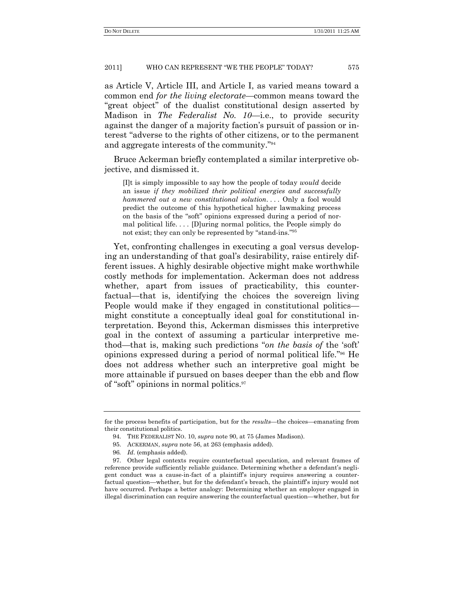as Article V, Article III, and Article I, as varied means toward a common end *for the living electorate*—common means toward the "great object" of the dualist constitutional design asserted by Madison in *The Federalist No. 10*—i.e., to provide security against the danger of a majority faction's pursuit of passion or interest "adverse to the rights of other citizens, or to the permanent and aggregate interests of the community."<sup>94</sup>

Bruce Ackerman briefly contemplated a similar interpretive objective, and dismissed it.

[I]t is simply impossible to say how the people of today *would* decide an issue *if they mobilized their political energies and successfully hammered out a new constitutional solution....* Only a fool would predict the outcome of this hypothetical higher lawmaking process on the basis of the "soft" opinions expressed during a period of normal political life. . . . [D]uring normal politics, the People simply do not exist; they can only be represented by "stand-ins."<sup>95</sup>

Yet, confronting challenges in executing a goal versus developing an understanding of that goal's desirability, raise entirely different issues. A highly desirable objective might make worthwhile costly methods for implementation. Ackerman does not address whether, apart from issues of practicability, this counterfactual—that is, identifying the choices the sovereign living People would make if they engaged in constitutional politics might constitute a conceptually ideal goal for constitutional interpretation. Beyond this, Ackerman dismisses this interpretive goal in the context of assuming a particular interpretive method—that is, making such predictions "*on the basis of* the 'soft' opinions expressed during a period of normal political life."<sup>96</sup> He does not address whether such an interpretive goal might be more attainable if pursued on bases deeper than the ebb and flow of "soft" opinions in normal politics. $97$ 

for the process benefits of participation, but for the *results*—the choices—emanating from their constitutional politics.

<sup>94.</sup> THE FEDERALIST NO. 10, *supra* note 90, at 75 (James Madison).

<sup>95.</sup> ACKERMAN, *supra* note 56, at 263 (emphasis added).

<sup>96</sup>*. Id*. (emphasis added).

<sup>97.</sup> Other legal contexts require counterfactual speculation, and relevant frames of reference provide sufficiently reliable guidance. Determining whether a defendant's negligent conduct was a cause-in-fact of a plaintiff's injury requires answering a counterfactual question—whether, but for the defendant's breach, the plaintiff's injury would not have occurred. Perhaps a better analogy: Determining whether an employer engaged in illegal discrimination can require answering the counterfactual question—whether, but for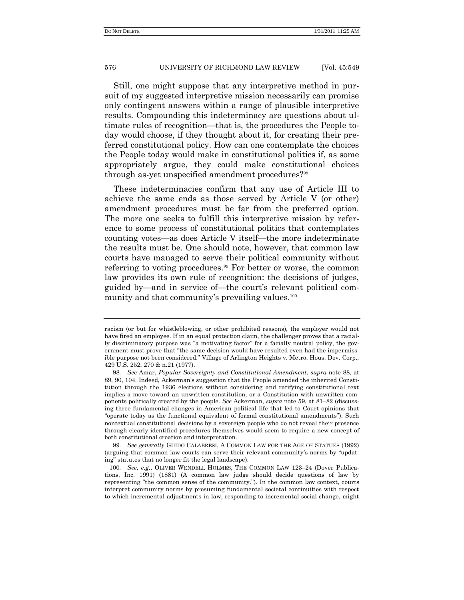Still, one might suppose that any interpretive method in pursuit of my suggested interpretive mission necessarily can promise only contingent answers within a range of plausible interpretive results. Compounding this indeterminacy are questions about ultimate rules of recognition—that is, the procedures the People today would choose, if they thought about it, for creating their preferred constitutional policy. How can one contemplate the choices the People today would make in constitutional politics if, as some appropriately argue, they could make constitutional choices through as-yet unspecified amendment procedures?<sup>98</sup>

These indeterminacies confirm that any use of Article III to achieve the same ends as those served by Article V (or other) amendment procedures must be far from the preferred option. The more one seeks to fulfill this interpretive mission by reference to some process of constitutional politics that contemplates counting votes—as does Article V itself—the more indeterminate the results must be. One should note, however, that common law courts have managed to serve their political community without referring to voting procedures.<sup>99</sup> For better or worse, the common law provides its own rule of recognition: the decisions of judges, guided by—and in service of—the court's relevant political community and that community's prevailing values.<sup>100</sup>

racism (or but for whistleblowing, or other prohibited reasons), the employer would not have fired an employee. If in an equal protection claim, the challenger proves that a racially discriminatory purpose was "a motivating factor" for a facially neutral policy, the government must prove that "the same decision would have resulted even had the impermissible purpose not been considered." Village of Arlington Heights v. Metro. Hous. Dev. Corp., 429 U.S. 252, 270 & n.21 (1977).

<sup>98</sup>*. See* Amar, *Popular Sovereignty and Constitutional Amendment*, *supra* note 88, at 89, 90, 104. Indeed, Ackerman's suggestion that the People amended the inherited Constitution through the 1936 elections without considering and ratifying constitutional text implies a move toward an unwritten constitution, or a Constitution with unwritten components politically created by the people. *See* Ackerman, *supra* note 59, at 81–82 (discussing three fundamental changes in American political life that led to Court opinions that "operate today as the functional equivalent of formal constitutional amendments"). Such nontextual constitutional decisions by a sovereign people who do not reveal their presence through clearly identified procedures themselves would seem to require a new concept of both constitutional creation and interpretation.

<sup>99</sup>*. See generally* GUIDO CALABRESI, A COMMON LAW FOR THE AGE OF STATUES (1992) (arguing that common law courts can serve their relevant community's norms by "updating" statutes that no longer fit the legal landscape).

<sup>100</sup>*. See, e.g*., OLIVER WENDELL HOLMES, THE COMMON LAW 123–24 (Dover Publications, Inc. 1991) (1881) (A common law judge should decide questions of law by representing "the common sense of the community."). In the common law context, courts interpret community norms by presuming fundamental societal continuities with respect to which incremental adjustments in law, responding to incremental social change, might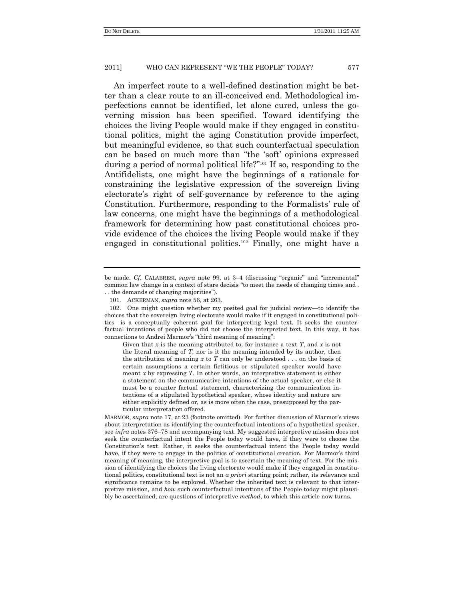An imperfect route to a well-defined destination might be better than a clear route to an ill-conceived end. Methodological imperfections cannot be identified, let alone cured, unless the governing mission has been specified. Toward identifying the choices the living People would make if they engaged in constitutional politics, might the aging Constitution provide imperfect, but meaningful evidence, so that such counterfactual speculation can be based on much more than "the 'soft' opinions expressed during a period of normal political life?"<sup>101</sup> If so, responding to the Antifidelists, one might have the beginnings of a rationale for constraining the legislative expression of the sovereign living electorate's right of self-governance by reference to the aging Constitution. Furthermore, responding to the Formalists' rule of law concerns, one might have the beginnings of a methodological framework for determining how past constitutional choices provide evidence of the choices the living People would make if they engaged in constitutional politics.<sup>102</sup> Finally, one might have a

Given that *x* is the meaning attributed to, for instance a text *T*, and *x* is not the literal meaning of *T*, nor is it the meaning intended by its author, then the attribution of meaning *x* to *T* can only be understood . . . on the basis of certain assumptions a certain fictitious or stipulated speaker would have meant *x* by expressing *T*. In other words, an interpretive statement is either a statement on the communicative intentions of the actual speaker, or else it must be a counter factual statement, characterizing the communication intentions of a stipulated hypothetical speaker, whose identity and nature are either explicitly defined or, as is more often the case, presupposed by the particular interpretation offered.

be made. *Cf.* CALABRESI, *supra* note 99, at 3–4 (discussing "organic" and "incremental" common law change in a context of stare decisis "to meet the needs of changing times and . . . the demands of changing majorities").

<sup>101.</sup> ACKERMAN, *supra* note 56, at 263.

<sup>102.</sup> One might question whether my posited goal for judicial review—to identify the choices that the sovereign living electorate would make if it engaged in constitutional politics—is a conceptually coherent goal for interpreting legal text. It seeks the counterfactual intentions of people who did not choose the interpreted text. In this way, it has connections to Andrei Marmor's "third meaning of meaning":

MARMOR, *supra* note 17, at 23 (footnote omitted). For further discussion of Marmor's views about interpretation as identifying the counterfactual intentions of a hypothetical speaker, see *infra* notes 376–78 and accompanying text. My suggested interpretive mission does not seek the counterfactual intent the People today would have, if they were to choose the Constitution's text. Rather, it seeks the counterfactual intent the People today would have, if they were to engage in the politics of constitutional creation. For Marmor's third meaning of meaning, the interpretive goal is to ascertain the meaning of text. For the mission of identifying the choices the living electorate would make if they engaged in constitutional politics, constitutional text is not an *a priori* starting point; rather, its relevance and significance remains to be explored. Whether the inherited text is relevant to that interpretive mission, and *how* such counterfactual intentions of the People today might plausibly be ascertained, are questions of interpretive *method*, to which this article now turns.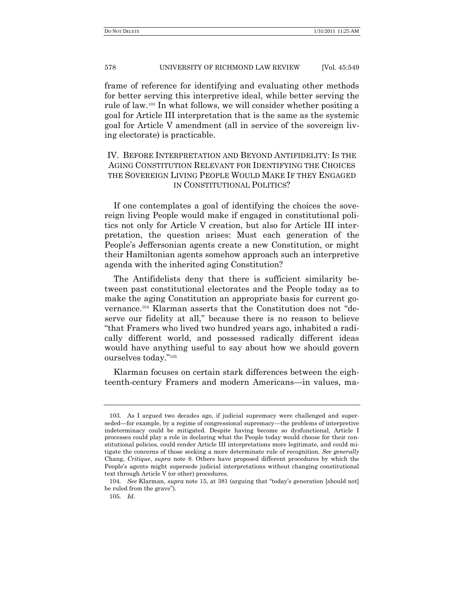frame of reference for identifying and evaluating other methods for better serving this interpretive ideal, while better serving the rule of law.<sup>103</sup> In what follows, we will consider whether positing a goal for Article III interpretation that is the same as the systemic goal for Article V amendment (all in service of the sovereign living electorate) is practicable.

# IV. BEFORE INTERPRETATION AND BEYOND ANTIFIDELITY: IS THE AGING CONSTITUTION RELEVANT FOR IDENTIFYING THE CHOICES THE SOVEREIGN LIVING PEOPLE WOULD MAKE IF THEY ENGAGED IN CONSTITUTIONAL POLITICS?

If one contemplates a goal of identifying the choices the sovereign living People would make if engaged in constitutional politics not only for Article V creation, but also for Article III interpretation, the question arises: Must each generation of the People's Jeffersonian agents create a new Constitution, or might their Hamiltonian agents somehow approach such an interpretive agenda with the inherited aging Constitution?

The Antifidelists deny that there is sufficient similarity between past constitutional electorates and the People today as to make the aging Constitution an appropriate basis for current governance.<sup>104</sup> Klarman asserts that the Constitution does not "deserve our fidelity at all," because there is no reason to believe ―that Framers who lived two hundred years ago, inhabited a radically different world, and possessed radically different ideas would have anything useful to say about how we should govern ourselves today."<sup>105</sup>

Klarman focuses on certain stark differences between the eighteenth-century Framers and modern Americans—in values, ma-

<sup>103.</sup> As I argued two decades ago, if judicial supremacy were challenged and superseded—for example, by a regime of congressional supremacy—the problems of interpretive indeterminacy could be mitigated. Despite having become so dysfunctional, Article I processes could play a role in declaring what the People today would choose for their constitutional policies, could render Article III interpretations more legitimate, and could mitigate the concerns of those seeking a more determinate rule of recognition. *See generally* Chang, *Critique*, *supra* note 8. Others have proposed different procedures by which the People's agents might supersede judicial interpretations without changing constitutional text through Article V (or other) procedures.

<sup>104.</sup> *See* Klarman, *supra* note 15, at 381 (arguing that "today's generation [should not] be ruled from the grave").

<sup>105</sup>*. Id*.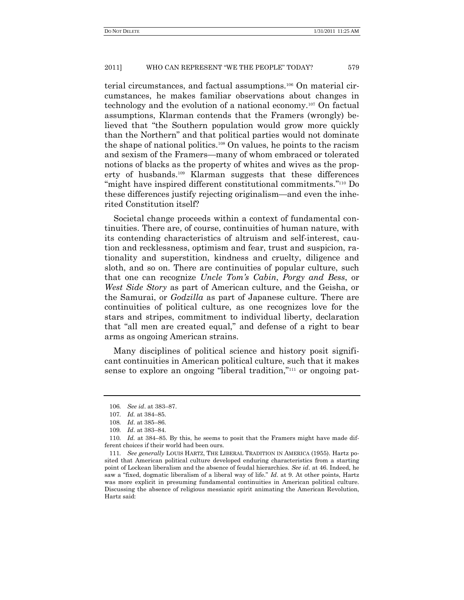terial circumstances, and factual assumptions.<sup>106</sup> On material circumstances, he makes familiar observations about changes in technology and the evolution of a national economy.<sup>107</sup> On factual assumptions, Klarman contends that the Framers (wrongly) believed that "the Southern population would grow more quickly than the Northern" and that political parties would not dominate the shape of national politics.<sup>108</sup> On values, he points to the racism and sexism of the Framers—many of whom embraced or tolerated notions of blacks as the property of whites and wives as the property of husbands.<sup>109</sup> Klarman suggests that these differences "might have inspired different constitutional commitments."<sup>110</sup> Do these differences justify rejecting originalism—and even the inherited Constitution itself?

Societal change proceeds within a context of fundamental continuities. There are, of course, continuities of human nature, with its contending characteristics of altruism and self-interest, caution and recklessness, optimism and fear, trust and suspicion, rationality and superstition, kindness and cruelty, diligence and sloth, and so on. There are continuities of popular culture, such that one can recognize *Uncle Tom's Cabin*, *Porgy and Bess*, or *West Side Story* as part of American culture, and the Geisha, or the Samurai, or *Godzilla* as part of Japanese culture. There are continuities of political culture, as one recognizes love for the stars and stripes, commitment to individual liberty, declaration that "all men are created equal," and defense of a right to bear arms as ongoing American strains.

Many disciplines of political science and history posit significant continuities in American political culture, such that it makes sense to explore an ongoing "liberal tradition,"<sup>111</sup> or ongoing pat-

<sup>106</sup>*. See id*. at 383–87.

<sup>107</sup>*. Id.* at 384–85.

<sup>108</sup>*. Id*. at 385–86.

<sup>109</sup>*. Id*. at 383–84.

<sup>110</sup>*. Id.* at 384–85. By this, he seems to posit that the Framers might have made different choices if their world had been ours.

<sup>111</sup>*. See generally* LOUIS HARTZ, THE LIBERAL TRADITION IN AMERICA (1955). Hartz posited that American political culture developed enduring characteristics from a starting point of Lockean liberalism and the absence of feudal hierarchies. *See id*. at 46. Indeed, he saw a "fixed, dogmatic liberalism of a liberal way of life." Id. at 9. At other points, Hartz was more explicit in presuming fundamental continuities in American political culture. Discussing the absence of religious messianic spirit animating the American Revolution, Hartz said: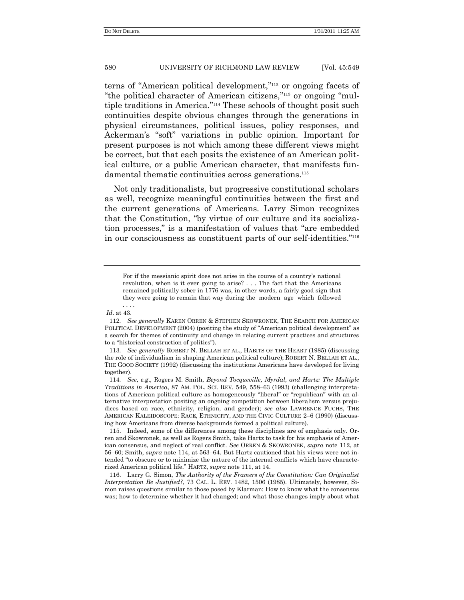terns of "American political development,"<sup>112</sup> or ongoing facets of "the political character of American citizens,"<sup>113</sup> or ongoing "multiple traditions in America."<sup>114</sup> These schools of thought posit such continuities despite obvious changes through the generations in physical circumstances, political issues, policy responses, and Ackerman's "soft" variations in public opinion. Important for present purposes is not which among these different views might be correct, but that each posits the existence of an American political culture, or a public American character, that manifests fundamental thematic continuities across generations.<sup>115</sup>

Not only traditionalists, but progressive constitutional scholars as well, recognize meaningful continuities between the first and the current generations of Americans. Larry Simon recognizes that the Constitution, "by virtue of our culture and its socialization processes," is a manifestation of values that "are embedded in our consciousness as constituent parts of our self-identities."<sup>116</sup>

*Id*. at 43.

For if the messianic spirit does not arise in the course of a country's national revolution, when is it ever going to arise? . . . The fact that the Americans remained politically sober in 1776 was, in other words, a fairly good sign that they were going to remain that way during the modern age which followed . . . .

<sup>112</sup>*. See generally* KAREN ORREN & STEPHEN SKOWRONEK, THE SEARCH FOR AMERICAN POLITICAL DEVELOPMENT (2004) (positing the study of "American political development" as a search for themes of continuity and change in relating current practices and structures to a "historical construction of politics").

<sup>113</sup>*. See generally* ROBERT N. BELLAH ET AL., HABITS OF THE HEART (1985) (discussing the role of individualism in shaping American political culture); ROBERT N. BELLAH ET AL., THE GOOD SOCIETY (1992) (discussing the institutions Americans have developed for living together).

<sup>114</sup>*. See, e.g*., Rogers M. Smith, *Beyond Tocqueville, Myrdal, and Hartz: The Multiple Traditions in America*, 87 AM. POL. SCI. REV. 549, 558–63 (1993) (challenging interpretations of American political culture as homogeneously "liberal" or "republican" with an alternative interpretation positing an ongoing competition between liberalism versus prejudices based on race, ethnicity, religion, and gender); *see also* LAWRENCE FUCHS, THE AMERICAN KALEIDOSCOPE: RACE, ETHNICITY, AND THE CIVIC CULTURE 2–6 (1990) (discussing how Americans from diverse backgrounds formed a political culture).

<sup>115.</sup> Indeed, some of the differences among these disciplines are of emphasis only. Orren and Skowronek, as well as Rogers Smith, take Hartz to task for his emphasis of American consensus, and neglect of real conflict. *See* ORREN & SKOWRONEK, *supra* note 112, at 56–60; Smith, *supra* note 114, at 563–64. But Hartz cautioned that his views were not intended "to obscure or to minimize the nature of the internal conflicts which have characterized American political life.‖ HARTZ, *supra* note 111, at 14.

<sup>116.</sup> Larry G. Simon, *The Authority of the Framers of the Constitution: Can Originalist Interpretation Be Justified?*, 73 CAL. L. REV. 1482, 1506 (1985). Ultimately, however, Simon raises questions similar to those posed by Klarman: How to know what the consensus was; how to determine whether it had changed; and what those changes imply about what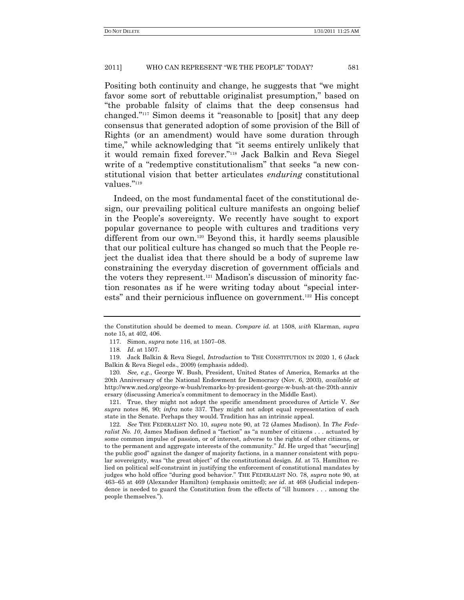Positing both continuity and change, he suggests that "we might" favor some sort of rebuttable originalist presumption," based on ―the probable falsity of claims that the deep consensus had changed."<sup>117</sup> Simon deems it "reasonable to [posit] that any deep consensus that generated adoption of some provision of the Bill of Rights (or an amendment) would have some duration through time," while acknowledging that "it seems entirely unlikely that it would remain fixed forever."<sup>118</sup> Jack Balkin and Reva Siegel write of a "redemptive constitutionalism" that seeks "a new constitutional vision that better articulates *enduring* constitutional values."<sup>119</sup>

Indeed, on the most fundamental facet of the constitutional design, our prevailing political culture manifests an ongoing belief in the People's sovereignty. We recently have sought to export popular governance to people with cultures and traditions very different from our own.<sup>120</sup> Beyond this, it hardly seems plausible that our political culture has changed so much that the People reject the dualist idea that there should be a body of supreme law constraining the everyday discretion of government officials and the voters they represent.<sup>121</sup> Madison's discussion of minority faction resonates as if he were writing today about "special interests" and their pernicious influence on government.<sup>122</sup> His concept

the Constitution should be deemed to mean. *Compare id.* at 1508, *with* Klarman, *supra* note 15, at 402, 406.

<sup>117.</sup> Simon, *supra* note 116, at 1507–08.

<sup>118</sup>*. Id*. at 1507.

<sup>119.</sup> Jack Balkin & Reva Siegel, *Introduction* to THE CONSTITUTION IN 2020 1, 6 (Jack Balkin & Reva Siegel eds., 2009) (emphasis added).

<sup>120</sup>*. See, e.g*., George W. Bush, President, United States of America, Remarks at the 20th Anniversary of the National Endowment for Democracy (Nov. 6, 2003), *available at* http://www.ned.org/george-w-bush/remarks-by-president-george-w-bush-at-the-20th-anniv ersary (discussing America's commitment to democracy in the Middle East).

<sup>121.</sup> True, they might not adopt the specific amendment procedures of Article V. *See supra* notes 86, 90; *infra* note 337. They might not adopt equal representation of each state in the Senate. Perhaps they would. Tradition has an intrinsic appeal.

<sup>122</sup>*. See* THE FEDERALIST NO. 10, *supra* note 90, at 72 (James Madison). In *The Federalist No. 10*, James Madison defined a "faction" as "a number of citizens . . . actuated by some common impulse of passion, or of interest, adverse to the rights of other citizens, or to the permanent and aggregate interests of the community." *Id*. He urged that "secur[ing] the public good" against the danger of majority factions, in a manner consistent with popular sovereignty, was "the great object" of the constitutional design. *Id.* at 75. Hamilton relied on political self-constraint in justifying the enforcement of constitutional mandates by judges who hold office "during good behavior." THE FEDERALIST NO. 78, *supra* note 90, at 463–65 at 469 (Alexander Hamilton) (emphasis omitted); *see id*. at 468 (Judicial independence is needed to guard the Constitution from the effects of "ill humors . . . among the people themselves.").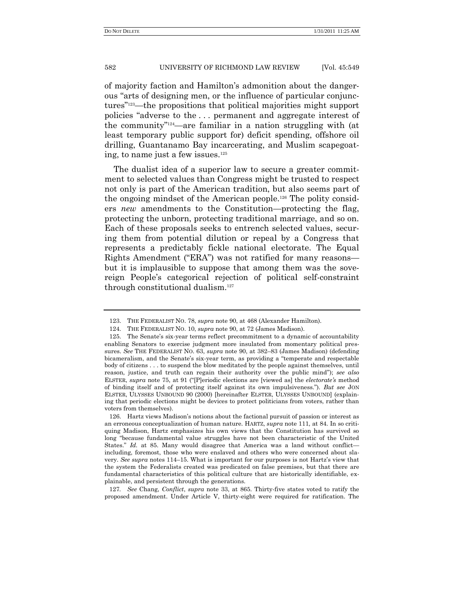of majority faction and Hamilton's admonition about the dangerous "arts of designing men, or the influence of particular conjunctures"<sup>123</sup>—the propositions that political majorities might support policies "adverse to the ... permanent and aggregate interest of the community<sup>"124</sup>—are familiar in a nation struggling with (at least temporary public support for) deficit spending, offshore oil drilling, Guantanamo Bay incarcerating, and Muslim scapegoating, to name just a few issues.<sup>125</sup>

The dualist idea of a superior law to secure a greater commitment to selected values than Congress might be trusted to respect not only is part of the American tradition, but also seems part of the ongoing mindset of the American people.<sup>126</sup> The polity considers *new* amendments to the Constitution—protecting the flag, protecting the unborn, protecting traditional marriage, and so on. Each of these proposals seeks to entrench selected values, securing them from potential dilution or repeal by a Congress that represents a predictably fickle national electorate. The Equal Rights Amendment ("ERA") was not ratified for many reasons but it is implausible to suppose that among them was the sovereign People's categorical rejection of political self-constraint through constitutional dualism.<sup>127</sup>

127*. See* Chang, *Conflict*, *supra* note 33, at 865. Thirty-five states voted to ratify the proposed amendment. Under Article V, thirty-eight were required for ratification. The

<sup>123.</sup> THE FEDERALIST NO. 78, *supra* note 90, at 468 (Alexander Hamilton).

<sup>124.</sup> THE FEDERALIST NO. 10, *supra* note 90, at 72 (James Madison).

<sup>125.</sup> The Senate's six-year terms reflect precommitment to a dynamic of accountability enabling Senators to exercise judgment more insulated from momentary political pressures. *See* THE FEDERALIST NO. 63, *supra* note 90, at 382–83 (James Madison) (defending bicameralism, and the Senate's six-year term, as providing a "temperate and respectable body of citizens . . . to suspend the blow meditated by the people against themselves, until reason, justice, and truth can regain their authority over the public mind"); *see also* ELSTER, *supra* note 75, at 91 ("|P|eriodic elections are [viewed as] the *electorate's* method of binding itself and of protecting itself against its own impulsiveness.‖). *But see* JON ELSTER, ULYSSES UNBOUND 90 (2000) [hereinafter ELSTER, ULYSSES UNBOUND] (explaining that periodic elections might be devices to protect politicians from voters, rather than voters from themselves).

<sup>126.</sup> Hartz views Madison's notions about the factional pursuit of passion or interest as an erroneous conceptualization of human nature. HARTZ, *supra* note 111, at 84. In so critiquing Madison, Hartz emphasizes his own views that the Constitution has survived so long "because fundamental value struggles have not been characteristic of the United States." *Id.* at 85. Many would disagree that America was a land without conflict including, foremost, those who were enslaved and others who were concerned about slavery. *See supra* notes 114–15. What is important for our purposes is not Hartz's view that the system the Federalists created was predicated on false premises, but that there are fundamental characteristics of this political culture that are historically identifiable, explainable, and persistent through the generations.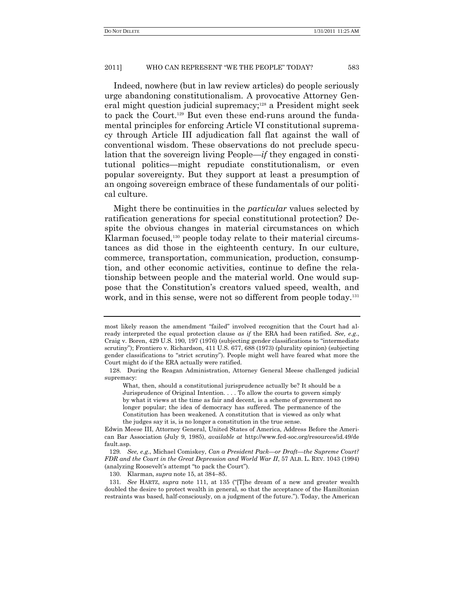Indeed, nowhere (but in law review articles) do people seriously urge abandoning constitutionalism. A provocative Attorney General might question judicial supremacy;<sup>128</sup> a President might seek to pack the Court.<sup>129</sup> But even these end-runs around the fundamental principles for enforcing Article VI constitutional supremacy through Article III adjudication fall flat against the wall of conventional wisdom. These observations do not preclude speculation that the sovereign living People—*if* they engaged in constitutional politics—might repudiate constitutionalism, or even popular sovereignty. But they support at least a presumption of an ongoing sovereign embrace of these fundamentals of our political culture.

Might there be continuities in the *particular* values selected by ratification generations for special constitutional protection? Despite the obvious changes in material circumstances on which Klarman focused,<sup>130</sup> people today relate to their material circumstances as did those in the eighteenth century. In our culture, commerce, transportation, communication, production, consumption, and other economic activities, continue to define the relationship between people and the material world. One would suppose that the Constitution's creators valued speed, wealth, and work, and in this sense, were not so different from people today.<sup>131</sup>

130. Klarman, *supra* note 15, at 384–85.

most likely reason the amendment "failed" involved recognition that the Court had already interpreted the equal protection clause *as if* the ERA had been ratified. *See, e.g*., Craig v. Boren, 429 U.S. 190, 197 (1976) (subjecting gender classifications to "intermediate scrutiny"); Frontiero v. Richardson, 411 U.S. 677, 688 (1973) (plurality opinion) (subjecting gender classifications to "strict scrutiny"). People might well have feared what more the Court might do if the ERA actually were ratified.

<sup>128.</sup> During the Reagan Administration, Attorney General Meese challenged judicial supremacy:

What, then, should a constitutional jurisprudence actually be? It should be a Jurisprudence of Original Intention. . . . To allow the courts to govern simply by what it views at the time as fair and decent, is a scheme of government no longer popular; the idea of democracy has suffered. The permanence of the Constitution has been weakened. A constitution that is viewed as only what the judges say it is, is no longer a constitution in the true sense.

Edwin Meese III, Attorney General, United States of America, Address Before the American Bar Association (July 9, 1985), *available at* http://www.fed-soc.org/resources/id.49/de fault.asp.

<sup>129</sup>*. See, e.g*., Michael Comiskey, *Can a President Pack—or Draft—the Supreme Court? FDR and the Court in the Great Depression and World War II*, 57 ALB. L. REV. 1043 (1994) (analyzing Roosevelt's attempt "to pack the Court").

<sup>131.</sup> *See* HARTZ, *supra* note 111, at 135 ("IThe dream of a new and greater wealth doubled the desire to protect wealth in general, so that the acceptance of the Hamiltonian restraints was based, half-consciously, on a judgment of the future."). Today, the American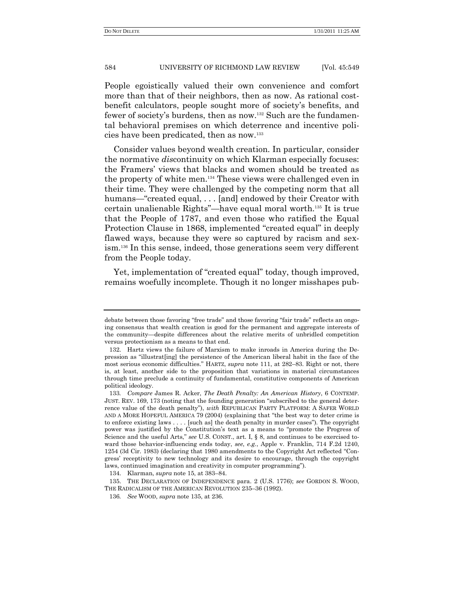People egoistically valued their own convenience and comfort more than that of their neighbors, then as now. As rational costbenefit calculators, people sought more of society's benefits, and fewer of society's burdens, then as now.<sup>132</sup> Such are the fundamental behavioral premises on which deterrence and incentive policies have been predicated, then as now.<sup>133</sup>

Consider values beyond wealth creation. In particular, consider the normative *dis*continuity on which Klarman especially focuses: the Framers' views that blacks and women should be treated as the property of white men.<sup>134</sup> These views were challenged even in their time. They were challenged by the competing norm that all humans—"created equal, . . . [and] endowed by their Creator with certain unalienable Rights"—have equal moral worth.<sup>135</sup> It is true that the People of 1787, and even those who ratified the Equal Protection Clause in 1868, implemented "created equal" in deeply flawed ways, because they were so captured by racism and sexism.<sup>136</sup> In this sense, indeed, those generations seem very different from the People today.

Yet, implementation of "created equal" today, though improved, remains woefully incomplete. Though it no longer misshapes pub-

debate between those favoring "free trade" and those favoring "fair trade" reflects an ongoing consensus that wealth creation is good for the permanent and aggregate interests of the community—despite differences about the relative merits of unbridled competition versus protectionism as a means to that end.

<sup>132.</sup> Hartz views the failure of Marxism to make inroads in America during the Depression as "illustrat[ing] the persistence of the American liberal habit in the face of the most serious economic difficulties.‖ HARTZ, *supra* note 111, at 282–83. Right or not, there is, at least, another side to the proposition that variations in material circumstances through time preclude a continuity of fundamental, constitutive components of American political ideology.

<sup>133</sup>*. Compare* James R. Acker, *The Death Penalty: An American History*, 6 CONTEMP. JUST. REV. 169, 173 (noting that the founding generation "subscribed to the general deterrence value of the death penalty"), *with* REPUBLICAN PARTY PLATFORM: A SAFER WORLD AND A MORE HOPEFUL AMERICA  $79$  (2004) (explaining that "the best way to deter crime is to enforce existing laws  $\dots$  [such as] the death penalty in murder cases"). The copyright power was justified by the Constitution's text as a means to "promote the Progress of Science and the useful Arts," see U.S. CONST., art. I, § 8, and continues to be exercised toward those behavior-influencing ends today, *see*, *e.g.*, Apple v. Franklin, 714 F.2d 1240, 1254 (3d Cir. 1983) (declaring that 1980 amendments to the Copyright Act reflected "Congress' receptivity to new technology and its desire to encourage, through the copyright laws, continued imagination and creativity in computer programming").

<sup>134.</sup> Klarman, *supra* note 15, at 383–84.

<sup>135.</sup> THE DECLARATION OF INDEPENDENCE para. 2 (U.S. 1776); *see* GORDON S. WOOD, THE RADICALISM OF THE AMERICAN REVOLUTION 235–36 (1992).

<sup>136</sup>*. See* WOOD, *supra* note 135, at 236.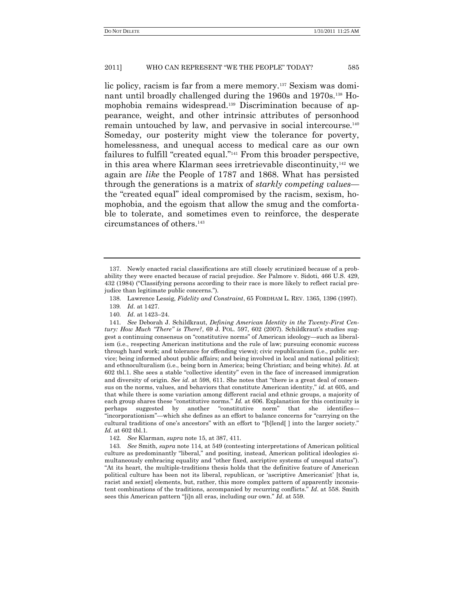lic policy, racism is far from a mere memory.<sup>137</sup> Sexism was dominant until broadly challenged during the 1960s and 1970s.<sup>138</sup> Homophobia remains widespread.<sup>139</sup> Discrimination because of appearance, weight, and other intrinsic attributes of personhood remain untouched by law, and pervasive in social intercourse.<sup>140</sup> Someday, our posterity might view the tolerance for poverty, homelessness, and unequal access to medical care as our own failures to fulfill "created equal."<sup>141</sup> From this broader perspective, in this area where Klarman sees irretrievable discontinuity, $142$  we again are *like* the People of 1787 and 1868. What has persisted through the generations is a matrix of *starkly competing values* the "created equal" ideal compromised by the racism, sexism, homophobia, and the egoism that allow the smug and the comfortable to tolerate, and sometimes even to reinforce, the desperate circumstances of others.<sup>143</sup>

<sup>137.</sup> Newly enacted racial classifications are still closely scrutinized because of a probability they were enacted because of racial prejudice. *See* Palmore v. Sidoti, 466 U.S. 429, 432 (1984) ("Classifying persons according to their race is more likely to reflect racial prejudice than legitimate public concerns.").

<sup>138.</sup> Lawrence Lessig, *Fidelity and Constraint*, 65 FORDHAM L. REV. 1365, 1396 (1997).

<sup>139</sup>*. Id*. at 1427.

<sup>140</sup>*. Id*. at 1423–24.

<sup>141</sup>*. See* Deborah J. Schildkraut, *Defining American Identity in the Twenty-First Century: How Much "There" is There?*, 69 J. POL. 597, 602 (2007). Schildkraut's studies suggest a continuing consensus on "constitutive norms" of American ideology—such as liberalism (i.e., respecting American institutions and the rule of law; pursuing economic success through hard work; and tolerance for offending views); civic republicanism (i.e., public service; being informed about public affairs; and being involved in local and national politics); and ethnoculturalism (i.e., being born in America; being Christian; and being white). *Id*. at 602 tbl.1. She sees a stable "collective identity" even in the face of increased immigration and diversity of origin. *See id.* at 598, 611. She notes that "there is a great deal of consensus on the norms, values, and behaviors that constitute American identity," *id.* at 605, and that while there is some variation among different racial and ethnic groups, a majority of each group shares these "constitutive norms." *Id.* at 606. Explanation for this continuity is perhaps suggested by another "constitutive norm" that she identifies— "incorporationism"—which she defines as an effort to balance concerns for "carrying on the cultural traditions of one's ancestors" with an effort to "[b]lend[] into the larger society." *Id.* at 602 tbl.1.

<sup>142</sup>*. See* Klarman, *supra* note 15, at 387, 411.

<sup>143</sup>*. See* Smith, *supra* note 114, at 549 (contesting interpretations of American political culture as predominantly "liberal," and positing, instead, American political ideologies simultaneously embracing equality and "other fixed, ascriptive systems of unequal status"). ―At its heart, the multiple-traditions thesis holds that the definitive feature of American political culture has been not its liberal, republican, or ‗ascriptive Americanist' [that is, racist and sexist] elements, but, rather, this more complex pattern of apparently inconsistent combinations of the traditions, accompanied by recurring conflicts." *Id.* at 558. Smith sees this American pattern "[i]n all eras, including our own." *Id.* at 559.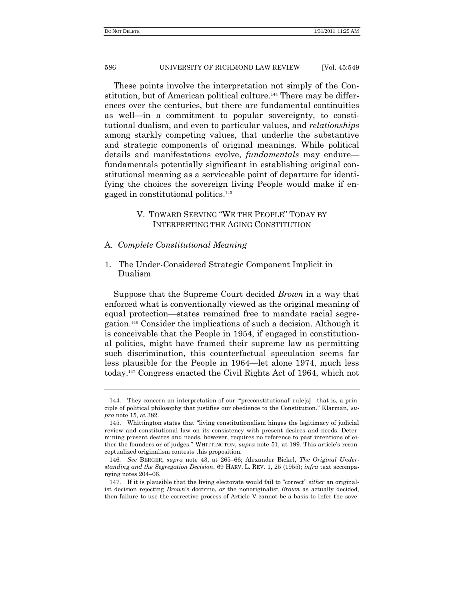These points involve the interpretation not simply of the Constitution, but of American political culture.<sup>144</sup> There may be differences over the centuries, but there are fundamental continuities as well—in a commitment to popular sovereignty, to constitutional dualism, and even to particular values, and *relationships* among starkly competing values, that underlie the substantive and strategic components of original meanings. While political details and manifestations evolve, *fundamentals* may endure fundamentals potentially significant in establishing original constitutional meaning as a serviceable point of departure for identifying the choices the sovereign living People would make if engaged in constitutional politics.<sup>145</sup>

# V. TOWARD SERVING "WE THE PEOPLE" TODAY BY INTERPRETING THE AGING CONSTITUTION

# A. *Complete Constitutional Meaning*

1. The Under-Considered Strategic Component Implicit in Dualism

Suppose that the Supreme Court decided *Brown* in a way that enforced what is conventionally viewed as the original meaning of equal protection—states remained free to mandate racial segregation.<sup>146</sup> Consider the implications of such a decision. Although it is conceivable that the People in 1954, if engaged in constitutional politics, might have framed their supreme law as permitting such discrimination, this counterfactual speculation seems far less plausible for the People in 1964—let alone 1974, much less today.<sup>147</sup> Congress enacted the Civil Rights Act of 1964, which not

<sup>144.</sup> They concern an interpretation of our "preconstitutional' rule[s]—that is, a principle of political philosophy that justifies our obedience to the Constitution.‖ Klarman, *supra* note 15, at 382.

<sup>145.</sup> Whittington states that "living constitutionalism hinges the legitimacy of judicial review and constitutional law on its consistency with present desires and needs. Determining present desires and needs, however, requires no reference to past intentions of either the founders or of judges.‖ WHITTINGTON, *supra* note 51, at 199. This article's reconceptualized originalism contests this proposition.

<sup>146</sup>*. See* BERGER, *supra* note 43, at 265–66; Alexander Bickel, *The Original Understanding and the Segregation Decision*, 69 HARV. L. REV. 1, 25 (1955); *infra* text accompanying notes 204–06.

<sup>147.</sup> If it is plausible that the living electorate would fail to "correct" *either* an originalist decision rejecting *Brown*'s doctrine, *or* the nonoriginalist *Brown* as actually decided, then failure to use the corrective process of Article V cannot be a basis to infer the sove-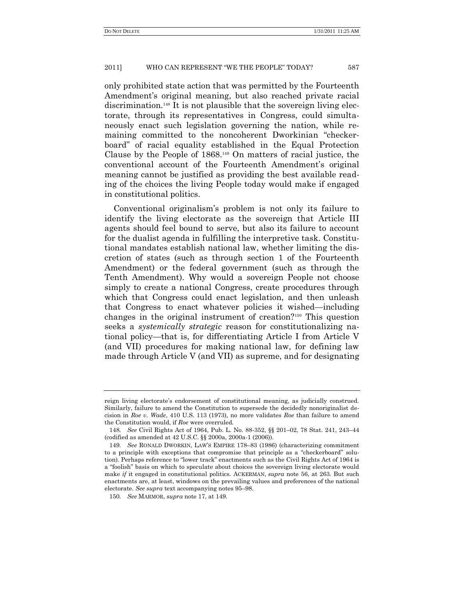only prohibited state action that was permitted by the Fourteenth Amendment's original meaning, but also reached private racial discrimination.<sup>148</sup> It is not plausible that the sovereign living electorate, through its representatives in Congress, could simultaneously enact such legislation governing the nation, while remaining committed to the noncoherent Dworkinian "checkerboard" of racial equality established in the Equal Protection Clause by the People of 1868.<sup>149</sup> On matters of racial justice, the conventional account of the Fourteenth Amendment's original meaning cannot be justified as providing the best available reading of the choices the living People today would make if engaged in constitutional politics.

Conventional originalism's problem is not only its failure to identify the living electorate as the sovereign that Article III agents should feel bound to serve, but also its failure to account for the dualist agenda in fulfilling the interpretive task. Constitutional mandates establish national law, whether limiting the discretion of states (such as through section 1 of the Fourteenth Amendment) or the federal government (such as through the Tenth Amendment). Why would a sovereign People not choose simply to create a national Congress, create procedures through which that Congress could enact legislation, and then unleash that Congress to enact whatever policies it wished—including changes in the original instrument of creation?<sup>150</sup> This question seeks a *systemically strategic* reason for constitutionalizing national policy—that is, for differentiating Article I from Article V (and VII) procedures for making national law, for defining law made through Article V (and VII) as supreme, and for designating

reign living electorate's endorsement of constitutional meaning, as judicially construed. Similarly, failure to amend the Constitution to supersede the decidedly nonoriginalist decision in *Roe v. Wade*, 410 U.S. 113 (1973), no more validates *Roe* than failure to amend the Constitution would, if *Roe* were overruled.

<sup>148</sup>*. See* Civil Rights Act of 1964, Pub. L. No. 88-352, §§ 201–02, 78 Stat. 241, 243–44 (codified as amended at 42 U.S.C. §§ 2000a, 2000a-1 (2006)).

<sup>149</sup>*. See* RONALD DWORKIN, LAW'S EMPIRE 178–83 (1986) (characterizing commitment to a principle with exceptions that compromise that principle as a "checkerboard" solution). Perhaps reference to "lower track" enactments such as the Civil Rights Act of 1964 is a "foolish" basis on which to speculate about choices the sovereign living electorate would make *if* it engaged in constitutional politics. ACKERMAN, *supra* note 56, at 263. But such enactments are, at least, windows on the prevailing values and preferences of the national electorate. *See supra* text accompanying notes 95–98.

<sup>150</sup>*. See* MARMOR, *supra* note 17, at 149.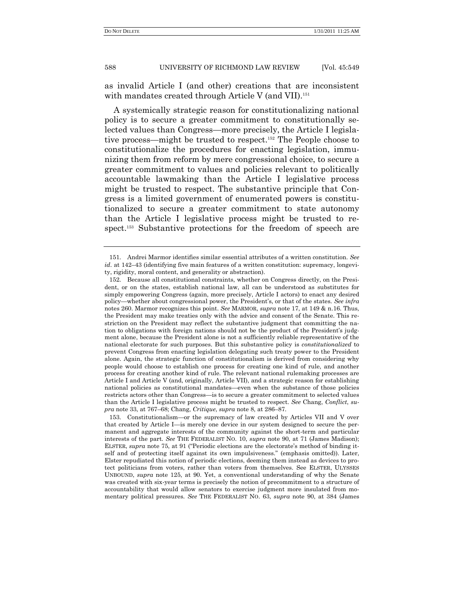as invalid Article I (and other) creations that are inconsistent with mandates created through Article V (and VII).<sup>151</sup>

A systemically strategic reason for constitutionalizing national policy is to secure a greater commitment to constitutionally selected values than Congress—more precisely, the Article I legislative process—might be trusted to respect.<sup>152</sup> The People choose to constitutionalize the procedures for enacting legislation, immunizing them from reform by mere congressional choice, to secure a greater commitment to values and policies relevant to politically accountable lawmaking than the Article I legislative process might be trusted to respect. The substantive principle that Congress is a limited government of enumerated powers is constitutionalized to secure a greater commitment to state autonomy than the Article I legislative process might be trusted to respect.<sup>153</sup> Substantive protections for the freedom of speech are

<sup>151.</sup> Andrei Marmor identifies similar essential attributes of a written constitution. *See id*. at 142–43 (identifying five main features of a written constitution: supremacy, longevity, rigidity, moral content, and generality or abstraction).

<sup>152.</sup> Because all constitutional constraints, whether on Congress directly, on the President, or on the states, establish national law, all can be understood as substitutes for simply empowering Congress (again, more precisely, Article I actors) to enact any desired policy—whether about congressional power, the President's, or that of the states. *See infra* notes 260. Marmor recognizes this point. *See* MARMOR, *supra* note 17, at 149 & n.16. Thus, the President may make treaties only with the advice and consent of the Senate. This restriction on the President may reflect the substantive judgment that committing the nation to obligations with foreign nations should not be the product of the President's judgment alone, because the President alone is not a sufficiently reliable representative of the national electorate for such purposes. But this substantive policy is *constitutionalized* to prevent Congress from enacting legislation delegating such treaty power to the President alone. Again, the strategic function of constitutionalism is derived from considering why people would choose to establish one process for creating one kind of rule, and another process for creating another kind of rule. The relevant national rulemaking processes are Article I and Article V (and, originally, Article VII), and a strategic reason for establishing national policies as constitutional mandates—even when the substance of those policies restricts actors other than Congress—is to secure a greater commitment to selected values than the Article I legislative process might be trusted to respect. *See* Chang, *Conflict*, *supra* note 33, at 767–68; Chang, *Critique*, *supra* note 8, at 286–87.

<sup>153.</sup> Constitutionalism—or the supremacy of law created by Articles VII and V over that created by Article I—is merely one device in our system designed to secure the permanent and aggregate interests of the community against the short-term and particular interests of the part. *See* THE FEDERALIST NO. 10, *supra* note 90, at 71 (James Madison); ELSTER, *supra* note 75, at 91 ("Periodic elections are the electorate's method of binding itself and of protecting itself against its own impulsiveness." (emphasis omitted)). Later, Elster repudiated this notion of periodic elections, deeming them instead as devices to protect politicians from voters, rather than voters from themselves. See ELSTER, ULYSSES UNBOUND, *supra* note 125, at 90. Yet, a conventional understanding of why the Senate was created with six-year terms is precisely the notion of precommitment to a structure of accountability that would allow senators to exercise judgment more insulated from momentary political pressures. *See* THE FEDERALIST NO. 63, *supra* note 90, at 384 (James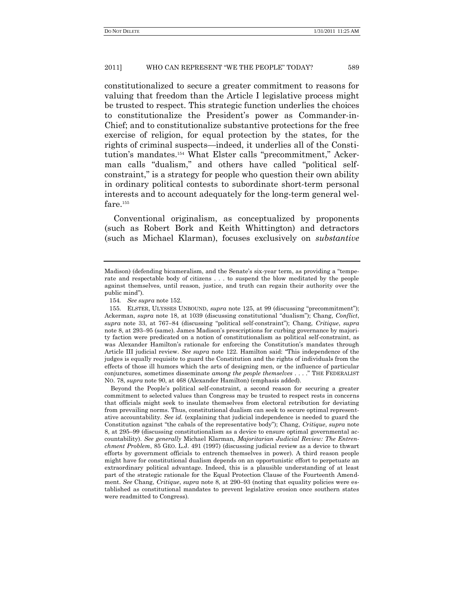constitutionalized to secure a greater commitment to reasons for valuing that freedom than the Article I legislative process might be trusted to respect. This strategic function underlies the choices to constitutionalize the President's power as Commander-in-Chief; and to constitutionalize substantive protections for the free exercise of religion, for equal protection by the states, for the rights of criminal suspects—indeed, it underlies all of the Constitution's mandates.<sup>154</sup> What Elster calls "precommitment," Ackerman calls "dualism," and others have called "political selfconstraint," is a strategy for people who question their own ability in ordinary political contests to subordinate short-term personal interests and to account adequately for the long-term general welfare.<sup>155</sup>

Conventional originalism, as conceptualized by proponents (such as Robert Bork and Keith Whittington) and detractors (such as Michael Klarman), focuses exclusively on *substantive*

Beyond the People's political self-constraint, a second reason for securing a greater commitment to selected values than Congress may be trusted to respect rests in concerns that officials might seek to insulate themselves from electoral retribution for deviating from prevailing norms. Thus, constitutional dualism can seek to secure optimal representative accountability. *See id.* (explaining that judicial independence is needed to guard the Constitution against "the cabals of the representative body"); Chang, *Critique*, *supra* note 8, at 295–99 (discussing constitutionalism as a device to ensure optimal governmental accountability). *See generally* Michael Klarman, *Majoritarian Judicial Review: The Entrenchment Problem*, 85 GEO. L.J. 491 (1997) (discussing judicial review as a device to thwart efforts by government officials to entrench themselves in power). A third reason people might have for constitutional dualism depends on an opportunistic effort to perpetuate an extraordinary political advantage. Indeed, this is a plausible understanding of at least part of the strategic rationale for the Equal Protection Clause of the Fourteenth Amendment. *See* Chang, *Critique*, *supra* note 8, at 290–93 (noting that equality policies were established as constitutional mandates to prevent legislative erosion once southern states were readmitted to Congress).

Madison) (defending bicameralism, and the Senate's six-year term, as providing a "temperate and respectable body of citizens . . . to suspend the blow meditated by the people against themselves, until reason, justice, and truth can regain their authority over the public mind").

<sup>154</sup>*. See supra* note 152.

<sup>155.</sup> ELSTER, ULYSSES UNBOUND, *supra* note 125, at 99 (discussing "precommitment"); Ackerman, *supra* note 18, at 1039 (discussing constitutional "dualism"); Chang, *Conflict*, *supra* note 33, at 767–84 (discussing ―political self-constraint‖); Chang, *Critique*, *supra* note 8, at 293–95 (same). James Madison's prescriptions for curbing governance by majority faction were predicated on a notion of constitutionalism as political self-constraint, as was Alexander Hamilton's rationale for enforcing the Constitution's mandates through Article III judicial review. *See supra* note 122. Hamilton said: "This independence of the judges is equally requisite to guard the Constitution and the rights of individuals from the effects of those ill humors which the arts of designing men, or the influence of particular conjunctures, sometimes disseminate *among the people themselves* . . . .‖ THE FEDERALIST NO. 78, *supra* note 90, at 468 (Alexander Hamilton) (emphasis added).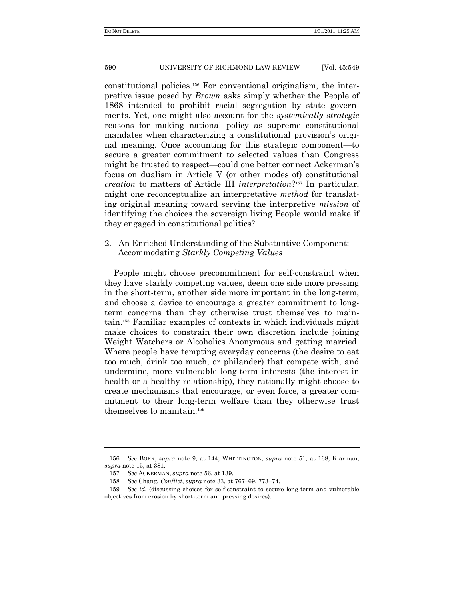constitutional policies.<sup>156</sup> For conventional originalism, the interpretive issue posed by *Brown* asks simply whether the People of 1868 intended to prohibit racial segregation by state governments. Yet, one might also account for the *systemically strategic* reasons for making national policy as supreme constitutional mandates when characterizing a constitutional provision's original meaning. Once accounting for this strategic component—to secure a greater commitment to selected values than Congress might be trusted to respect—could one better connect Ackerman's focus on dualism in Article V (or other modes of) constitutional *creation* to matters of Article III *interpretation*? <sup>157</sup> In particular, might one reconceptualize an interpretative *method* for translating original meaning toward serving the interpretive *mission* of identifying the choices the sovereign living People would make if they engaged in constitutional politics?

# 2. An Enriched Understanding of the Substantive Component: Accommodating *Starkly Competing Values*

People might choose precommitment for self-constraint when they have starkly competing values, deem one side more pressing in the short-term, another side more important in the long-term, and choose a device to encourage a greater commitment to longterm concerns than they otherwise trust themselves to maintain.<sup>158</sup> Familiar examples of contexts in which individuals might make choices to constrain their own discretion include joining Weight Watchers or Alcoholics Anonymous and getting married. Where people have tempting everyday concerns (the desire to eat too much, drink too much, or philander) that compete with, and undermine, more vulnerable long-term interests (the interest in health or a healthy relationship), they rationally might choose to create mechanisms that encourage, or even force, a greater commitment to their long-term welfare than they otherwise trust themselves to maintain.<sup>159</sup>

<sup>156</sup>*. See* BORK, *supra* note 9, at 144; WHITTINGTON, *supra* note 51, at 168; Klarman, *supra* note 15, at 381.

<sup>157</sup>*. See* ACKERMAN, *supra* note 56, at 139.

<sup>158</sup>*. See* Chang, *Conflict*, *supra* note 33, at 767–69, 773–74.

<sup>159</sup>*. See id*. (discussing choices for self-constraint to secure long-term and vulnerable objectives from erosion by short-term and pressing desires).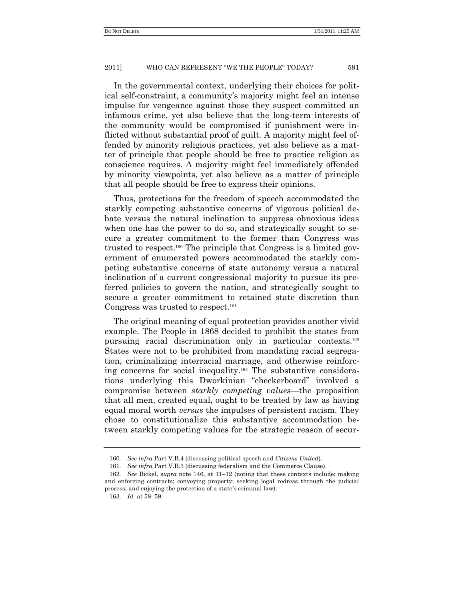In the governmental context, underlying their choices for political self-constraint, a community's majority might feel an intense impulse for vengeance against those they suspect committed an infamous crime, yet also believe that the long-term interests of the community would be compromised if punishment were inflicted without substantial proof of guilt. A majority might feel offended by minority religious practices, yet also believe as a matter of principle that people should be free to practice religion as conscience requires. A majority might feel immediately offended by minority viewpoints, yet also believe as a matter of principle that all people should be free to express their opinions.

Thus, protections for the freedom of speech accommodated the starkly competing substantive concerns of vigorous political debate versus the natural inclination to suppress obnoxious ideas when one has the power to do so, and strategically sought to secure a greater commitment to the former than Congress was trusted to respect.<sup>160</sup> The principle that Congress is a limited government of enumerated powers accommodated the starkly competing substantive concerns of state autonomy versus a natural inclination of a current congressional majority to pursue its preferred policies to govern the nation, and strategically sought to secure a greater commitment to retained state discretion than Congress was trusted to respect.<sup>161</sup>

The original meaning of equal protection provides another vivid example. The People in 1868 decided to prohibit the states from pursuing racial discrimination only in particular contexts.<sup>162</sup> States were not to be prohibited from mandating racial segregation, criminalizing interracial marriage, and otherwise reinforcing concerns for social inequality.<sup>163</sup> The substantive considerations underlying this Dworkinian "checkerboard" involved a compromise between *starkly competing values*—the proposition that all men, created equal, ought to be treated by law as having equal moral worth *versus* the impulses of persistent racism. They chose to constitutionalize this substantive accommodation between starkly competing values for the strategic reason of secur-

<sup>160</sup>*. See infra* Part V.B.4 (discussing political speech and *Citizens United*).

<sup>161</sup>*. See infra* Part V.B.3 (discussing federalism and the Commerce Clause).

<sup>162</sup>*. See* Bickel, *supra* note 146, at 11–12 (noting that these contexts include: making and enforcing contracts; conveying property; seeking legal redress through the judicial process; and enjoying the protection of a state's criminal law).

<sup>163</sup>*. Id.* at 58–59.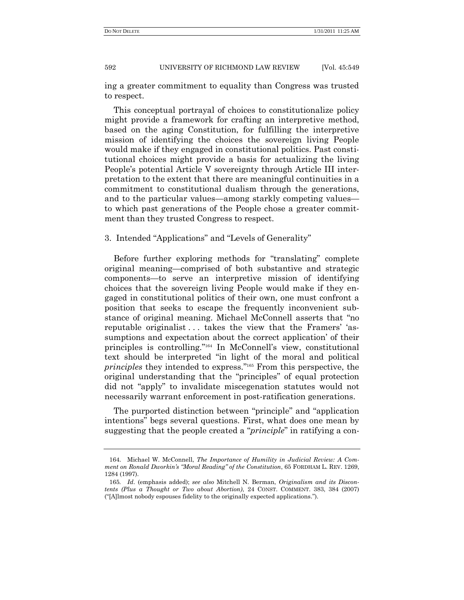ing a greater commitment to equality than Congress was trusted to respect.

This conceptual portrayal of choices to constitutionalize policy might provide a framework for crafting an interpretive method, based on the aging Constitution, for fulfilling the interpretive mission of identifying the choices the sovereign living People would make if they engaged in constitutional politics. Past constitutional choices might provide a basis for actualizing the living People's potential Article V sovereignty through Article III interpretation to the extent that there are meaningful continuities in a commitment to constitutional dualism through the generations, and to the particular values—among starkly competing values to which past generations of the People chose a greater commitment than they trusted Congress to respect.

# 3. Intended "Applications" and "Levels of Generality"

Before further exploring methods for "translating" complete original meaning—comprised of both substantive and strategic components—to serve an interpretive mission of identifying choices that the sovereign living People would make if they engaged in constitutional politics of their own, one must confront a position that seeks to escape the frequently inconvenient substance of original meaning. Michael McConnell asserts that "no reputable originalist ... takes the view that the Framers' 'assumptions and expectation about the correct application' of their principles is controlling."<sup>164</sup> In McConnell's view, constitutional text should be interpreted "in light of the moral and political principles they intended to express."<sup>165</sup> From this perspective, the original understanding that the "principles" of equal protection did not "apply" to invalidate miscegenation statutes would not necessarily warrant enforcement in post-ratification generations.

The purported distinction between "principle" and "application" intentions" begs several questions. First, what does one mean by suggesting that the people created a "*principle*" in ratifying a con-

<sup>164.</sup> Michael W. McConnell, *The Importance of Humility in Judicial Review: A Comment on Ronald Dworkin's ―Moral Reading‖ of the Constitution*, 65 FORDHAM L. REV. 1269, 1284 (1997).

<sup>165</sup>*. Id*. (emphasis added); *see also* Mitchell N. Berman, *Originalism and its Discontents (Plus a Thought or Two about Abortion)*, 24 CONST. COMMENT. 383, 384 (2007) (―[A]lmost nobody espouses fidelity to the originally expected applications.‖).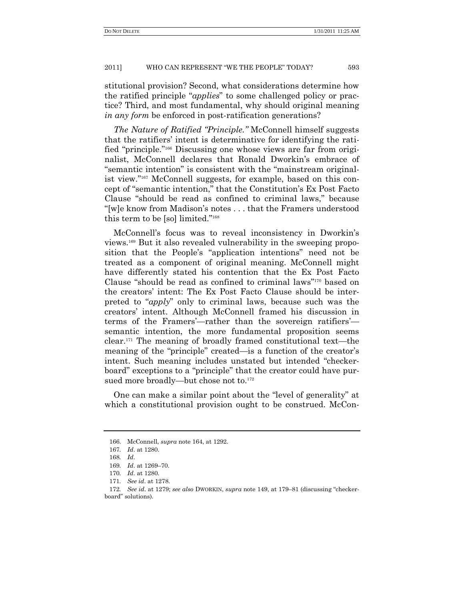stitutional provision? Second, what considerations determine how the ratified principle "*applies*" to some challenged policy or practice? Third, and most fundamental, why should original meaning *in any form* be enforced in post-ratification generations?

*The Nature of Ratified "Principle.*" McConnell himself suggests that the ratifiers' intent is determinative for identifying the ratified "principle."<sup>166</sup> Discussing one whose views are far from originalist, McConnell declares that Ronald Dworkin's embrace of ―semantic intention‖ is consistent with the ―mainstream originalist view."<sup>167</sup> McConnell suggests, for example, based on this concept of "semantic intention," that the Constitution's Ex Post Facto Clause "should be read as confined to criminal laws," because ―[w]e know from Madison's notes . . . that the Framers understood this term to be [so] limited." $168$ 

McConnell's focus was to reveal inconsistency in Dworkin's views.<sup>169</sup> But it also revealed vulnerability in the sweeping proposition that the People's "application intentions" need not be treated as a component of original meaning. McConnell might have differently stated his contention that the Ex Post Facto Clause "should be read as confined to criminal laws" $170$  based on the creators' intent: The Ex Post Facto Clause should be interpreted to "*apply*" only to criminal laws, because such was the creators' intent. Although McConnell framed his discussion in terms of the Framers'—rather than the sovereign ratifiers' semantic intention, the more fundamental proposition seems clear.<sup>171</sup> The meaning of broadly framed constitutional text—the meaning of the "principle" created—is a function of the creator's intent. Such meaning includes unstated but intended "checkerboard" exceptions to a "principle" that the creator could have pursued more broadly—but chose not to.<sup>172</sup>

One can make a similar point about the "level of generality" at which a constitutional provision ought to be construed. McCon-

<sup>166.</sup> McConnell, *supra* note 164, at 1292.

<sup>167</sup>*. Id*. at 1280.

<sup>168</sup>*. Id*.

<sup>169</sup>*. Id*. at 1269–70.

<sup>170</sup>*. Id*. at 1280.

<sup>171</sup>*. See id*. at 1278.

<sup>172</sup>*. See id.* at 1279; *see also* DWORKIN, *supra* note 149, at 179–81 (discussing "checkerboard" solutions).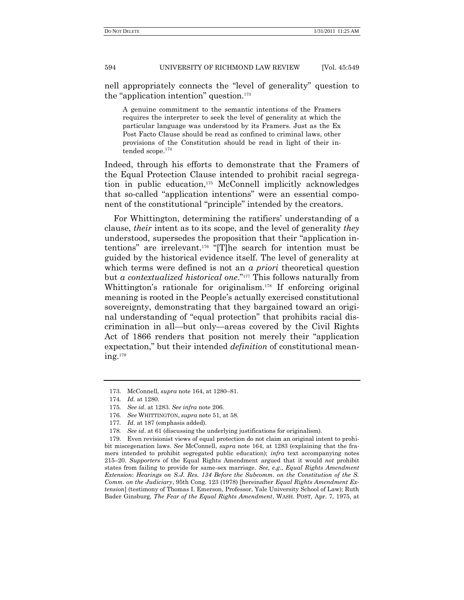nell appropriately connects the "level of generality" question to the "application intention" question. $173$ 

A genuine commitment to the semantic intentions of the Framers requires the interpreter to seek the level of generality at which the particular language was understood by its Framers. Just as the Ex Post Facto Clause should be read as confined to criminal laws, other provisions of the Constitution should be read in light of their intended scope. $^{174}$ 

Indeed, through his efforts to demonstrate that the Framers of the Equal Protection Clause intended to prohibit racial segregation in public education,<sup>175</sup> McConnell implicitly acknowledges that so-called "application intentions" were an essential component of the constitutional "principle" intended by the creators.

For Whittington, determining the ratifiers' understanding of a clause, *their* intent as to its scope, and the level of generality *they* understood, supersedes the proposition that their "application intentions" are irrelevant.<sup>176</sup> "[T]he search for intention must be guided by the historical evidence itself. The level of generality at which terms were defined is not an *a priori* theoretical question but *a contextualized historical one.*"<sup>177</sup> This follows naturally from Whittington's rationale for originalism.<sup>178</sup> If enforcing original meaning is rooted in the People's actually exercised constitutional sovereignty, demonstrating that they bargained toward an original understanding of "equal protection" that prohibits racial discrimination in all—but only—areas covered by the Civil Rights Act of 1866 renders that position not merely their "application" expectation," but their intended *definition* of constitutional meaning.<sup>179</sup>

<sup>173.</sup> McConnell, *supra* note 164, at 1280–81.

<sup>174</sup>*. Id.* at 1280.

<sup>175</sup>*. See id*. at 1283. *See infra* note 206.

<sup>176</sup>*. See* WHITTINGTON, *supra* note 51, at 58.

<sup>177</sup>*. Id*. at 187 (emphasis added).

<sup>178</sup>*. See id*. at 61 (discussing the underlying justifications for originalism).

<sup>179.</sup> Even revisionist views of equal protection do not claim an original intent to prohibit miscegenation laws. *See* McConnell, *supra* note 164, at 1283 (explaining that the framers intended to prohibit segregated public education); *infra* text accompanying notes 215–20. *Supporters* of the Equal Rights Amendment argued that it would *not* prohibit states from failing to provide for same-sex marriage. *See, e.g*., *Equal Rights Amendment Extension*: *Hearings on S.J. Res. 134 Before the Subcomm. on the Constitution of the S. Comm. on the Judiciary*, 95th Cong. 123 (1978) [hereinafter *Equal Rights Amendment Extension*] (testimony of Thomas I. Emerson, Professor, Yale University School of Law); Ruth Bader Ginsburg, *The Fear of the Equal Rights Amendment*, WASH. POST, Apr. 7, 1975, at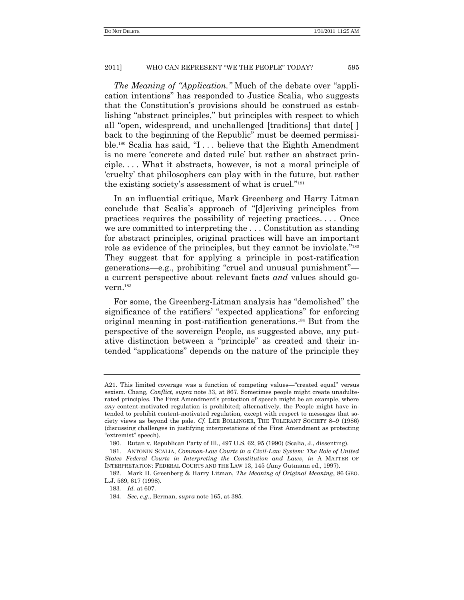*The Meaning of "Application.*" Much of the debate over "application intentions" has responded to Justice Scalia, who suggests that the Constitution's provisions should be construed as establishing "abstract principles," but principles with respect to which all "open, widespread, and unchallenged [traditions] that date[] back to the beginning of the Republic" must be deemed permissible.<sup>180</sup> Scalia has said,  $\mathcal{I}$ ... believe that the Eighth Amendment is no mere 'concrete and dated rule' but rather an abstract principle. . . . What it abstracts, however, is not a moral principle of ‗cruelty' that philosophers can play with in the future, but rather the existing society's assessment of what is cruel."<sup>181</sup>

In an influential critique, Mark Greenberg and Harry Litman conclude that Scalia's approach of "[d]eriving principles from practices requires the possibility of rejecting practices. . . . Once we are committed to interpreting the . . . Constitution as standing for abstract principles, original practices will have an important role as evidence of the principles, but they cannot be inviolate."<sup>182</sup> They suggest that for applying a principle in post-ratification generations—e.g., prohibiting "cruel and unusual punishment" a current perspective about relevant facts *and* values should govern.<sup>183</sup>

For some, the Greenberg-Litman analysis has "demolished" the significance of the ratifiers' "expected applications" for enforcing original meaning in post-ratification generations.<sup>184</sup> But from the perspective of the sovereign People, as suggested above, any putative distinction between a "principle" as created and their intended "applications" depends on the nature of the principle they

A21. This limited coverage was a function of competing values—"created equal" versus sexism. Chang, *Conflict*, *supra* note 33, at 867. Sometimes people might create unadulterated principles. The First Amendment's protection of speech might be an example, where *any* content-motivated regulation is prohibited; alternatively, the People might have intended to prohibit content-motivated regulation, except with respect to messages that society views as beyond the pale. *Cf.* LEE BOLLINGER, THE TOLERANT SOCIETY 8–9 (1986) (discussing challenges in justifying interpretations of the First Amendment as protecting ―extremist‖ speech).

<sup>180.</sup> Rutan v. Republican Party of Ill., 497 U.S. 62, 95 (1990) (Scalia, J., dissenting).

<sup>181.</sup> ANTONIN SCALIA, *Common-Law Courts in a Civil-Law System: The Role of United States Federal Courts in Interpreting the Constitution and Laws*, *in* A MATTER OF INTERPRETATION: FEDERAL COURTS AND THE LAW 13, 145 (Amy Gutmann ed., 1997).

<sup>182.</sup> Mark D. Greenberg & Harry Litman, *The Meaning of Original Meaning*, 86 GEO. L.J. 569, 617 (1998).

<sup>183</sup>*. Id.* at 607.

<sup>184</sup>*. See, e.g.*, Berman, *supra* note 165, at 385.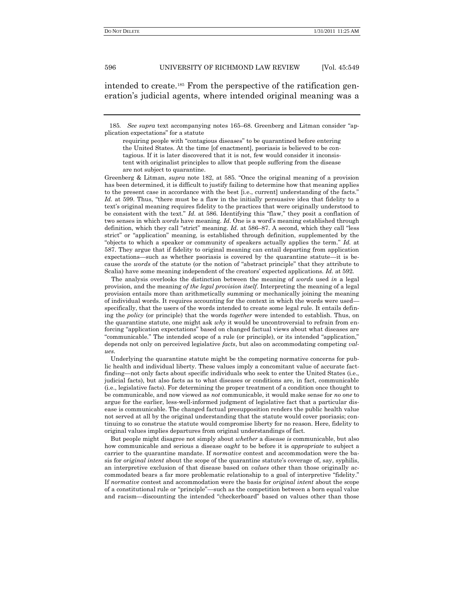intended to create.<sup>185</sup> From the perspective of the ratification generation's judicial agents, where intended original meaning was a

185. See supra text accompanying notes 165–68. Greenberg and Litman consider "application expectations‖ for a statute

Greenberg & Litman, *supra* note 182, at 585. "Once the original meaning of a provision has been determined, it is difficult to justify failing to determine how that meaning applies to the present case in accordance with the best [i.e., current] understanding of the facts." *Id.* at 599. Thus, "there must be a flaw in the initially persuasive idea that fidelity to a text's original meaning requires fidelity to the practices that were originally understood to be consistent with the text." *Id.* at 586. Identifying this "flaw," they posit a conflation of two senses in which *words* have meaning. *Id*. One is a word's meaning established through definition, which they call "strict" meaning. *Id.* at 586–87. A second, which they call "less strict" or "application" meaning, is established through definition, supplemented by the "objects to which a speaker or community of speakers actually applies the term." *Id.* at 587. They argue that if fidelity to original meaning can entail departing from application expectations—such as whether psoriasis is covered by the quarantine statute—it is because the *words* of the statute (or the notion of "abstract principle" that they attribute to Scalia) have some meaning independent of the creators' expected applications. *Id*. at 592.

The analysis overlooks the distinction between the meaning of *words* used *in* a legal provision, and the meaning *of the legal provision itself*. Interpreting the meaning of a legal provision entails more than arithmetically summing or mechanically joining the meaning of individual words. It requires accounting for the context in which the words were used specifically, that the users of the words intended to create some legal rule. It entails defining the *policy* (or principle) that the words *together* were intended to establish. Thus, on the quarantine statute, one might ask *why* it would be uncontroversial to refrain from enforcing "application expectations" based on changed factual views about what diseases are "communicable." The intended scope of a rule (or principle), or its intended "application," depends not only on perceived legislative *facts*, but also on accommodating competing *values*.

Underlying the quarantine statute might be the competing normative concerns for public health and individual liberty. These values imply a concomitant value of accurate factfinding—not only facts about specific individuals who seek to enter the United States (i.e., judicial facts), but also facts as to what diseases or conditions are, in fact, communicable (i.e., legislative facts). For determining the proper treatment of a condition once thought to be communicable, and now viewed as *not* communicable, it would make sense for *no one* to argue for the earlier, less-well-informed judgment of legislative fact that a particular disease is communicable. The changed factual presupposition renders the public health value not served at all by the original understanding that the statute would cover psoriasis; continuing to so construe the statute would compromise liberty for no reason. Here, fidelity to original values implies departures from original understandings of fact.

But people might disagree not simply about *whether* a disease *is* communicable, but also how communicable and serious a disease *ought* to be before it is *appropriate* to subject a carrier to the quarantine mandate. If *normative* contest and accommodation were the basis for *original intent* about the scope of the quarantine statute's coverage of, say, syphilis, an interpretive exclusion of that disease based on *values* other than those originally accommodated bears a far more problematic relationship to a goal of interpretive "fidelity." If *normative* contest and accommodation were the basis for *original intent* about the scope of a constitutional rule or "principle"—such as the competition between a born equal value and racism—discounting the intended "checkerboard" based on values other than those

requiring people with "contagious diseases" to be quarantined before entering the United States. At the time [of enactment], psoriasis is believed to be contagious. If it is later discovered that it is not, few would consider it inconsistent with originalist principles to allow that people suffering from the disease are not subject to quarantine.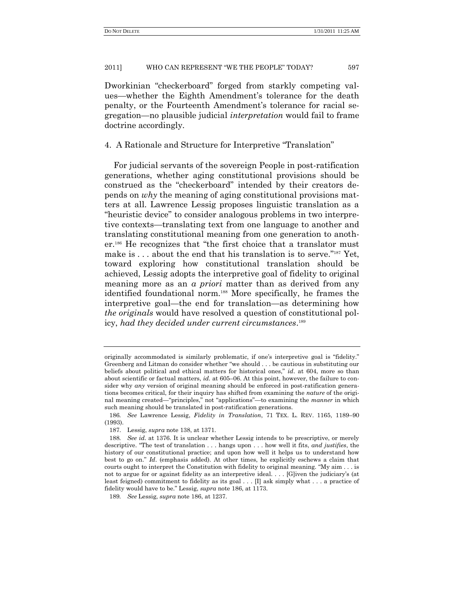Dworkinian "checkerboard" forged from starkly competing values—whether the Eighth Amendment's tolerance for the death penalty, or the Fourteenth Amendment's tolerance for racial segregation—no plausible judicial *interpretation* would fail to frame doctrine accordingly.

4. A Rationale and Structure for Interpretive "Translation"

For judicial servants of the sovereign People in post-ratification generations, whether aging constitutional provisions should be construed as the "checkerboard" intended by their creators depends on *why* the meaning of aging constitutional provisions matters at all. Lawrence Lessig proposes linguistic translation as a "heuristic device" to consider analogous problems in two interpretive contexts—translating text from one language to another and translating constitutional meaning from one generation to another.<sup>186</sup> He recognizes that "the first choice that a translator must make is  $\dots$  about the end that his translation is to serve."<sup>187</sup> Yet, toward exploring how constitutional translation should be achieved, Lessig adopts the interpretive goal of fidelity to original meaning more as an *a priori* matter than as derived from any identified foundational norm.<sup>188</sup> More specifically, he frames the interpretive goal—the end for translation—as determining how *the originals* would have resolved a question of constitutional policy, *had they decided under current circumstances*. 189

originally accommodated is similarly problematic, if one's interpretive goal is "fidelity." Greenberg and Litman do consider whether "we should . . . be cautious in substituting our beliefs about political and ethical matters for historical ones," *id.* at 604, more so than about scientific or factual matters, *id.* at 605–06. At this point, however, the failure to consider why *any* version of original meaning should be enforced in post-ratification generations becomes critical, for their inquiry has shifted from examining the *nature* of the original meaning created—"principles," not "applications"—to examining the *manner* in which such meaning should be translated in post-ratification generations.

<sup>186</sup>*. See* Lawrence Lessig, *Fidelity in Translation*, 71 TEX. L. REV. 1165, 1189–90 (1993).

<sup>187.</sup> Lessig, *supra* note 138, at 1371.

<sup>188</sup>*. See id*. at 1376. It is unclear whether Lessig intends to be prescriptive, or merely descriptive. "The test of translation . . . hangs upon . . . how well it fits, *and justifies*, the history of our constitutional practice; and upon how well it helps us to understand how best to go on.‖ *Id*. (emphasis added). At other times, he explicitly eschews a claim that courts ought to interpret the Constitution with fidelity to original meaning. "My aim  $\dots$  is not to argue for or against fidelity as an interpretive ideal. . . . [G]iven the judiciary's (at least feigned) commitment to fidelity as its goal . . . [I] ask simply what . . . a practice of fidelity would have to be." Lessig, *supra* note 186, at 1173.

<sup>189</sup>*. See* Lessig, *supra* note 186, at 1237.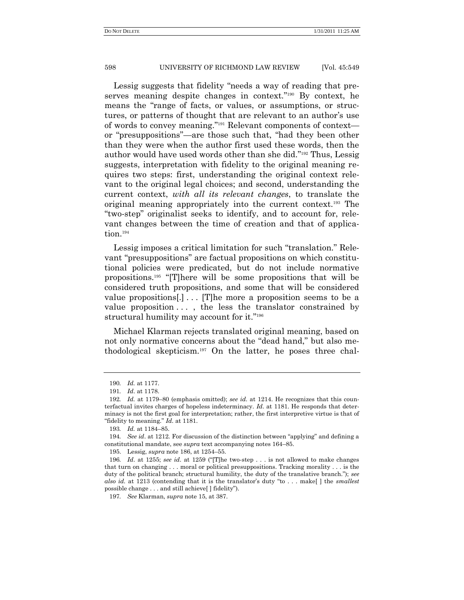Lessig suggests that fidelity "needs a way of reading that preserves meaning despite changes in context."<sup>190</sup> By context, he means the "range of facts, or values, or assumptions, or structures, or patterns of thought that are relevant to an author's use of words to convey meaning."<sup>191</sup> Relevant components of context or "presuppositions"—are those such that, "had they been other than they were when the author first used these words, then the author would have used words other than she did."<sup>192</sup> Thus, Lessig suggests, interpretation with fidelity to the original meaning requires two steps: first, understanding the original context relevant to the original legal choices; and second, understanding the current context, *with all its relevant changes*, to translate the original meaning appropriately into the current context.<sup>193</sup> The ―two-step‖ originalist seeks to identify, and to account for, relevant changes between the time of creation and that of application.<sup>194</sup>

Lessig imposes a critical limitation for such "translation." Relevant "presuppositions" are factual propositions on which constitutional policies were predicated, but do not include normative propositions.<sup>195</sup> ―[T]here will be some propositions that will be considered truth propositions, and some that will be considered value propositions[.] . . . [T]he more a proposition seems to be a value proposition . . . , the less the translator constrained by structural humility may account for it."<sup>196</sup>

Michael Klarman rejects translated original meaning, based on not only normative concerns about the "dead hand," but also methodological skepticism.<sup>197</sup> On the latter, he poses three chal-

<sup>190</sup>*. Id.* at 1177.

<sup>191</sup>*. Id*. at 1178.

<sup>192</sup>*. Id.* at 1179–80 (emphasis omitted); *see id*. at 1214. He recognizes that this counterfactual invites charges of hopeless indeterminacy. *Id*. at 1181. He responds that determinacy is not the first goal for interpretation; rather, the first interpretive virtue is that of ―fidelity to meaning.‖ *Id*. at 1181.

<sup>193</sup>*. Id.* at 1184–85.

<sup>194.</sup> *See id.* at 1212. For discussion of the distinction between "applying" and defining a constitutional mandate, see *supra* text accompanying notes 164–85.

<sup>195.</sup> Lessig, *supra* note 186, at 1254–55.

<sup>196.</sup> *Id.* at 1255; see id. at 1259 ("The two-step  $\ldots$  is not allowed to make changes that turn on changing . . . moral or political presuppositions. Tracking morality . . . is the duty of the political branch; structural humility, the duty of the translative branch."); *see also id.* at 1213 (contending that it is the translator's duty "to . . . make[] the *smallest* possible change . . . and still achieve [] fidelity").

<sup>197</sup>*. See* Klarman, *supra* note 15, at 387.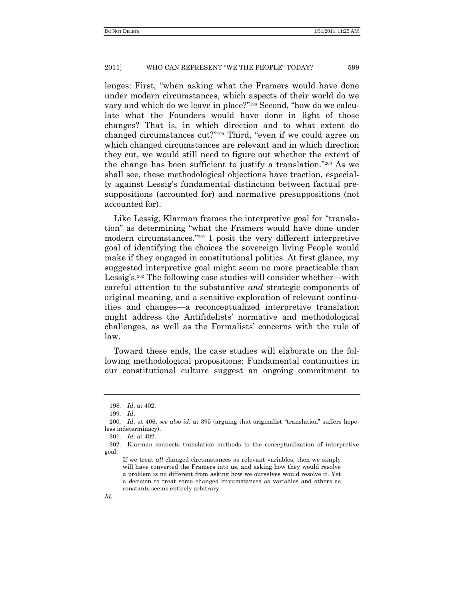lenges: First, "when asking what the Framers would have done under modern circumstances, which aspects of their world do we vary and which do we leave in place?"<sup>198</sup> Second, "how do we calculate what the Founders would have done in light of those changes? That is, in which direction and to what extent do changed circumstances cut?"<sup>199</sup> Third, "even if we could agree on which changed circumstances are relevant and in which direction they cut, we would still need to figure out whether the extent of the change has been sufficient to justify a translation."200 As we shall see, these methodological objections have traction, especially against Lessig's fundamental distinction between factual presuppositions (accounted for) and normative presuppositions (not accounted for).

Like Lessig, Klarman frames the interpretive goal for "translation" as determining "what the Framers would have done under modern circumstances.<sup>"201</sup> I posit the very different interpretive goal of identifying the choices the sovereign living People would make if they engaged in constitutional politics. At first glance, my suggested interpretive goal might seem no more practicable than Lessig's.<sup>202</sup> The following case studies will consider whether—with careful attention to the substantive *and* strategic components of original meaning, and a sensitive exploration of relevant continuities and changes—a reconceptualized interpretive translation might address the Antifidelists' normative and methodological challenges, as well as the Formalists' concerns with the rule of law.

Toward these ends, the case studies will elaborate on the following methodological propositions: Fundamental continuities in our constitutional culture suggest an ongoing commitment to

<sup>198</sup>*. Id*. at 402.

<sup>199</sup>*. Id*.

<sup>200.</sup> *Id.* at 406; see also id. at 395 (arguing that originalist "translation" suffers hopeless indeterminacy).

<sup>201</sup>*. Id*. at 402.

<sup>202.</sup> Klarman connects translation methods to the conceptualization of interpretive goal:

If we treat *all* changed circumstances as relevant variables, then we simply will have converted the Framers into us, and asking how they would resolve a problem is no different from asking how we ourselves would resolve it. Yet a decision to treat some changed circumstances as variables and others as constants seems entirely arbitrary.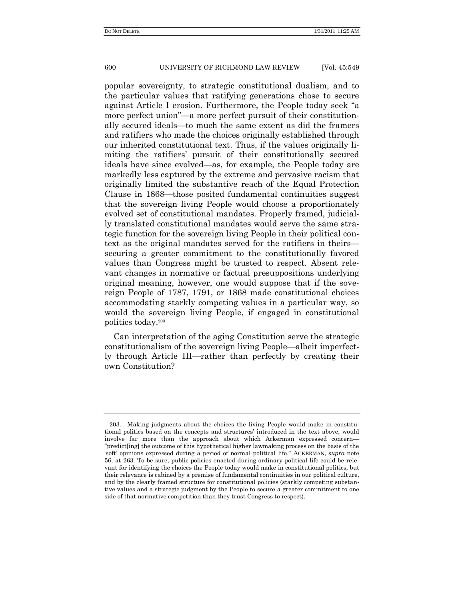popular sovereignty, to strategic constitutional dualism, and to the particular values that ratifying generations chose to secure against Article I erosion. Furthermore, the People today seek "a more perfect union"—a more perfect pursuit of their constitutionally secured ideals—to much the same extent as did the framers and ratifiers who made the choices originally established through our inherited constitutional text. Thus, if the values originally limiting the ratifiers' pursuit of their constitutionally secured ideals have since evolved—as, for example, the People today are markedly less captured by the extreme and pervasive racism that originally limited the substantive reach of the Equal Protection Clause in 1868—those posited fundamental continuities suggest that the sovereign living People would choose a proportionately evolved set of constitutional mandates. Properly framed, judicially translated constitutional mandates would serve the same strategic function for the sovereign living People in their political context as the original mandates served for the ratifiers in theirs securing a greater commitment to the constitutionally favored values than Congress might be trusted to respect. Absent relevant changes in normative or factual presuppositions underlying original meaning, however, one would suppose that if the sovereign People of 1787, 1791, or 1868 made constitutional choices accommodating starkly competing values in a particular way, so would the sovereign living People, if engaged in constitutional politics today.<sup>203</sup>

Can interpretation of the aging Constitution serve the strategic constitutionalism of the sovereign living People—albeit imperfectly through Article III—rather than perfectly by creating their own Constitution?

<sup>203.</sup> Making judgments about the choices the living People would make in constitutional politics based on the concepts and structures' introduced in the text above, would involve far more than the approach about which Ackerman expressed concern— "predict[ing] the outcome of this hypothetical higher lawmaking process on the basis of the ‗soft' opinions expressed during a period of normal political life.‖ ACKERMAN, *supra* note 56, at 263. To be sure, public policies enacted during ordinary political life could be relevant for identifying the choices the People today would make in constitutional politics, but their relevance is cabined by a premise of fundamental continuities in our political culture, and by the clearly framed structure for constitutional policies (starkly competing substantive values and a strategic judgment by the People to secure a greater commitment to one side of that normative competition than they trust Congress to respect).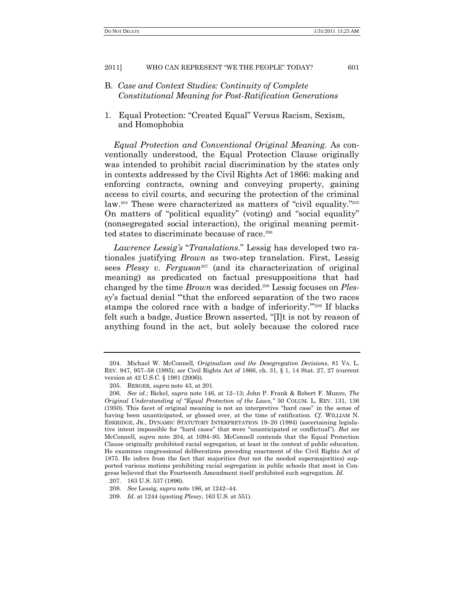- B. *Case and Context Studies: Continuity of Complete Constitutional Meaning for Post-Ratification Generations*
- 1. Equal Protection: "Created Equal" Versus Racism, Sexism, and Homophobia

*Equal Protection and Conventional Original Meaning.* As conventionally understood, the Equal Protection Clause originally was intended to prohibit racial discrimination by the states only in contexts addressed by the Civil Rights Act of 1866: making and enforcing contracts, owning and conveying property, gaining access to civil courts, and securing the protection of the criminal law.<sup>204</sup> These were characterized as matters of "civil equality."<sup>205</sup> On matters of "political equality" (voting) and "social equality" (nonsegregated social interaction), the original meaning permitted states to discriminate because of race.<sup>206</sup>

Lawrence Lessig's "Translations." Lessig has developed two rationales justifying *Brown* as two-step translation. First, Lessig sees *Plessy v. Ferguson*<sup>207</sup> (and its characterization of original meaning) as predicated on factual presuppositions that had changed by the time *Brown* was decided.<sup>208</sup> Lessig focuses on *Plessy*'s factual denial ""that the enforced separation of the two races" stamps the colored race with a badge of inferiority."<sup>209</sup> If blacks felt such a badge, Justice Brown asserted, "[I]t is not by reason of anything found in the act, but solely because the colored race

<sup>204.</sup> Michael W. McConnell, *Originalism and the Desegregation Decisions*, 81 VA. L. REV. 947, 957–58 (1995); *see* Civil Rights Act of 1866, ch. 31, § 1, 14 Stat. 27, 27 (current version at 42 U.S.C. § 1981 (2006)).

<sup>205.</sup> BERGER, *supra* note 43, at 201.

<sup>206</sup>*. See id.*; Bickel, *supra* note 146, at 12–13; John P. Frank & Robert F. Munro, *The Original Understanding of "Equal Protection of the Laws,"* 50 COLUM. L. REV. 131, 136 (1950). This facet of original meaning is not an interpretive "hard case" in the sense of having been unanticipated, or glossed over, at the time of ratification. *Cf.* WILLIAM N. ESKRIDGE, JR., DYNAMIC STATUTORY INTERPRETATION 19–20 (1994) (ascertaining legislative intent impossible for "hard cases" that were "unanticipated or conflictual"). But see McConnell, *supra* note 204, at 1094–95. McConnell contends that the Equal Protection Clause originally prohibited racial segregation, at least in the context of public education. He examines congressional deliberations preceding enactment of the Civil Rights Act of 1875. He infers from the fact that majorities (but not the needed supermajorities) supported various motions prohibiting racial segregation in public schools that most in Congress believed that the Fourteenth Amendment itself prohibited such segregation. *Id.*

<sup>207.</sup> 163 U.S. 537 (1896).

<sup>208</sup>*. See* Lessig, *supra* note 186, at 1242–44.

<sup>209</sup>*. Id*. at 1244 (quoting *Plessy*, 163 U.S. at 551).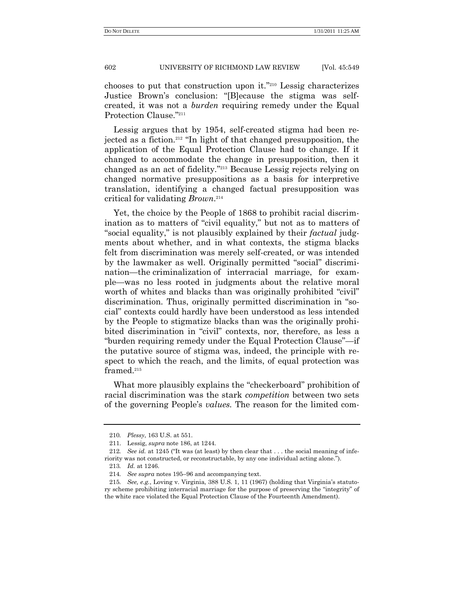chooses to put that construction upon it."<sup>210</sup> Lessig characterizes Justice Brown's conclusion: "[B]ecause the stigma was selfcreated, it was not a *burden* requiring remedy under the Equal Protection Clause."211

Lessig argues that by 1954, self-created stigma had been rejected as a fiction.<sup>212</sup> "In light of that changed presupposition, the application of the Equal Protection Clause had to change. If it changed to accommodate the change in presupposition, then it changed as an act of fidelity."<sup>213</sup> Because Lessig rejects relying on changed normative presuppositions as a basis for interpretive translation, identifying a changed factual presupposition was critical for validating *Brown*. 214

Yet, the choice by the People of 1868 to prohibit racial discrimination as to matters of "civil equality," but not as to matters of ―social equality,‖ is not plausibly explained by their *factual* judgments about whether, and in what contexts, the stigma blacks felt from discrimination was merely self-created, or was intended by the lawmaker as well. Originally permitted "social" discrimination—the criminalization of interracial marriage, for example—was no less rooted in judgments about the relative moral worth of whites and blacks than was originally prohibited "civil" discrimination. Thus, originally permitted discrimination in "social‖ contexts could hardly have been understood as less intended by the People to stigmatize blacks than was the originally prohibited discrimination in "civil" contexts, nor, therefore, as less a "burden requiring remedy under the Equal Protection Clause"—if the putative source of stigma was, indeed, the principle with respect to which the reach, and the limits, of equal protection was framed.<sup>215</sup>

What more plausibly explains the "checkerboard" prohibition of racial discrimination was the stark *competition* between two sets of the governing People's *values.* The reason for the limited com-

<sup>210</sup>*. Plessy*, 163 U.S. at 551.

<sup>211.</sup> Lessig, *supra* note 186, at 1244.

<sup>212.</sup> *See id.* at 1245 ("It was (at least) by then clear that  $\dots$  the social meaning of inferiority was not constructed, or reconstructable, by any one individual acting alone.").

<sup>213</sup>*. Id.* at 1246.

<sup>214</sup>*. See supra* notes 195–96 and accompanying text.

<sup>215</sup>*. See, e.g.*, Loving v. Virginia, 388 U.S. 1, 11 (1967) (holding that Virginia's statutory scheme prohibiting interracial marriage for the purpose of preserving the "integrity" of the white race violated the Equal Protection Clause of the Fourteenth Amendment).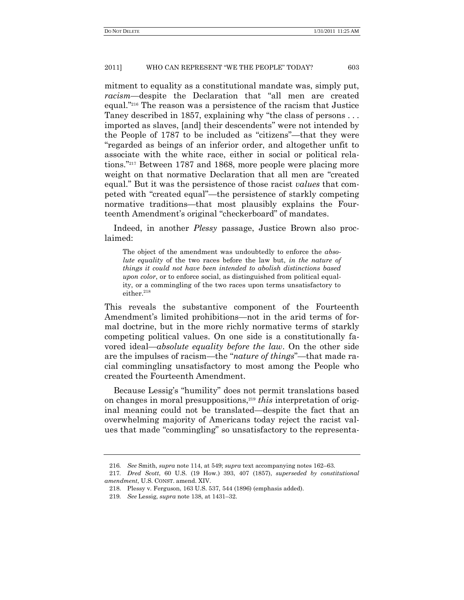mitment to equality as a constitutional mandate was, simply put, *racism*—despite the Declaration that "all men are created equal."<sup>216</sup> The reason was a persistence of the racism that Justice Taney described in 1857, explaining why "the class of persons  $\dots$ imported as slaves, [and] their descendents" were not intended by the People of 1787 to be included as "citizens"—that they were ―regarded as beings of an inferior order, and altogether unfit to associate with the white race, either in social or political relations."<sup>217</sup> Between 1787 and 1868, more people were placing more weight on that normative Declaration that all men are "created equal." But it was the persistence of those racist *values* that competed with "created equal"—the persistence of starkly competing normative traditions*—*that most plausibly explains the Fourteenth Amendment's original "checkerboard" of mandates.

Indeed, in another *Plessy* passage, Justice Brown also proclaimed:

The object of the amendment was undoubtedly to enforce the *absolute equality* of the two races before the law but, *in the nature of things it could not have been intended to abolish distinctions based upon color*, or to enforce social, as distinguished from political equality, or a commingling of the two races upon terms unsatisfactory to either.<sup>218</sup>

This reveals the substantive component of the Fourteenth Amendment's limited prohibitions—not in the arid terms of formal doctrine, but in the more richly normative terms of starkly competing political values. On one side is a constitutionally favored ideal—*absolute equality before the law*. On the other side are the impulses of racism—the "*nature of things*"—that made racial commingling unsatisfactory to most among the People who created the Fourteenth Amendment.

Because Lessig's "humility" does not permit translations based on changes in moral presuppositions,<sup>219</sup> *this* interpretation of original meaning could not be translated—despite the fact that an overwhelming majority of Americans today reject the racist values that made "commingling" so unsatisfactory to the representa-

<sup>216</sup>*. See* Smith, *supra* note 114, at 549; *supra* text accompanying notes 162–63.

<sup>217</sup>*. Dred Scott*, 60 U.S. (19 How.) 393, 407 (1857), *superseded by constitutional amendment*, U.S. CONST. amend. XIV.

<sup>218.</sup> Plessy v. Ferguson, 163 U.S. 537, 544 (1896) (emphasis added).

<sup>219</sup>*. See* Lessig, *supra* note 138, at 1431–32.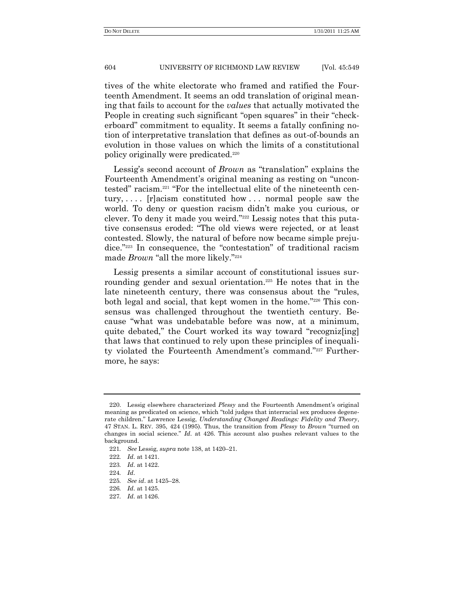tives of the white electorate who framed and ratified the Fourteenth Amendment. It seems an odd translation of original meaning that fails to account for the *values* that actually motivated the People in creating such significant "open squares" in their "checkerboard" commitment to equality. It seems a fatally confining notion of interpretative translation that defines as out-of-bounds an evolution in those values on which the limits of a constitutional policy originally were predicated.<sup>220</sup>

Lessig's second account of *Brown* as "translation" explains the Fourteenth Amendment's original meaning as resting on "uncontested" racism.<sup>221</sup> "For the intellectual elite of the nineteenth century,  $\ldots$  [r]acism constituted how  $\ldots$  normal people saw the world. To deny or question racism didn't make you curious, or clever. To deny it made you weird."<sup>222</sup> Lessig notes that this putative consensus eroded: "The old views were rejected, or at least contested. Slowly, the natural of before now became simple prejudice."<sup>223</sup> In consequence, the "contestation" of traditional racism made *Brown* "all the more likely."<sup>224</sup>

Lessig presents a similar account of constitutional issues surrounding gender and sexual orientation.<sup>225</sup> He notes that in the late nineteenth century, there was consensus about the "rules, both legal and social, that kept women in the home."226 This consensus was challenged throughout the twentieth century. Because "what was undebatable before was now, at a minimum, quite debated," the Court worked its way toward "recogniz[ing] that laws that continued to rely upon these principles of inequality violated the Fourteenth Amendment's command."<sup>227</sup> Furthermore, he says:

<sup>220.</sup> Lessig elsewhere characterized *Plessy* and the Fourteenth Amendment's original meaning as predicated on science, which "told judges that interracial sex produces degenerate children." Lawrence Lessig, *Understanding Changed Readings: Fidelity and Theory*, 47 STAN. L. REV. 395, 424 (1995). Thus, the transition from *Plessy* to *Brown* "turned on changes in social science.‖ *Id*. at 426. This account also pushes relevant values to the background.

<sup>221</sup>*. See* Lessig, *supra* note 138, at 1420–21.

<sup>222</sup>*. Id*. at 1421.

<sup>223</sup>*. Id*. at 1422.

<sup>224</sup>*. Id*.

<sup>225</sup>*. See id*. at 1425–28.

<sup>226</sup>*. Id*. at 1425.

<sup>227</sup>*. Id*. at 1426.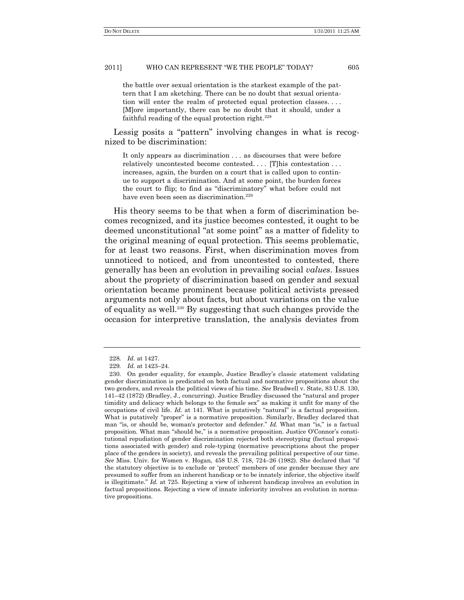the battle over sexual orientation is the starkest example of the pattern that I am sketching. There can be no doubt that sexual orientation will enter the realm of protected equal protection classes. . . . [M]ore importantly, there can be no doubt that it should, under a faithful reading of the equal protection right. $228$ 

Lessig posits a "pattern" involving changes in what is recognized to be discrimination:

It only appears as discrimination . . . as discourses that were before relatively uncontested become contested.... [T]his contestation... increases, again, the burden on a court that is called upon to continue to support a discrimination. And at some point, the burden forces the court to flip; to find as "discriminatory" what before could not have even been seen as discrimination.<sup>229</sup>

His theory seems to be that when a form of discrimination becomes recognized, and its justice becomes contested, it ought to be deemed unconstitutional "at some point" as a matter of fidelity to the original meaning of equal protection. This seems problematic, for at least two reasons. First, when discrimination moves from unnoticed to noticed, and from uncontested to contested, there generally has been an evolution in prevailing social *values*. Issues about the propriety of discrimination based on gender and sexual orientation became prominent because political activists pressed arguments not only about facts, but about variations on the value of equality as well.<sup>230</sup> By suggesting that such changes provide the occasion for interpretive translation, the analysis deviates from

<sup>228</sup>*. Id*. at 1427.

<sup>229</sup>*. Id.* at 1423–24.

<sup>230.</sup> On gender equality, for example, Justice Bradley's classic statement validating gender discrimination is predicated on both factual and normative propositions about the two genders, and reveals the political views of his time. *See* Bradwell v. State, 83 U.S. 130, 141–42 (1872) (Bradley, J., concurring). Justice Bradley discussed the "natural and proper timidity and delicacy which belongs to the female sex" as making it unfit for many of the occupations of civil life. *Id.* at 141. What is putatively "natural" is a factual proposition. What is putatively "proper" is a normative proposition. Similarly, Bradley declared that man "is, or should be, woman's protector and defender." Id. What man "is," is a factual proposition. What man "should be," is a normative proposition. Justice O'Connor's constitutional repudiation of gender discrimination rejected both stereotyping (factual propositions associated with gender) and role-typing (normative prescriptions about the proper place of the genders in society), and reveals the prevailing political perspective of our time. *See* Miss. Univ. for Women v. Hogan, 458 U.S. 718, 724–26 (1982). She declared that "if the statutory objective is to exclude or 'protect' members of one gender because they are presumed to suffer from an inherent handicap or to be innately inferior, the objective itself is illegitimate." *Id.* at 725. Rejecting a view of inherent handicap involves an evolution in factual propositions. Rejecting a view of innate inferiority involves an evolution in normative propositions.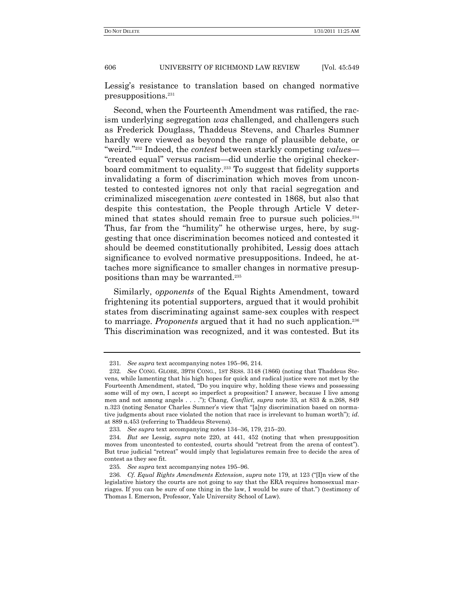Lessig's resistance to translation based on changed normative presuppositions.<sup>231</sup>

Second, when the Fourteenth Amendment was ratified, the racism underlying segregation *was* challenged, and challengers such as Frederick Douglass, Thaddeus Stevens, and Charles Sumner hardly were viewed as beyond the range of plausible debate, or "weird."<sup>232</sup> Indeed, the *contest* between starkly competing *values*— ―created equal‖ versus racism—did underlie the original checkerboard commitment to equality.<sup>233</sup> To suggest that fidelity supports invalidating a form of discrimination which moves from uncontested to contested ignores not only that racial segregation and criminalized miscegenation *were* contested in 1868, but also that despite this contestation, the People through Article V determined that states should remain free to pursue such policies.<sup>234</sup> Thus, far from the "humility" he otherwise urges, here, by suggesting that once discrimination becomes noticed and contested it should be deemed constitutionally prohibited, Lessig does attach significance to evolved normative presuppositions. Indeed, he attaches more significance to smaller changes in normative presuppositions than may be warranted.<sup>235</sup>

Similarly, *opponents* of the Equal Rights Amendment, toward frightening its potential supporters, argued that it would prohibit states from discriminating against same-sex couples with respect to marriage. *Proponents* argued that it had no such application.<sup>236</sup> This discrimination was recognized, and it was contested. But its

<sup>231</sup>*. See supra* text accompanying notes 195–96, 214.

<sup>232</sup>*. See* CONG. GLOBE, 39TH CONG., 1ST SESS. 3148 (1866) (noting that Thaddeus Stevens, while lamenting that his high hopes for quick and radical justice were not met by the Fourteenth Amendment, stated, "Do you inquire why, holding these views and possessing some will of my own, I accept so imperfect a proposition? I answer, because I live among men and not among angels . . . ."); Chang, *Conflict*, *supra* note 33, at 833 & n.268, 849 n.323 (noting Senator Charles Sumner's view that "[a]ny discrimination based on normative judgments about race violated the notion that race is irrelevant to human worth"); *id*. at 889 n.453 (referring to Thaddeus Stevens).

<sup>233</sup>*. See supra* text accompanying notes 134–36, 179, 215–20.

<sup>234</sup>*. But see* Lessig, *supra* note 220, at 441, 452 (noting that when presupposition moves from uncontested to contested, courts should "retreat from the arena of contest"). But true judicial "retreat" would imply that legislatures remain free to decide the area of contest as they see fit.

<sup>235</sup>*. See supra* text accompanying notes 195–96.

<sup>236.</sup> *Cf. Equal Rights Amendments Extension, supra* note 179, at 123 ("[I]n view of the legislative history the courts are not going to say that the ERA requires homosexual marriages. If you can be sure of one thing in the law, I would be sure of that.‖) (testimony of Thomas I. Emerson, Professor, Yale University School of Law).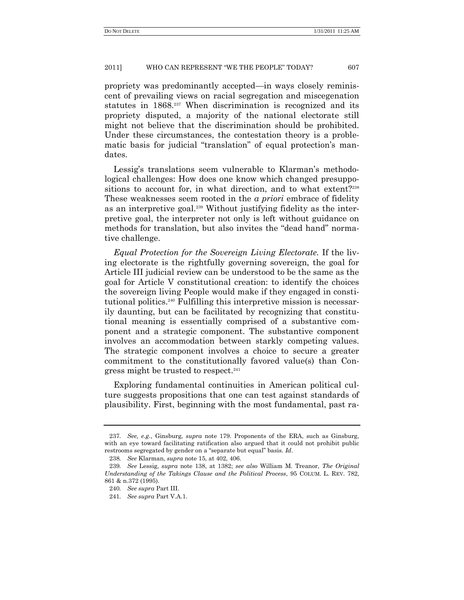propriety was predominantly accepted—in ways closely reminiscent of prevailing views on racial segregation and miscegenation statutes in 1868.<sup>237</sup> When discrimination is recognized and its propriety disputed, a majority of the national electorate still might not believe that the discrimination should be prohibited. Under these circumstances, the contestation theory is a problematic basis for judicial "translation" of equal protection's mandates.

Lessig's translations seem vulnerable to Klarman's methodological challenges: How does one know which changed presuppositions to account for, in what direction, and to what extent?<sup>238</sup> These weaknesses seem rooted in the *a priori* embrace of fidelity as an interpretive goal.<sup>239</sup> Without justifying fidelity as the interpretive goal, the interpreter not only is left without guidance on methods for translation, but also invites the "dead hand" normative challenge.

*Equal Protection for the Sovereign Living Electorate.* If the living electorate is the rightfully governing sovereign, the goal for Article III judicial review can be understood to be the same as the goal for Article V constitutional creation: to identify the choices the sovereign living People would make if they engaged in constitutional politics.<sup>240</sup> Fulfilling this interpretive mission is necessarily daunting, but can be facilitated by recognizing that constitutional meaning is essentially comprised of a substantive component and a strategic component. The substantive component involves an accommodation between starkly competing values. The strategic component involves a choice to secure a greater commitment to the constitutionally favored value(s) than Congress might be trusted to respect.<sup>241</sup>

Exploring fundamental continuities in American political culture suggests propositions that one can test against standards of plausibility. First, beginning with the most fundamental, past ra-

<sup>237</sup>*. See, e.g.*, Ginsburg, *supra* note 179. Proponents of the ERA, such as Ginsburg, with an eye toward facilitating ratification also argued that it could not prohibit public restrooms segregated by gender on a "separate but equal" basis. *Id*.

<sup>238</sup>*. See* Klarman, *supra* note 15, at 402, 406.

<sup>239</sup>*. See* Lessig, *supra* note 138, at 1382; *see also* William M. Treanor, *The Original Understanding of the Takings Clause and the Political Process*, 95 COLUM. L. REV. 782, 861 & n.372 (1995).

<sup>240</sup>*. See supra* Part III.

<sup>241</sup>*. See supra* Part V.A.1.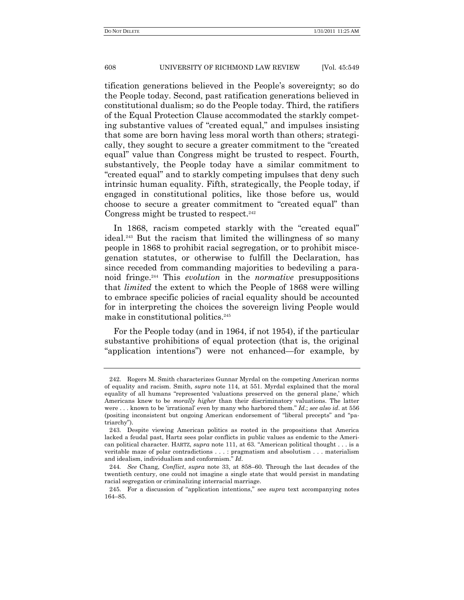tification generations believed in the People's sovereignty; so do the People today. Second, past ratification generations believed in constitutional dualism; so do the People today. Third, the ratifiers of the Equal Protection Clause accommodated the starkly competing substantive values of "created equal," and impulses insisting that some are born having less moral worth than others; strategically, they sought to secure a greater commitment to the "created equal" value than Congress might be trusted to respect. Fourth, substantively, the People today have a similar commitment to ―created equal‖ and to starkly competing impulses that deny such intrinsic human equality. Fifth, strategically, the People today, if engaged in constitutional politics, like those before us, would choose to secure a greater commitment to "created equal" than Congress might be trusted to respect.<sup>242</sup>

In 1868, racism competed starkly with the "created equal" ideal.<sup>243</sup> But the racism that limited the willingness of so many people in 1868 to prohibit racial segregation, or to prohibit miscegenation statutes, or otherwise to fulfill the Declaration, has since receded from commanding majorities to bedeviling a paranoid fringe.<sup>244</sup> This *evolution* in the *normative* presuppositions that *limited* the extent to which the People of 1868 were willing to embrace specific policies of racial equality should be accounted for in interpreting the choices the sovereign living People would make in constitutional politics.<sup>245</sup>

For the People today (and in 1964, if not 1954), if the particular substantive prohibitions of equal protection (that is, the original ―application intentions‖) were not enhanced—for example, by

<sup>242.</sup> Rogers M. Smith characterizes Gunnar Myrdal on the competing American norms of equality and racism. Smith, *supra* note 114, at 551. Myrdal explained that the moral equality of all humans "represented 'valuations preserved on the general plane,' which Americans knew to be *morally higher* than their discriminatory valuations. The latter were . . . known to be 'irrational' even by many who harbored them." *Id.*; *see also id.* at 556 (positing inconsistent but ongoing American endorsement of "liberal precepts" and "patriarchy").

<sup>243.</sup> Despite viewing American politics as rooted in the propositions that America lacked a feudal past, Hartz sees polar conflicts in public values as endemic to the American political character. HARTZ, *supra* note 111, at 63. "American political thought . . . is a veritable maze of polar contradictions . . . : pragmatism and absolutism . . . materialism and idealism, individualism and conformism." *Id*.

<sup>244</sup>*. See* Chang, *Conflict*, *supra* note 33, at 858–60. Through the last decades of the twentieth century, one could not imagine a single state that would persist in mandating racial segregation or criminalizing interracial marriage.

<sup>245.</sup> For a discussion of "application intentions," see *supra* text accompanying notes 164–85.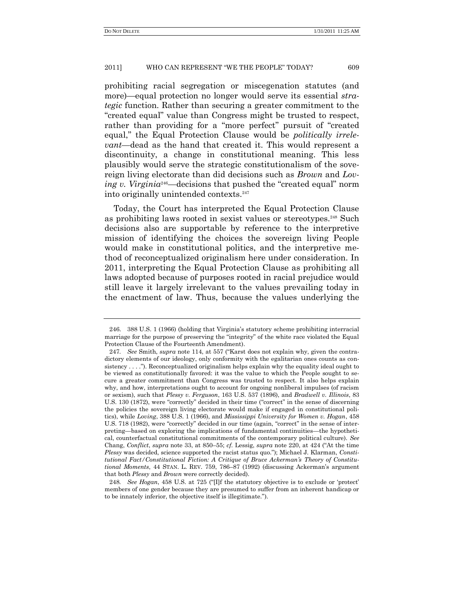prohibiting racial segregation or miscegenation statutes (and more)—equal protection no longer would serve its essential *strategic* function. Rather than securing a greater commitment to the ―created equal‖ value than Congress might be trusted to respect, rather than providing for a "more perfect" pursuit of "created equal," the Equal Protection Clause would be *politically irrelevant*—dead as the hand that created it. This would represent a discontinuity, a change in constitutional meaning. This less plausibly would serve the strategic constitutionalism of the sovereign living electorate than did decisions such as *Brown* and *Loving v. Virginia*<sup>246</sup>—decisions that pushed the "created equal" norm into originally unintended contexts.<sup>247</sup>

Today, the Court has interpreted the Equal Protection Clause as prohibiting laws rooted in sexist values or stereotypes.<sup>248</sup> Such decisions also are supportable by reference to the interpretive mission of identifying the choices the sovereign living People would make in constitutional politics, and the interpretive method of reconceptualized originalism here under consideration. In 2011, interpreting the Equal Protection Clause as prohibiting all laws adopted because of purposes rooted in racial prejudice would still leave it largely irrelevant to the values prevailing today in the enactment of law. Thus, because the values underlying the

<sup>246.</sup> 388 U.S. 1 (1966) (holding that Virginia's statutory scheme prohibiting interracial marriage for the purpose of preserving the "integrity" of the white race violated the Equal Protection Clause of the Fourteenth Amendment).

<sup>247.</sup> *See Smith, <i>supra* note 114, at 557 ("Karst does not explain why, given the contradictory elements of our ideology, only conformity with the egalitarian ones counts as consistency  $\dots$ ."). Reconceptualized originalism helps explain why the equality ideal ought to be viewed as constitutionally favored: it was the value to which the People sought to secure a greater commitment than Congress was trusted to respect. It also helps explain why, and how, interpretations ought to account for ongoing nonliberal impulses (of racism or sexism), such that *Plessy v. Ferguson*, 163 U.S. 537 (1896), and *Bradwell v. Illinois*, 83 U.S. 130 (1872), were "correctly" decided in their time ("correct" in the sense of discerning the policies the sovereign living electorate would make if engaged in constitutional politics), while *Loving*, 388 U.S. 1 (1966), and *Mississippi University for Women v. Hogan*, 458 U.S. 718 (1982), were "correctly" decided in our time (again, "correct" in the sense of interpreting—based on exploring the implications of fundamental continuities—the hypothetical, counterfactual constitutional commitments of the contemporary political culture). *See* Chang, *Conflict*, *supra* note 33, at 850–55; *cf.* Lessig, *supra* note 220, at 424 ("At the time *Plessy* was decided, science supported the racist status quo."); Michael J. Klarman, *Constitutional Fact/Constitutional Fiction: A Critique of Bruce Ackerman's Theory of Constitutional Moments*, 44 STAN. L. REV. 759, 786–87 (1992) (discussing Ackerman's argument that both *Plessy* and *Brown* were correctly decided).

<sup>248.</sup> *See Hogan*, 458 U.S. at 725 ("Ilf the statutory objective is to exclude or 'protect' members of one gender because they are presumed to suffer from an inherent handicap or to be innately inferior, the objective itself is illegitimate.‖).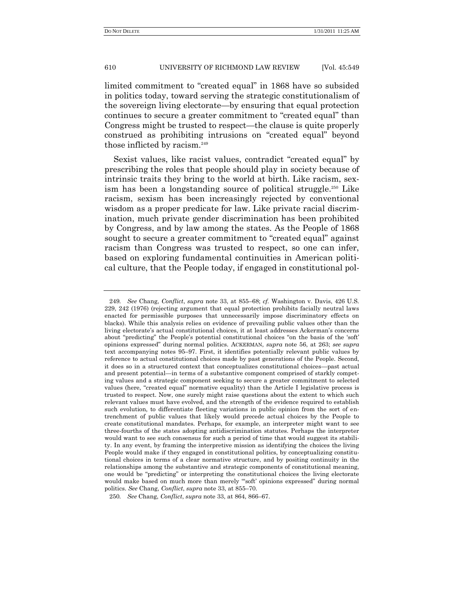limited commitment to "created equal" in 1868 have so subsided in politics today, toward serving the strategic constitutionalism of the sovereign living electorate—by ensuring that equal protection continues to secure a greater commitment to "created equal" than Congress might be trusted to respect—the clause is quite properly construed as prohibiting intrusions on "created equal" beyond those inflicted by racism.<sup>249</sup>

Sexist values, like racist values, contradict "created equal" by prescribing the roles that people should play in society because of intrinsic traits they bring to the world at birth. Like racism, sexism has been a longstanding source of political struggle.<sup>250</sup> Like racism, sexism has been increasingly rejected by conventional wisdom as a proper predicate for law. Like private racial discrimination, much private gender discrimination has been prohibited by Congress, and by law among the states. As the People of 1868 sought to secure a greater commitment to "created equal" against racism than Congress was trusted to respect, so one can infer, based on exploring fundamental continuities in American political culture, that the People today, if engaged in constitutional pol-

250*. See* Chang, *Conflict*, *supra* note 33, at 864, 866–67.

<sup>249</sup>*. See* Chang, *Conflict*, *supra* note 33, at 855–68; *cf.* Washington v. Davis, 426 U.S. 229, 242 (1976) (rejecting argument that equal protection prohibits facially neutral laws enacted for permissible purposes that unnecessarily impose discriminatory effects on blacks). While this analysis relies on evidence of prevailing public values other than the living electorate's actual constitutional choices, it at least addresses Ackerman's concerns about "predicting" the People's potential constitutional choices "on the basis of the 'soft' opinions expressed‖ during normal politics. ACKERMAN, *supra* note 56, at 263; *see supra* text accompanying notes 95–97. First, it identifies potentially relevant public values by reference to actual constitutional choices made by past generations of the People. Second, it does so in a structured context that conceptualizes constitutional choices—past actual and present potential—in terms of a substantive component comprised of starkly competing values and a strategic component seeking to secure a greater commitment to selected values (here, "created equal" normative equality) than the Article I legislative process is trusted to respect. Now, one surely might raise questions about the extent to which such relevant values must have evolved, and the strength of the evidence required to establish such evolution, to differentiate fleeting variations in public opinion from the sort of entrenchment of public values that likely would precede actual choices by the People to create constitutional mandates. Perhaps, for example, an interpreter might want to see three-fourths of the states adopting antidiscrimination statutes. Perhaps the interpreter would want to see such consensus for such a period of time that would suggest its stability. In any event, by framing the interpretive mission as identifying the choices the living People would make if they engaged in constitutional politics, by conceptualizing constitutional choices in terms of a clear normative structure, and by positing continuity in the relationships among the substantive and strategic components of constitutional meaning, one would be "predicting" or interpreting the constitutional choices the living electorate would make based on much more than merely "soft' opinions expressed" during normal politics. *See* Chang, *Conflict*, *supra* note 33, at 855–70.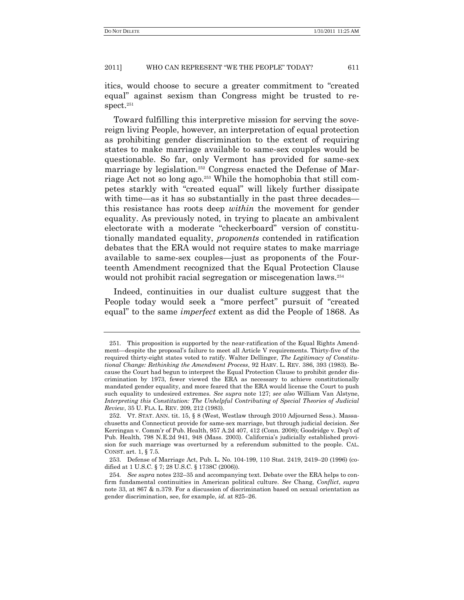itics, would choose to secure a greater commitment to "created" equal" against sexism than Congress might be trusted to respect.<sup>251</sup>

Toward fulfilling this interpretive mission for serving the sovereign living People, however, an interpretation of equal protection as prohibiting gender discrimination to the extent of requiring states to make marriage available to same-sex couples would be questionable. So far, only Vermont has provided for same-sex marriage by legislation.<sup>252</sup> Congress enacted the Defense of Marriage Act not so long ago.<sup>253</sup> While the homophobia that still competes starkly with "created equal" will likely further dissipate with time—as it has so substantially in the past three decades this resistance has roots deep *within* the movement for gender equality. As previously noted, in trying to placate an ambivalent electorate with a moderate "checkerboard" version of constitutionally mandated equality, *proponents* contended in ratification debates that the ERA would not require states to make marriage available to same-sex couples—just as proponents of the Fourteenth Amendment recognized that the Equal Protection Clause would not prohibit racial segregation or miscegenation laws.<sup>254</sup>

Indeed, continuities in our dualist culture suggest that the People today would seek a "more perfect" pursuit of "created" equal" to the same *imperfect* extent as did the People of 1868. As

<sup>251.</sup> This proposition is supported by the near-ratification of the Equal Rights Amendment—despite the proposal's failure to meet all Article V requirements. Thirty-five of the required thirty-eight states voted to ratify. Walter Dellinger, *The Legitimacy of Constitutional Change: Rethinking the Amendment Process*, 92 HARV. L. REV. 386, 393 (1983). Because the Court had begun to interpret the Equal Protection Clause to prohibit gender discrimination by 1973, fewer viewed the ERA as necessary to achieve constitutionally mandated gender equality, and more feared that the ERA would license the Court to push such equality to undesired extremes. *See supra* note 127; *see also* William Van Alstyne, *Interpreting this Constitution: The Unhelpful Contributing of Special Theories of Judicial Review*, 35 U. FLA. L. REV. 209, 212 (1983).

<sup>252.</sup> VT. STAT. ANN. tit. 15, § 8 (West, Westlaw through 2010 Adjourned Sess.). Massachusetts and Connecticut provide for same-sex marriage, but through judicial decision. *See* Kerringan v. Comm'r of Pub. Health, 957 A.2d 407, 412 (Conn. 2008); Goodridge v. Dep't of Pub. Health, 798 N.E.2d 941, 948 (Mass. 2003). California's judicially established provision for such marriage was overturned by a referendum submitted to the people. CAL. CONST. art. 1, § 7.5.

<sup>253.</sup> Defense of Marriage Act, Pub. L. No. 104-199, 110 Stat. 2419, 2419–20 (1996) (codified at 1 U.S.C. § 7; 28 U.S.C. § 1738C (2006)).

<sup>254</sup>*. See supra* notes 232–35 and accompanying text. Debate over the ERA helps to confirm fundamental continuities in American political culture. *See* Chang, *Conflict*, *supra* note 33, at 867 & n.379. For a discussion of discrimination based on sexual orientation as gender discrimination, see, for example, *id*. at 825–26.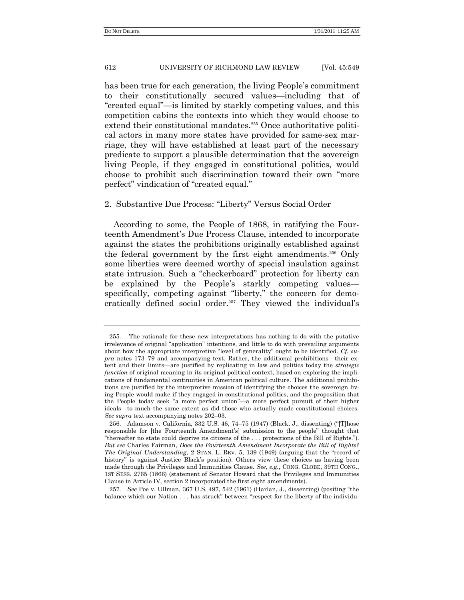has been true for each generation, the living People's commitment to their constitutionally secured values—including that of ―created equal‖—is limited by starkly competing values, and this competition cabins the contexts into which they would choose to extend their constitutional mandates.<sup>255</sup> Once authoritative political actors in many more states have provided for same-sex marriage, they will have established at least part of the necessary predicate to support a plausible determination that the sovereign living People, if they engaged in constitutional politics, would choose to prohibit such discrimination toward their own "more perfect" vindication of "created equal."

# 2. Substantive Due Process: "Liberty" Versus Social Order

According to some, the People of 1868, in ratifying the Fourteenth Amendment's Due Process Clause, intended to incorporate against the states the prohibitions originally established against the federal government by the first eight amendments.<sup>256</sup> Only some liberties were deemed worthy of special insulation against state intrusion. Such a "checkerboard" protection for liberty can be explained by the People's starkly competing values specifically, competing against "liberty," the concern for democratically defined social order.<sup>257</sup> They viewed the individual's

<sup>255</sup>*.* The rationale for these new interpretations has nothing to do with the putative irrelevance of original "application" intentions, and little to do with prevailing arguments about how the appropriate interpretive "level of generality" ought to be identified. *Cf. supra* notes 173–79 and accompanying text. Rather, the additional prohibitions—their extent and their limits—are justified by replicating in law and politics today the *strategic function* of original meaning in its original political context, based on exploring the implications of fundamental continuities in American political culture. The additional prohibitions are justified by the interpretive mission of identifying the choices the sovereign living People would make if they engaged in constitutional politics, and the proposition that the People today seek "a more perfect union"—a more perfect pursuit of their higher ideals—to much the same extent as did those who actually made constitutional choices. *See supra* text accompanying notes 202–03.

<sup>256.</sup> Adamson v. California, 332 U.S. 46, 74–75 (1947) (Black, J., dissenting) ("[T]hose responsible for [the Fourteenth Amendment's] submission to the people" thought that "thereafter no state could deprive its citizens of the . . . protections of the Bill of Rights."). *But see* Charles Fairman, *Does the Fourteenth Amendment Incorporate the Bill of Rights? The Original Understanding*, 2 STAN. L. REV. 5, 139 (1949) (arguing that the "record of history" is against Justice Black's position). Others view these choices as having been made through the Privileges and Immunities Clause. *See, e.g.*, CONG. GLOBE, 39TH CONG., 1ST SESS. 2765 (1866) (statement of Senator Howard that the Privileges and Immunities Clause in Article IV, section 2 incorporated the first eight amendments).

<sup>257.</sup> *See* Poe v. Ullman, 367 U.S. 497, 542 (1961) (Harlan, J., dissenting) (positing "the balance which our Nation  $\dots$  has struck" between "respect for the liberty of the individu-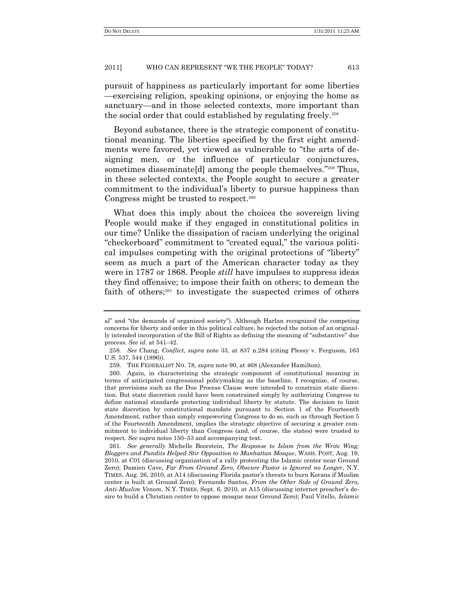pursuit of happiness as particularly important for some liberties —exercising religion, speaking opinions, or enjoying the home as sanctuary—and in those selected contexts, more important than the social order that could established by regulating freely.<sup>258</sup>

Beyond substance, there is the strategic component of constitutional meaning. The liberties specified by the first eight amendments were favored, yet viewed as vulnerable to "the arts of designing men, or the influence of particular conjunctures, sometimes disseminate[d] among the people themselves."<sup>259</sup> Thus, in these selected contexts, the People sought to secure a greater commitment to the individual's liberty to pursue happiness than Congress might be trusted to respect. $260$ 

What does this imply about the choices the sovereign living People would make if they engaged in constitutional politics in our time? Unlike the dissipation of racism underlying the original "checkerboard" commitment to "created equal," the various political impulses competing with the original protections of "liberty" seem as much a part of the American character today as they were in 1787 or 1868. People *still* have impulses to suppress ideas they find offensive; to impose their faith on others; to demean the faith of others;<sup>261</sup> to investigate the suspected crimes of others

al" and "the demands of organized society"). Although Harlan recognized the competing concerns for liberty and order in this political culture, he rejected the notion of an originally intended incorporation of the Bill of Rights as defining the meaning of "substantive" due process. *See id*. at 541–42.

<sup>258</sup>*. See* Chang, *Conflict*, *supra* note 33, at 837 n.284 (citing Plessy v. Ferguson, 163 U.S. 537, 544 (1896)).

<sup>259.</sup> THE FEDERALIST NO. 78, *supra* note 90, at 468 (Alexander Hamilton).

<sup>260.</sup> Again, in characterizing the strategic component of constitutional meaning in terms of anticipated congressional policymaking as the baseline, I recognize, of course, that provisions such as the Due Process Clause were intended to constrain state discretion. But state discretion could have been constrained simply by authorizing Congress to define national standards protecting individual liberty by statute. The decision to limit state discretion by constitutional mandate pursuant to Section 1 of the Fourteenth Amendment, rather than simply empowering Congress to do so, such as through Section 5 of the Fourteenth Amendment, implies the strategic objective of securing a greater commitment to individual liberty than Congress (and, of course, the states) were trusted to respect. *See supra* notes 150–53 and accompanying text.

<sup>261</sup>*. See generally* Michelle Boorstein, *The Response to Islam from the Write Wing; Bloggers and Pundits Helped Stir Opposition to Manhattan Mosque*, WASH. POST, Aug. 19, 2010, at C01 (discussing organization of a rally protesting the Islamic center near Ground Zero); Damien Cave, *Far From Ground Zero, Obscure Pastor is Ignored no Longer*, N.Y. TIMES, Aug. 26, 2010, at A14 (discussing Florida pastor's threats to burn Korans if Muslim center is built at Ground Zero); Fernando Santos, *From the Other Side of Ground Zero, Anti-Muslim Venom*, N.Y. TIMES, Sept. 6, 2010, at A15 (discussing internet preacher's desire to build a Christian center to oppose mosque near Ground Zero); Paul Vitello, *Islamic*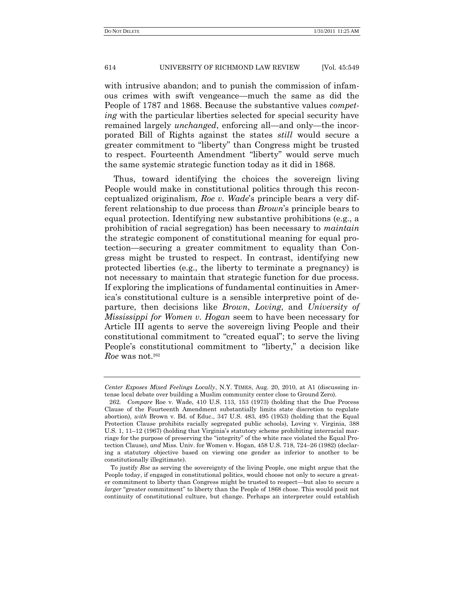with intrusive abandon; and to punish the commission of infamous crimes with swift vengeance—much the same as did the People of 1787 and 1868. Because the substantive values *competing* with the particular liberties selected for special security have remained largely *unchanged*, enforcing all—and only—the incorporated Bill of Rights against the states *still* would secure a greater commitment to "liberty" than Congress might be trusted to respect. Fourteenth Amendment "liberty" would serve much the same systemic strategic function today as it did in 1868.

Thus, toward identifying the choices the sovereign living People would make in constitutional politics through this reconceptualized originalism, *Roe v. Wade*'s principle bears a very different relationship to due process than *Brown*'s principle bears to equal protection. Identifying new substantive prohibitions (e.g., a prohibition of racial segregation) has been necessary to *maintain* the strategic component of constitutional meaning for equal protection—securing a greater commitment to equality than Congress might be trusted to respect. In contrast, identifying new protected liberties (e.g., the liberty to terminate a pregnancy) is not necessary to maintain that strategic function for due process. If exploring the implications of fundamental continuities in America's constitutional culture is a sensible interpretive point of departure, then decisions like *Brown*, *Loving*, and *University of Mississippi for Women v. Hogan* seem to have been necessary for Article III agents to serve the sovereign living People and their constitutional commitment to "created equal"; to serve the living People's constitutional commitment to "liberty," a decision like *Roe* was not.<sup>262</sup>

*Center Exposes Mixed Feelings Locally*, N.Y. TIMES, Aug. 20, 2010, at A1 (discussing intense local debate over building a Muslim community center close to Ground Zero).

<sup>262</sup>*. Compare* Roe v. Wade, 410 U.S. 113, 153 (1973) (holding that the Due Process Clause of the Fourteenth Amendment substantially limits state discretion to regulate abortion), *with* Brown v. Bd. of Educ., 347 U.S. 483, 495 (1953) (holding that the Equal Protection Clause prohibits racially segregated public schools), Loving v. Virginia, 388 U.S. 1, 11–12 (1967) (holding that Virginia's statutory scheme prohibiting interracial marriage for the purpose of preserving the "integrity" of the white race violated the Equal Protection Clause), *and* Miss. Univ. for Women v. Hogan, 458 U.S. 718, 724–26 (1982) (declaring a statutory objective based on viewing one gender as inferior to another to be constitutionally illegitimate).

To justify *Roe* as serving the sovereignty of the living People, one might argue that the People today, if engaged in constitutional politics, would choose not only to secure a greater commitment to liberty than Congress might be trusted to respect—but also to secure a *larger* "greater commitment" to liberty than the People of 1868 chose. This would posit not continuity of constitutional culture, but change. Perhaps an interpreter could establish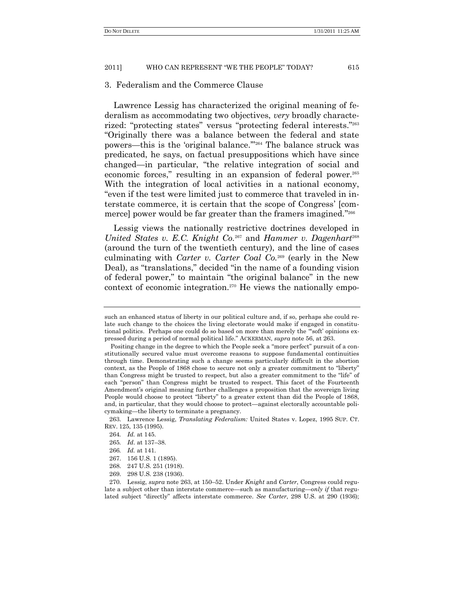# 3. Federalism and the Commerce Clause

Lawrence Lessig has characterized the original meaning of federalism as accommodating two objectives, *very* broadly characterized: "protecting states" versus "protecting federal interests."<sup>263</sup> ―Originally there was a balance between the federal and state powers—this is the 'original balance."<sup>264</sup> The balance struck was predicated, he says, on factual presuppositions which have since changed—in particular, "the relative integration of social and economic forces," resulting in an expansion of federal power.<sup>265</sup> With the integration of local activities in a national economy, "even if the test were limited just to commerce that traveled in interstate commerce, it is certain that the scope of Congress' [commerce] power would be far greater than the framers imagined."266

Lessig views the nationally restrictive doctrines developed in *United States v. E.C. Knight Co.*<sup>267</sup> and *Hammer v. Dagenhart*<sup>268</sup> (around the turn of the twentieth century), and the line of cases culminating with *Carter v. Carter Coal Co.*<sup>269</sup> (early in the New Deal), as "translations," decided "in the name of a founding vision of federal power," to maintain "the original balance" in the new context of economic integration. $270$  He views the nationally empo-

269. 298 U.S. 238 (1936).

such an enhanced status of liberty in our political culture and, if so, perhaps she could relate such change to the choices the living electorate would make if engaged in constitutional politics. Perhaps one could do so based on more than merely the "soft' opinions expressed during a period of normal political life.‖ ACKERMAN, *supra* note 56, at 263.

Positing change in the degree to which the People seek a "more perfect" pursuit of a constitutionally secured value must overcome reasons to suppose fundamental continuities through time. Demonstrating such a change seems particularly difficult in the abortion context, as the People of 1868 chose to secure not only a greater commitment to "liberty" than Congress might be trusted to respect, but also a greater commitment to the "life" of each "person" than Congress might be trusted to respect. This facet of the Fourteenth Amendment's original meaning further challenges a proposition that the sovereign living People would choose to protect "liberty" to a greater extent than did the People of 1868, and, in particular, that they would choose to protect—against electorally accountable policymaking—the liberty to terminate a pregnancy.

<sup>263.</sup> Lawrence Lessig, *Translating Federalism:* United States v. Lopez, 1995 SUP. CT. REV. 125, 135 (1995).

<sup>264</sup>*. Id.* at 145.

<sup>265</sup>*. Id*. at 137–38.

<sup>266</sup>*. Id.* at 141.

<sup>267.</sup> 156 U.S. 1 (1895).

<sup>268.</sup> 247 U.S. 251 (1918).

<sup>270.</sup> Lessig, *supra* note 263, at 150–52. Under *Knight* and *Carter*, Congress could regulate a subject other than interstate commerce—such as manufacturing—*only if* that regulated subject "directly" affects interstate commerce. *See Carter*, 298 U.S. at 290 (1936);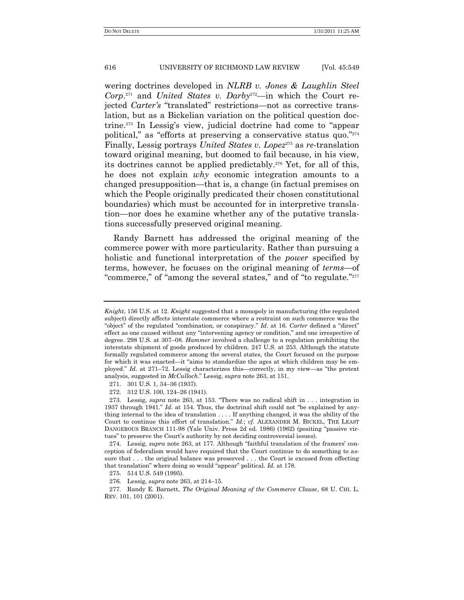wering doctrines developed in *NLRB v. Jones & Laughlin Steel Corp*. <sup>271</sup> and *United States v. Darby*272*—*in which the Court rejected *Carter*'s "translated" restrictions—not as corrective translation, but as a Bickelian variation on the political question doctrine.<sup>273</sup> In Lessig's view, judicial doctrine had come to "appear political," as "efforts at preserving a conservative status quo."<sup>274</sup> Finally, Lessig portrays *United States v. Lopez*<sup>275</sup> as *re*-translation toward original meaning, but doomed to fail because, in his view, its doctrines cannot be applied predictably.<sup>276</sup> Yet, for all of this, he does not explain *why* economic integration amounts to a changed presupposition—that is, a change (in factual premises on which the People originally predicated their chosen constitutional boundaries) which must be accounted for in interpretive translation—nor does he examine whether any of the putative translations successfully preserved original meaning.

Randy Barnett has addressed the original meaning of the commerce power with more particularity. Rather than pursuing a holistic and functional interpretation of the *power* specified by terms, however, he focuses on the original meaning of *terms*—of "commerce," of "among the several states," and of "to regulate."<sup>277</sup>

272. 312 U.S. 100, 124–26 (1941).

*Knight*, 156 U.S. at 12. *Knight* suggested that a monopoly in manufacturing (the regulated subject) directly affects interstate commerce where a restraint on such commerce was the "object" of the regulated "combination, or conspiracy." *Id.* at 16. *Carter* defined a "direct" effect as one caused without any "intervening agency or condition," and one irrespective of degree. 298 U.S. at 307–08. *Hammer* involved a challenge to a regulation prohibiting the interstate shipment of goods produced by children. 247 U.S. at 253. Although the statute formally regulated commerce among the several states, the Court focused on the purpose for which it was enacted—it "aims to standardize the ages at which children may be employed." *Id.* at 271–72. Lessig characterizes this—correctly, in my view—as "the pretext" analysis, suggested in *McCulloch*.‖ Lessig, *supra* note 263, at 151.

<sup>271.</sup> 301 U.S. 1, 34–36 (1937).

<sup>273.</sup> Lessig, *supra* note 263, at 153. "There was no radical shift in . . . integration in 1937 through 1941." *Id.* at 154. Thus, the doctrinal shift could not "be explained by anything internal to the idea of translation . . . . If anything changed, it was the ability of the Court to continue this effort of translation." *Id.*; *cf.* ALEXANDER M. BICKEL, THE LEAST DANGEROUS BRANCH 111-98 (Yale Univ. Press 2d ed. 1986) (1962) (positing "passive virtues" to preserve the Court's authority by not deciding controversial issues).

<sup>274.</sup> Lessig, *supra* note 263, at 177. Although "faithful translation of the framers' conception of federalism would have required that the Court continue to do something to assure that . . . the original balance was preserved . . . the Court is excused from effecting that translation" where doing so would "appear" political. *Id.* at 178.

<sup>275.</sup> 514 U.S. 549 (1995).

<sup>276</sup>*.* Lessig, *supra* note 263, at 214–15.

<sup>277.</sup> Randy E. Barnett, *The Original Meaning of the Commerce Clause*, 68 U. CHI. L. REV. 101, 101 (2001).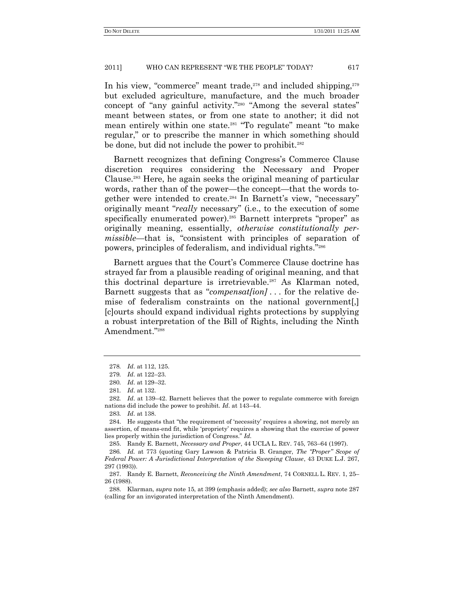In his view, "commerce" meant trade,<sup>278</sup> and included shipping,<sup>279</sup> but excluded agriculture, manufacture, and the much broader concept of "any gainful activity."<sup>280</sup> "Among the several states" meant between states, or from one state to another; it did not mean entirely within one state.<sup>281</sup> "To regulate" meant "to make regular," or to prescribe the manner in which something should be done, but did not include the power to prohibit.<sup>282</sup>

Barnett recognizes that defining Congress's Commerce Clause discretion requires considering the Necessary and Proper Clause.<sup>283</sup> Here, he again seeks the original meaning of particular words, rather than of the power—the concept—that the words together were intended to create.<sup>284</sup> In Barnett's view, "necessary" originally meant "*really* necessary" (i.e., to the execution of some specifically enumerated power).<sup>285</sup> Barnett interprets "proper" as originally meaning, essentially, *otherwise constitutionally permissible*—that is, "consistent with principles of separation of powers, principles of federalism, and individual rights."286

Barnett argues that the Court's Commerce Clause doctrine has strayed far from a plausible reading of original meaning, and that this doctrinal departure is irretrievable.<sup>287</sup> As Klarman noted, Barnett suggests that as "*compensat[ion]* . . . for the relative demise of federalism constraints on the national government[,] [c]ourts should expand individual rights protections by supplying a robust interpretation of the Bill of Rights, including the Ninth Amendment."288

<sup>278</sup>*. Id*. at 112, 125.

<sup>279</sup>*. Id*. at 122–23.

<sup>280</sup>*. Id*. at 129–32.

<sup>281</sup>*. Id*. at 132.

<sup>282</sup>*. Id*. at 139–42. Barnett believes that the power to regulate commerce with foreign nations did include the power to prohibit. *Id*. at 143–44.

<sup>283</sup>*. Id*. at 138.

<sup>284.</sup> He suggests that "the requirement of 'necessity' requires a showing, not merely an assertion, of means-end fit, while 'propriety' requires a showing that the exercise of power lies properly within the jurisdiction of Congress." *Id.* 

<sup>285.</sup> Randy E. Barnett, *Necessary and Proper*, 44 UCLA L. REV. 745, 763–64 (1997).

<sup>286.</sup> *Id.* at 773 (quoting Gary Lawson & Patricia B. Granger, *The "Proper" Scope of Federal Power: A Jurisdictional Interpretation of the Sweeping Clause*, 43 DUKE L.J. 267, 297 (1993)).

<sup>287.</sup> Randy E. Barnett, *Reconceiving the Ninth Amendment*, 74 CORNELL L. REV. 1, 25– 26 (1988).

<sup>288.</sup> Klarman, *supra* note 15, at 399 (emphasis added); *see also* Barnett, *supra* note 287 (calling for an invigorated interpretation of the Ninth Amendment).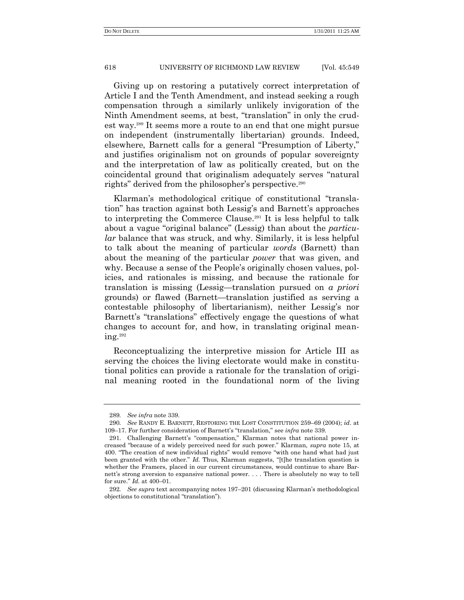Giving up on restoring a putatively correct interpretation of Article I and the Tenth Amendment, and instead seeking a rough compensation through a similarly unlikely invigoration of the Ninth Amendment seems, at best, "translation" in only the crudest way.<sup>289</sup> It seems more a route to an end that one might pursue on independent (instrumentally libertarian) grounds. Indeed, elsewhere, Barnett calls for a general "Presumption of Liberty," and justifies originalism not on grounds of popular sovereignty and the interpretation of law as politically created, but on the coincidental ground that originalism adequately serves "natural rights" derived from the philosopher's perspective.<sup>290</sup>

Klarman's methodological critique of constitutional "translation" has traction against both Lessig's and Barnett's approaches to interpreting the Commerce Clause.<sup>291</sup> It is less helpful to talk about a vague "original balance" (Lessig) than about the *particular* balance that was struck, and why. Similarly, it is less helpful to talk about the meaning of particular *words* (Barnett) than about the meaning of the particular *power* that was given, and why. Because a sense of the People's originally chosen values, policies, and rationales is missing, and because the rationale for translation is missing (Lessig—translation pursued on *a priori* grounds) or flawed (Barnett—translation justified as serving a contestable philosophy of libertarianism), neither Lessig's nor Barnett's "translations" effectively engage the questions of what changes to account for, and how, in translating original meaning.<sup>292</sup>

Reconceptualizing the interpretive mission for Article III as serving the choices the living electorate would make in constitutional politics can provide a rationale for the translation of original meaning rooted in the foundational norm of the living

<sup>289</sup>*. See infra* note 339.

<sup>290</sup>*. See* RANDY E. BARNETT, RESTORING THE LOST CONSTITUTION 259–69 (2004); *id*. at 109–17. For further consideration of Barnett's "translation," see *infra* note 339.

<sup>291.</sup> Challenging Barnett's "compensation," Klarman notes that national power increased "because of a widely perceived need for such power." Klarman, *supra* note 15, at 400. "The creation of new individual rights" would remove "with one hand what had just been granted with the other." *Id.* Thus, Klarman suggests, "[t]he translation question is whether the Framers, placed in our current circumstances, would continue to share Barnett's strong aversion to expansive national power. . . . There is absolutely no way to tell for sure.‖ *Id.* at 400–01.

<sup>292</sup>*. See supra* text accompanying notes 197–201 (discussing Klarman's methodological objections to constitutional "translation").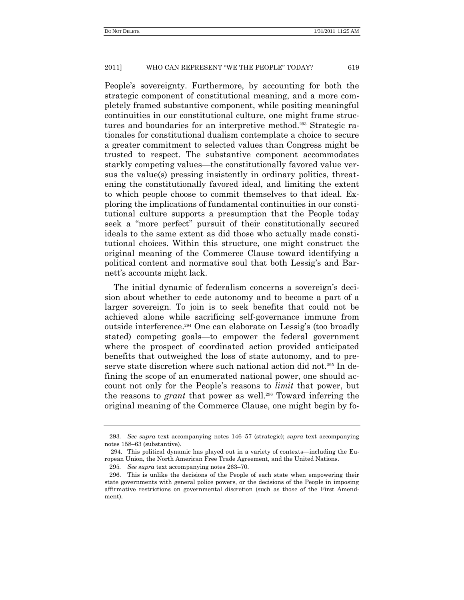People's sovereignty. Furthermore, by accounting for both the strategic component of constitutional meaning, and a more completely framed substantive component, while positing meaningful continuities in our constitutional culture, one might frame structures and boundaries for an interpretive method.<sup>293</sup> Strategic rationales for constitutional dualism contemplate a choice to secure a greater commitment to selected values than Congress might be trusted to respect. The substantive component accommodates starkly competing values—the constitutionally favored value versus the value(s) pressing insistently in ordinary politics, threatening the constitutionally favored ideal, and limiting the extent to which people choose to commit themselves to that ideal. Exploring the implications of fundamental continuities in our constitutional culture supports a presumption that the People today seek a "more perfect" pursuit of their constitutionally secured ideals to the same extent as did those who actually made constitutional choices. Within this structure, one might construct the original meaning of the Commerce Clause toward identifying a political content and normative soul that both Lessig's and Barnett's accounts might lack.

The initial dynamic of federalism concerns a sovereign's decision about whether to cede autonomy and to become a part of a larger sovereign. To join is to seek benefits that could not be achieved alone while sacrificing self-governance immune from outside interference. <sup>294</sup> One can elaborate on Lessig's (too broadly stated) competing goals—to empower the federal government where the prospect of coordinated action provided anticipated benefits that outweighed the loss of state autonomy, and to preserve state discretion where such national action did not.<sup>295</sup> In defining the scope of an enumerated national power, one should account not only for the People's reasons to *limit* that power, but the reasons to *grant* that power as well.<sup>296</sup> Toward inferring the original meaning of the Commerce Clause, one might begin by fo-

<sup>293</sup>*. See supra* text accompanying notes 146–57 (strategic); *supra* text accompanying notes 158–63 (substantive).

<sup>294.</sup> This political dynamic has played out in a variety of contexts—including the European Union, the North American Free Trade Agreement, and the United Nations.

<sup>295</sup>*. See supra* text accompanying notes 263–70.

<sup>296.</sup> This is unlike the decisions of the People of each state when empowering their state governments with general police powers, or the decisions of the People in imposing affirmative restrictions on governmental discretion (such as those of the First Amendment).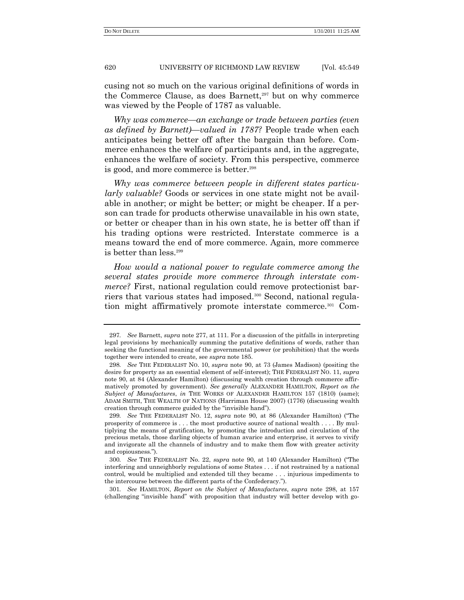cusing not so much on the various original definitions of words in the Commerce Clause, as does Barnett, $297$  but on why commerce was viewed by the People of 1787 as valuable.

*Why was commerce—an exchange or trade between parties (even as defined by Barnett)—valued in 1787?* People trade when each anticipates being better off after the bargain than before. Commerce enhances the welfare of participants and, in the aggregate, enhances the welfare of society. From this perspective, commerce is good, and more commerce is better.<sup>298</sup>

*Why was commerce between people in different states particularly valuable?* Goods or services in one state might not be available in another; or might be better; or might be cheaper. If a person can trade for products otherwise unavailable in his own state, or better or cheaper than in his own state, he is better off than if his trading options were restricted. Interstate commerce is a means toward the end of more commerce. Again, more commerce is better than less.<sup>299</sup>

*How would a national power to regulate commerce among the several states provide more commerce through interstate commerce?* First, national regulation could remove protectionist barriers that various states had imposed.<sup>300</sup> Second, national regulation might affirmatively promote interstate commerce.<sup>301</sup> Com-

<sup>297</sup>*. See* Barnett, *supra* note 277, at 111. For a discussion of the pitfalls in interpreting legal provisions by mechanically summing the putative definitions of words, rather than seeking the functional meaning of the governmental power (or prohibition) that the words together were intended to create, see *supra* note 185.

<sup>298</sup>*. See* THE FEDERALIST NO. 10, *supra* note 90, at 73 (James Madison) (positing the desire for property as an essential element of self-interest); THE FEDERALIST NO. 11, *supra* note 90, at 84 (Alexander Hamilton) (discussing wealth creation through commerce affirmatively promoted by government). *See generally* ALEXANDER HAMILTON, *Report on the Subject of Manufactures*, *in* THE WORKS OF ALEXANDER HAMILTON 157 (1810) (same); ADAM SMITH, THE WEALTH OF NATIONS (Harriman House 2007) (1776) (discussing wealth creation through commerce guided by the "invisible hand").

<sup>299.</sup> *See* THE FEDERALIST NO. 12, *supra* note 90, at 86 (Alexander Hamilton) ("The prosperity of commerce is . . . the most productive source of national wealth . . . . By multiplying the means of gratification, by promoting the introduction and circulation of the precious metals, those darling objects of human avarice and enterprise, it serves to vivify and invigorate all the channels of industry and to make them flow with greater activity and copiousness.‖).

<sup>300.</sup> *See* THE FEDERALIST No. 22, *supra* note 90, at 140 (Alexander Hamilton) ("The interfering and unneighborly regulations of some States . . . if not restrained by a national control, would be multiplied and extended till they became . . . injurious impediments to the intercourse between the different parts of the Confederacy.‖).

<sup>301</sup>*. See* HAMILTON, *Report on the Subject of Manufactures*, *supra* note 298, at 157 (challenging ―invisible hand‖ with proposition that industry will better develop with go-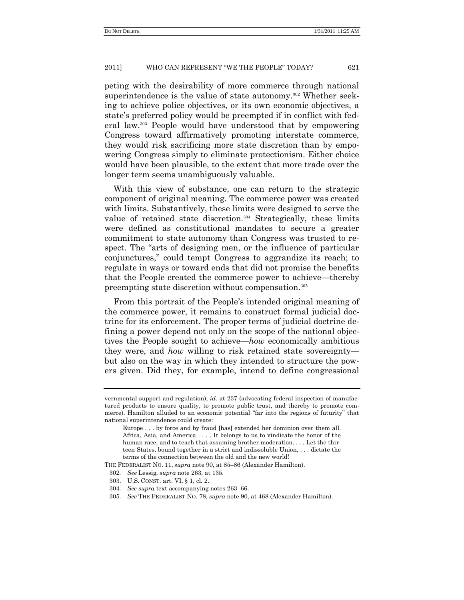peting with the desirability of more commerce through national superintendence is the value of state autonomy.<sup>302</sup> Whether seeking to achieve police objectives, or its own economic objectives, a state's preferred policy would be preempted if in conflict with federal law.<sup>303</sup> People would have understood that by empowering Congress toward affirmatively promoting interstate commerce, they would risk sacrificing more state discretion than by empowering Congress simply to eliminate protectionism. Either choice would have been plausible, to the extent that more trade over the longer term seems unambiguously valuable.

With this view of substance, one can return to the strategic component of original meaning. The commerce power was created with limits. Substantively, these limits were designed to serve the value of retained state discretion.<sup>304</sup> Strategically, these limits were defined as constitutional mandates to secure a greater commitment to state autonomy than Congress was trusted to respect. The "arts of designing men, or the influence of particular conjunctures,‖ could tempt Congress to aggrandize its reach; to regulate in ways or toward ends that did not promise the benefits that the People created the commerce power to achieve—thereby preempting state discretion without compensation.<sup>305</sup>

From this portrait of the People's intended original meaning of the commerce power, it remains to construct formal judicial doctrine for its enforcement. The proper terms of judicial doctrine defining a power depend not only on the scope of the national objectives the People sought to achieve—*how* economically ambitious they were, and *how* willing to risk retained state sovereignty but also on the way in which they intended to structure the powers given. Did they, for example, intend to define congressional

THE FEDERALIST NO. 11, *supra* note 90, at 85–86 (Alexander Hamilton).

vernmental support and regulation); *id.* at 237 (advocating federal inspection of manufactured products to ensure quality, to promote public trust, and thereby to promote commerce). Hamilton alluded to an economic potential "far into the regions of futurity" that national superintendence could create:

Europe . . . by force and by fraud [has] extended her dominion over them all. Africa, Asia, and America . . . . It belongs to us to vindicate the honor of the human race, and to teach that assuming brother moderation. . . . Let the thirteen States, bound together in a strict and indissoluble Union, . . . dictate the terms of the connection between the old and the new world!

<sup>302</sup>*. See* Lessig, *supra* note 263, at 135.

<sup>303.</sup> U.S. CONST. art. VI, § 1, cl. 2.

<sup>304</sup>*. See supra* text accompanying notes 263–66.

<sup>305</sup>*. See* THE FEDERALIST NO. 78, *supra* note 90, at 468 (Alexander Hamilton).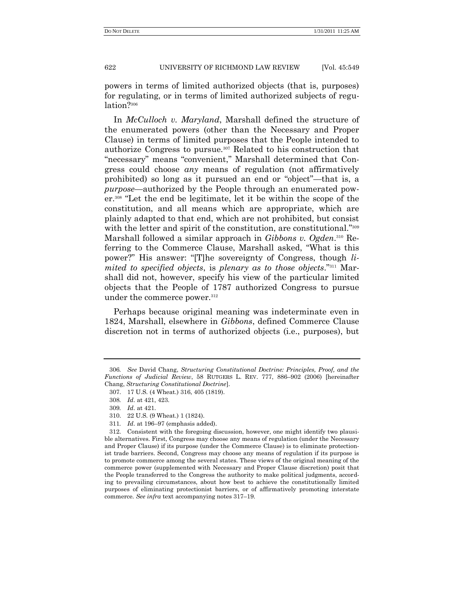powers in terms of limited authorized objects (that is, purposes) for regulating, or in terms of limited authorized subjects of regulation?<sup>306</sup>

In *McCulloch v. Maryland*, Marshall defined the structure of the enumerated powers (other than the Necessary and Proper Clause) in terms of limited purposes that the People intended to authorize Congress to pursue.<sup>307</sup> Related to his construction that "necessary" means "convenient," Marshall determined that Congress could choose *any* means of regulation (not affirmatively prohibited) so long as it pursued an end or "object"—that is, a *purpose*—authorized by the People through an enumerated power.<sup>308</sup> ―Let the end be legitimate, let it be within the scope of the constitution, and all means which are appropriate, which are plainly adapted to that end, which are not prohibited, but consist with the letter and spirit of the constitution, are constitutional."<sup>309</sup> Marshall followed a similar approach in *Gibbons v. Ogden*. <sup>310</sup> Referring to the Commerce Clause, Marshall asked, "What is this power?" His answer: "[T]he sovereignty of Congress, though *limited to specified objects, is plenary as to those objects.*"<sup>311</sup> Marshall did not, however, specify his view of the particular limited objects that the People of 1787 authorized Congress to pursue under the commerce power.<sup>312</sup>

Perhaps because original meaning was indeterminate even in 1824, Marshall, elsewhere in *Gibbons*, defined Commerce Clause discretion not in terms of authorized objects (i.e., purposes), but

<sup>306</sup>*. See* David Chang, *Structuring Constitutional Doctrine: Principles, Proof, and the Functions of Judicial Review*, 58 RUTGERS L. REV. 777, 886–902 (2006) [hereinafter Chang, *Structuring Constitutional Doctrine*].

<sup>307.</sup> 17 U.S. (4 Wheat.) 316, 405 (1819).

<sup>308</sup>*. Id*. at 421, 423.

<sup>309</sup>*. Id*. at 421.

<sup>310.</sup> 22 U.S. (9 Wheat.) 1 (1824).

<sup>311</sup>*. Id*. at 196–97 (emphasis added).

<sup>312.</sup> Consistent with the foregoing discussion, however, one might identify two plausible alternatives. First, Congress may choose any means of regulation (under the Necessary and Proper Clause) if its purpose (under the Commerce Clause) is to eliminate protectionist trade barriers. Second, Congress may choose any means of regulation if its purpose is to promote commerce among the several states. These views of the original meaning of the commerce power (supplemented with Necessary and Proper Clause discretion) posit that the People transferred to the Congress the authority to make political judgments, according to prevailing circumstances, about how best to achieve the constitutionally limited purposes of eliminating protectionist barriers, or of affirmatively promoting interstate commerce*. See infra* text accompanying notes 317–19.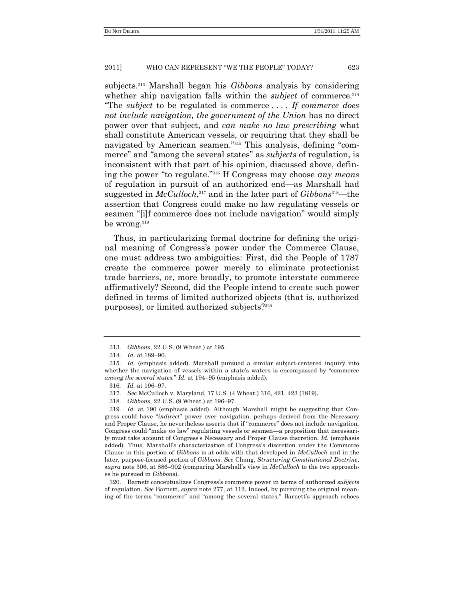subjects.<sup>313</sup> Marshall began his *Gibbons* analysis by considering whether ship navigation falls within the *subject* of commerce.<sup>314</sup> ―The *subject* to be regulated is commerce . . . . *If commerce does not include navigation, the government of the Union* has no direct power over that subject, and *can make no law prescribing* what shall constitute American vessels, or requiring that they shall be navigated by American seamen."<sup>315</sup> This analysis, defining "commerce" and "among the several states" as *subjects* of regulation, is inconsistent with that part of his opinion, discussed above, defining the power "to regulate."<sup>316</sup> If Congress may choose *any means* of regulation in pursuit of an authorized end—as Marshall had suggested in *McCulloch*, <sup>317</sup> and in the later part of *Gibbons*318—the assertion that Congress could make no law regulating vessels or seamen "[i]f commerce does not include navigation" would simply be wrong.<sup>319</sup>

Thus, in particularizing formal doctrine for defining the original meaning of Congress's power under the Commerce Clause, one must address two ambiguities: First, did the People of 1787 create the commerce power merely to eliminate protectionist trade barriers, or, more broadly, to promote interstate commerce affirmatively? Second, did the People intend to create such power defined in terms of limited authorized objects (that is, authorized purposes), or limited authorized subjects?<sup>320</sup>

320. Barnett conceptualizes Congress's commerce power in terms of authorized *subjects* of regulation. *See* Barnett, *supra* note 277, at 112. Indeed, by pursuing the original meaning of the terms "commerce" and "among the several states," Barnett's approach echoes

<sup>313</sup>*. Gibbons*, 22 U.S. (9 Wheat.) at 195.

<sup>314</sup>*. Id*. at 189–90.

<sup>315</sup>*. Id.* (emphasis added). Marshall pursued a similar subject-centered inquiry into whether the navigation of vessels within a state's waters is encompassed by "commerce *among the several states.*‖ *Id.* at 194–95 (emphasis added).

<sup>316</sup>*. Id.* at 196–97.

<sup>317</sup>*. See* McCulloch v. Maryland, 17 U.S. (4 Wheat.) 316, 421, 423 (1819).

<sup>318</sup>*. Gibbons*, 22 U.S. (9 Wheat.) at 196–97.

<sup>319</sup>*. Id.* at 190 (emphasis added). Although Marshall might be suggesting that Congress could have "*indirect*" power over navigation, perhaps derived from the Necessary and Proper Clause, he nevertheless asserts that if "commerce" does not include navigation, Congress could "make *no* law" regulating vessels or seamen—a proposition that necessarily must take account of Congress's Necessary and Proper Clause discretion. *Id.* (emphasis added). Thus, Marshall's characterization of Congress's discretion under the Commerce Clause in this portion of *Gibbons* is at odds with that developed in *McCulloch* and in the later, purpose-focused portion of *Gibbons*. *See* Chang, *Structuring Constitutional Doctrine*, *supra* note 306, at 886–902 (comparing Marshall's view in *McCulloch* to the two approaches he pursued in *Gibbons*).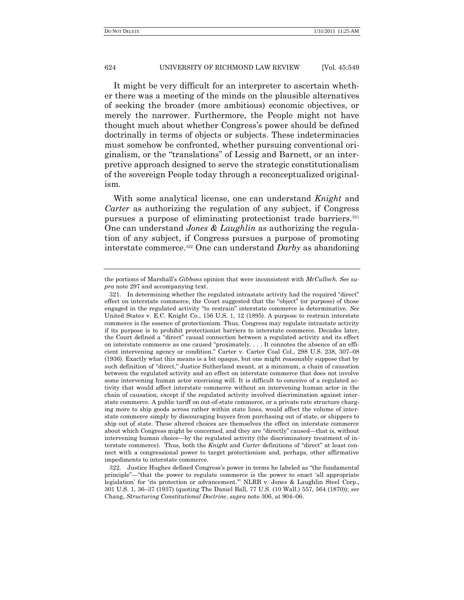It might be very difficult for an interpreter to ascertain whether there was a meeting of the minds on the plausible alternatives of seeking the broader (more ambitious) economic objectives, or merely the narrower. Furthermore, the People might not have thought much about whether Congress's power should be defined doctrinally in terms of objects or subjects. These indeterminacies must somehow be confronted, whether pursuing conventional originalism, or the "translations" of Lessig and Barnett, or an interpretive approach designed to serve the strategic constitutionalism of the sovereign People today through a reconceptualized originalism.

With some analytical license, one can understand *Knight* and *Carter* as authorizing the regulation of any subject, if Congress pursues a purpose of eliminating protectionist trade barriers.<sup>321</sup> One can understand *Jones & Laughlin* as authorizing the regulation of any subject, if Congress pursues a purpose of promoting interstate commerce.<sup>322</sup> One can understand *Darby* as abandoning

the portions of Marshall's *Gibbons* opinion that were inconsistent with *McCulloch*. *See supra* note 297 and accompanying text.

<sup>321.</sup> In determining whether the regulated intrastate activity had the required "direct" effect on interstate commerce, the Court suggested that the "object" (or purpose) of those engaged in the regulated activity "to restrain" interstate commerce is determinative. See United States v. E.C. Knight Co., 156 U.S. 1, 12 (1895). A purpose to restrain interstate commerce is the essence of protectionism. Thus, Congress may regulate intrastate activity if its purpose is to prohibit protectionist barriers to interstate commerce. Decades later, the Court defined a "direct" causal connection between a regulated activity and its effect on interstate commerce as one caused "proximately. . . . It connotes the absence of an efficient intervening agency or condition.‖ Carter v. Carter Coal Col., 298 U.S. 238, 307–08 (1936). Exactly what this means is a bit opaque, but one might reasonably suppose that by such definition of "direct," Justice Sutherland meant, at a minimum, a chain of causation between the regulated activity and an effect on interstate commerce that does not involve some intervening human actor exercising will. It is difficult to conceive of a regulated activity that would affect interstate commerce without an intervening human actor in the chain of causation, except if the regulated activity involved discrimination against interstate commerce. A public tariff on out-of-state commerce, or a private rate structure charging more to ship goods across rather within state lines, would affect the volume of interstate commerce simply by discouraging buyers from purchasing out of state, or shippers to ship out of state. These altered choices are themselves the effect on interstate commerce about which Congress might be concerned, and they are "directly" caused—that is, without intervening human choice—by the regulated activity (the discriminatory treatment of interstate commerce). Thus, both the *Knight* and *Carter* definitions of "direct" at least connect with a congressional power to target protectionism and, perhaps, other affirmative impediments to interstate commerce.

<sup>322.</sup> Justice Hughes defined Congress's power in terms he labeled as "the fundamental" principle"—"that the power to regulate commerce is the power to enact 'all appropriate legislation' for 'its protection or advancement." NLRB v. Jones & Laughlin Steel Corp., 301 U.S. 1, 36–37 (1937) (quoting The Daniel Ball, 77 U.S. (10 Wall.) 557, 564 (1870)); *see* Chang, *Structuring Constitutional Doctrine*, *supra* note 306, at 904–06.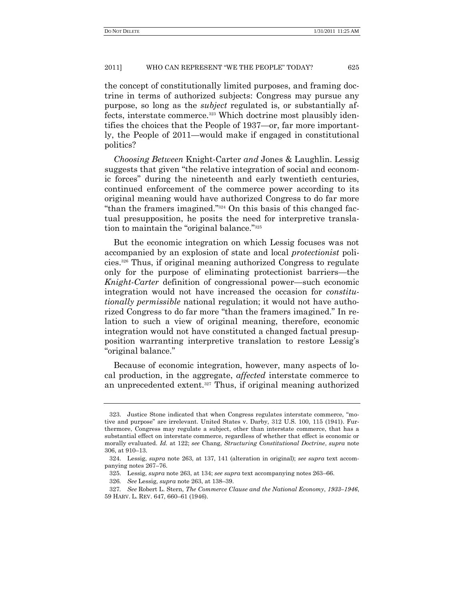the concept of constitutionally limited purposes, and framing doctrine in terms of authorized subjects: Congress may pursue any purpose, so long as the *subject* regulated is, or substantially affects, interstate commerce.<sup>323</sup> Which doctrine most plausibly identifies the choices that the People of 1937—or, far more importantly, the People of 2011—would make if engaged in constitutional politics?

*Choosing Between* Knight-Carter *and* Jones & Laughlin. Lessig suggests that given "the relative integration of social and economic forces" during the nineteenth and early twentieth centuries, continued enforcement of the commerce power according to its original meaning would have authorized Congress to do far more "than the framers imagined." $324}$  On this basis of this changed factual presupposition, he posits the need for interpretive translation to maintain the "original balance."<sup>325</sup>

But the economic integration on which Lessig focuses was not accompanied by an explosion of state and local *protectionist* policies.<sup>326</sup> Thus, if original meaning authorized Congress to regulate only for the purpose of eliminating protectionist barriers—the *Knight-Carter* definition of congressional power—such economic integration would not have increased the occasion for *constitutionally permissible* national regulation; it would not have authorized Congress to do far more "than the framers imagined." In relation to such a view of original meaning, therefore, economic integration would not have constituted a changed factual presupposition warranting interpretive translation to restore Lessig's "original balance."

Because of economic integration, however, many aspects of local production, in the aggregate, *affected* interstate commerce to an unprecedented extent.<sup>327</sup> Thus, if original meaning authorized

<sup>323.</sup> Justice Stone indicated that when Congress regulates interstate commerce, "motive and purpose" are irrelevant. United States v. Darby, 312 U.S. 100, 115 (1941). Furthermore, Congress may regulate a subject, other than interstate commerce, that has a substantial effect on interstate commerce, regardless of whether that effect is economic or morally evaluated. *Id.* at 122; *see* Chang, *Structuring Constitutional Doctrine*, *supra* note 306, at 910–13.

<sup>324.</sup> Lessig, *supra* note 263, at 137, 141 (alteration in original); *see supra* text accompanying notes 267–76.

<sup>325.</sup> Lessig, *supra* note 263, at 134; *see supra* text accompanying notes 263–66.

<sup>326</sup>*. See* Lessig, *supra* note 263, at 138–39.

<sup>327</sup>*. See* Robert L. Stern, *The Commerce Clause and the National Economy*, *1933–1946*, 59 HARV. L. REV. 647, 660–61 (1946).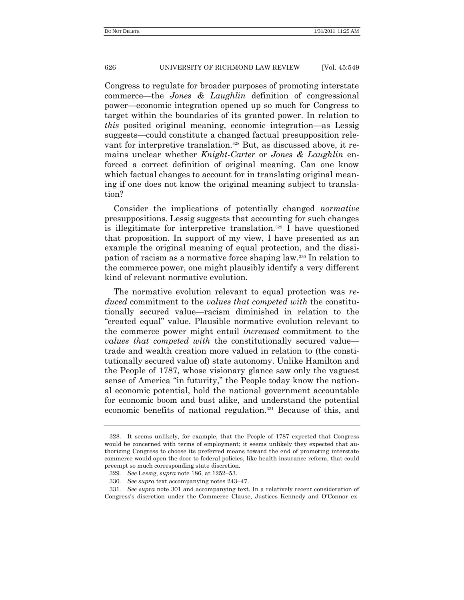Congress to regulate for broader purposes of promoting interstate commerce—the *Jones & Laughlin* definition of congressional power—economic integration opened up so much for Congress to target within the boundaries of its granted power. In relation to *this* posited original meaning, economic integration—as Lessig suggests—could constitute a changed factual presupposition relevant for interpretive translation.<sup>328</sup> But, as discussed above, it remains unclear whether *Knight-Carter* or *Jones & Laughlin* enforced a correct definition of original meaning. Can one know which factual changes to account for in translating original meaning if one does not know the original meaning subject to translation?

Consider the implications of potentially changed *normative* presuppositions. Lessig suggests that accounting for such changes is illegitimate for interpretive translation.<sup>329</sup> I have questioned that proposition. In support of my view, I have presented as an example the original meaning of equal protection, and the dissipation of racism as a normative force shaping law.<sup>330</sup> In relation to the commerce power, one might plausibly identify a very different kind of relevant normative evolution.

The normative evolution relevant to equal protection was *reduced* commitment to the *values that competed with* the constitutionally secured value—racism diminished in relation to the ―created equal‖ value. Plausible normative evolution relevant to the commerce power might entail *increased* commitment to the *values that competed with* the constitutionally secured value trade and wealth creation more valued in relation to (the constitutionally secured value of) state autonomy. Unlike Hamilton and the People of 1787, whose visionary glance saw only the vaguest sense of America "in futurity," the People today know the national economic potential, hold the national government accountable for economic boom and bust alike, and understand the potential economic benefits of national regulation.<sup>331</sup> Because of this, and

<sup>328.</sup> It seems unlikely, for example, that the People of 1787 expected that Congress would be concerned with terms of employment; it seems unlikely they expected that authorizing Congress to choose its preferred means toward the end of promoting interstate commerce would open the door to federal policies, like health insurance reform, that could preempt so much corresponding state discretion.

<sup>329</sup>*. See* Lessig, *supra* note 186, at 1252–53.

<sup>330</sup>*. See supra* text accompanying notes 243–47.

<sup>331</sup>*. See supra* note 301 and accompanying text. In a relatively recent consideration of Congress's discretion under the Commerce Clause, Justices Kennedy and O'Connor ex-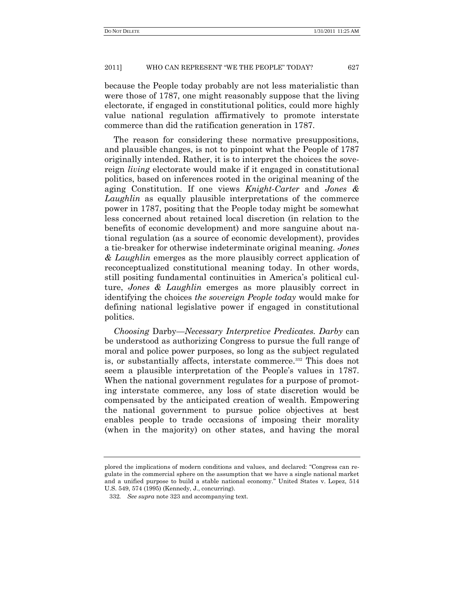because the People today probably are not less materialistic than were those of 1787, one might reasonably suppose that the living electorate, if engaged in constitutional politics, could more highly value national regulation affirmatively to promote interstate commerce than did the ratification generation in 1787.

The reason for considering these normative presuppositions, and plausible changes, is not to pinpoint what the People of 1787 originally intended. Rather, it is to interpret the choices the sovereign *living* electorate would make if it engaged in constitutional politics, based on inferences rooted in the original meaning of the aging Constitution. If one views *Knight-Carter* and *Jones & Laughlin* as equally plausible interpretations of the commerce power in 1787, positing that the People today might be somewhat less concerned about retained local discretion (in relation to the benefits of economic development) and more sanguine about national regulation (as a source of economic development), provides a tie-breaker for otherwise indeterminate original meaning. *Jones & Laughlin* emerges as the more plausibly correct application of reconceptualized constitutional meaning today. In other words, still positing fundamental continuities in America's political culture, *Jones & Laughlin* emerges as more plausibly correct in identifying the choices *the sovereign People today* would make for defining national legislative power if engaged in constitutional politics.

*Choosing* Darby—*Necessary Interpretive Predicates. Darby* can be understood as authorizing Congress to pursue the full range of moral and police power purposes, so long as the subject regulated is, or substantially affects, interstate commerce.<sup>332</sup> This does not seem a plausible interpretation of the People's values in 1787. When the national government regulates for a purpose of promoting interstate commerce, any loss of state discretion would be compensated by the anticipated creation of wealth. Empowering the national government to pursue police objectives at best enables people to trade occasions of imposing their morality (when in the majority) on other states, and having the moral

plored the implications of modern conditions and values, and declared: "Congress can regulate in the commercial sphere on the assumption that we have a single national market and a unified purpose to build a stable national economy." United States v. Lopez, 514 U.S. 549, 574 (1995) (Kennedy, J., concurring).

<sup>332</sup>*. See supra* note 323 and accompanying text.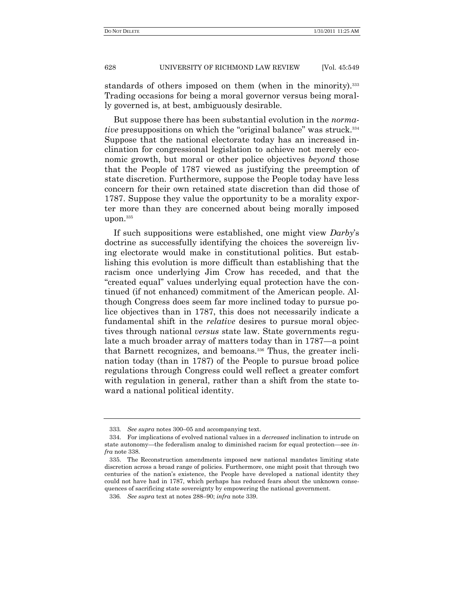standards of others imposed on them (when in the minority).<sup>333</sup> Trading occasions for being a moral governor versus being morally governed is, at best, ambiguously desirable.

But suppose there has been substantial evolution in the *normative* presuppositions on which the "original balance" was struck.<sup>334</sup> Suppose that the national electorate today has an increased inclination for congressional legislation to achieve not merely economic growth, but moral or other police objectives *beyond* those that the People of 1787 viewed as justifying the preemption of state discretion. Furthermore, suppose the People today have less concern for their own retained state discretion than did those of 1787. Suppose they value the opportunity to be a morality exporter more than they are concerned about being morally imposed upon.<sup>335</sup>

If such suppositions were established, one might view *Darby*'s doctrine as successfully identifying the choices the sovereign living electorate would make in constitutional politics. But establishing this evolution is more difficult than establishing that the racism once underlying Jim Crow has receded, and that the ―created equal‖ values underlying equal protection have the continued (if not enhanced) commitment of the American people. Although Congress does seem far more inclined today to pursue police objectives than in 1787, this does not necessarily indicate a fundamental shift in the *relative* desires to pursue moral objectives through national *versus* state law. State governments regulate a much broader array of matters today than in 1787—a point that Barnett recognizes, and bemoans.<sup>336</sup> Thus, the greater inclination today (than in 1787) of the People to pursue broad police regulations through Congress could well reflect a greater comfort with regulation in general, rather than a shift from the state toward a national political identity.

<sup>333</sup>*. See supra* notes 300–05 and accompanying text.

<sup>334.</sup> For implications of evolved national values in a *decreased* inclination to intrude on state autonomy—the federalism analog to diminished racism for equal protection—see *infra* note 338.

<sup>335.</sup> The Reconstruction amendments imposed new national mandates limiting state discretion across a broad range of policies. Furthermore, one might posit that through two centuries of the nation's existence, the People have developed a national identity they could not have had in 1787, which perhaps has reduced fears about the unknown consequences of sacrificing state sovereignty by empowering the national government.

<sup>336</sup>*. See supra* text at notes 288–90; *infra* note 339.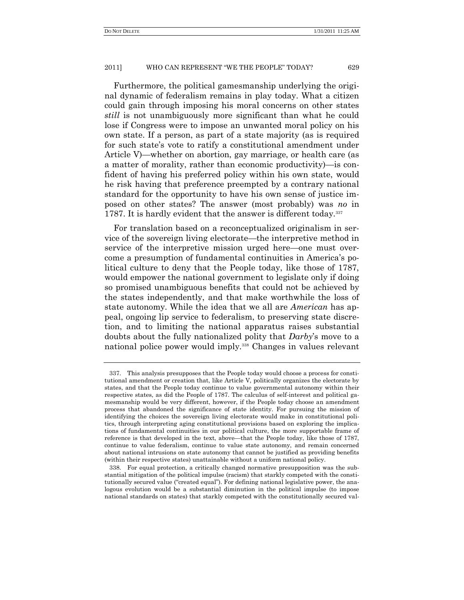Furthermore, the political gamesmanship underlying the original dynamic of federalism remains in play today. What a citizen could gain through imposing his moral concerns on other states *still* is not unambiguously more significant than what he could lose if Congress were to impose an unwanted moral policy on his own state. If a person, as part of a state majority (as is required for such state's vote to ratify a constitutional amendment under Article V)—whether on abortion, gay marriage, or health care (as a matter of morality, rather than economic productivity)—is confident of having his preferred policy within his own state, would he risk having that preference preempted by a contrary national standard for the opportunity to have his own sense of justice imposed on other states? The answer (most probably) was *no* in 1787. It is hardly evident that the answer is different today.<sup>337</sup>

For translation based on a reconceptualized originalism in service of the sovereign living electorate—the interpretive method in service of the interpretive mission urged here—one must overcome a presumption of fundamental continuities in America's political culture to deny that the People today, like those of 1787, would empower the national government to legislate only if doing so promised unambiguous benefits that could not be achieved by the states independently, and that make worthwhile the loss of state autonomy. While the idea that we all are *American* has appeal, ongoing lip service to federalism, to preserving state discretion, and to limiting the national apparatus raises substantial doubts about the fully nationalized polity that *Darby*'s move to a national police power would imply.<sup>338</sup> Changes in values relevant

<sup>337.</sup> This analysis presupposes that the People today would choose a process for constitutional amendment or creation that, like Article V, politically organizes the electorate by states, and that the People today continue to value governmental autonomy within their respective states, as did the People of 1787. The calculus of self-interest and political gamesmanship would be very different, however, if the People today choose an amendment process that abandoned the significance of state identity. For pursuing the mission of identifying the choices the sovereign living electorate would make in constitutional politics, through interpreting aging constitutional provisions based on exploring the implications of fundamental continuities in our political culture, the more supportable frame of reference is that developed in the text, above—that the People today, like those of 1787, continue to value federalism, continue to value state autonomy, and remain concerned about national intrusions on state autonomy that cannot be justified as providing benefits (within their respective states) unattainable without a uniform national policy.

<sup>338.</sup> For equal protection, a critically changed normative presupposition was the substantial mitigation of the political impulse (racism) that starkly competed with the constitutionally secured value ("created equal"). For defining national legislative power, the analogous evolution would be a substantial diminution in the political impulse (to impose national standards on states) that starkly competed with the constitutionally secured val-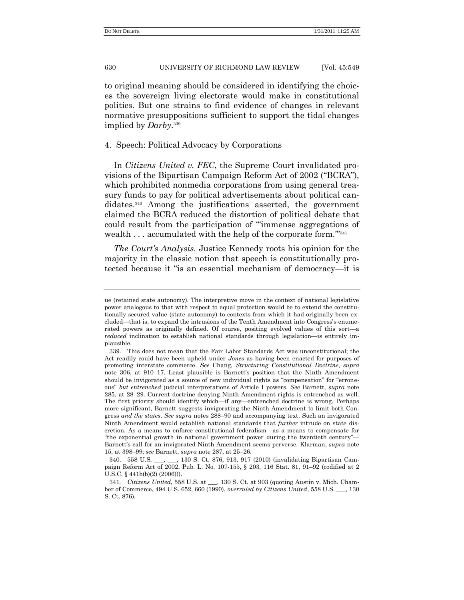to original meaning should be considered in identifying the choices the sovereign living electorate would make in constitutional politics. But one strains to find evidence of changes in relevant normative presuppositions sufficient to support the tidal changes implied by *Darby*. 339

## 4. Speech: Political Advocacy by Corporations

In *Citizens United v. FEC*, the Supreme Court invalidated provisions of the Bipartisan Campaign Reform Act of 2002 ("BCRA"), which prohibited nonmedia corporations from using general treasury funds to pay for political advertisements about political candidates.<sup>340</sup> Among the justifications asserted, the government claimed the BCRA reduced the distortion of political debate that could result from the participation of "immense aggregations of wealth  $\dots$  accumulated with the help of the corporate form."<sup>341</sup>

*The Court's Analysis.* Justice Kennedy roots his opinion for the majority in the classic notion that speech is constitutionally protected because it "is an essential mechanism of democracy—it is

ue (retained state autonomy). The interpretive move in the context of national legislative power analogous to that with respect to equal protection would be to extend the constitutionally secured value (state autonomy) to contexts from which it had originally been excluded—that is, to expand the intrusions of the Tenth Amendment into Congress's enumerated powers as originally defined. Of course, positing evolved values of this sort—a *reduced* inclination to establish national standards through legislation—is entirely implausible.

<sup>339.</sup> This does not mean that the Fair Labor Standards Act was unconstitutional; the Act readily could have been upheld under *Jones* as having been enacted for purposes of promoting interstate commerce. *See* Chang, *Structuring Constitutional Doctrine*, *supra* note 306, at 910–17. Least plausible is Barnett's position that the Ninth Amendment should be invigorated as a source of new individual rights as "compensation" for "erroneous‖ *but entrenched* judicial interpretations of Article I powers. *See* Barnett, *supra* note 285, at 28–29. Current doctrine denying Ninth Amendment rights is entrenched as well. The first priority should identify which—if any—entrenched doctrine is wrong. Perhaps more significant, Barnett suggests invigorating the Ninth Amendment to limit both Congress *and the states*. *See supra* notes 288–90 and accompanying text. Such an invigorated Ninth Amendment would establish national standards that *further* intrude on state discretion. As a means to enforce constitutional federalism—as a means to compensate for "the exponential growth in national government power during the twentieth century"— Barnett's call for an invigorated Ninth Amendment seems perverse. Klarman, *supra* note 15, at 398–99; *see* Barnett, *supra* note 287, at 25–26.

<sup>340.</sup> 558 U.S. \_\_\_, \_\_\_, 130 S. Ct. 876, 913, 917 (2010) (invalidating Bipartisan Campaign Reform Act of 2002, Pub. L. No. 107-155, § 203, 116 Stat. 81, 91–92 (codified at 2 U.S.C. § 441b(b)(2) (2006))).

<sup>341</sup>*. Citizens United*, 558 U.S. at \_\_\_, 130 S. Ct. at 903 (quoting Austin v. Mich. Chamber of Commerce, 494 U.S. 652, 660 (1990), *overruled by Citizens United*, 558 U.S. \_\_\_, 130 S. Ct. 876).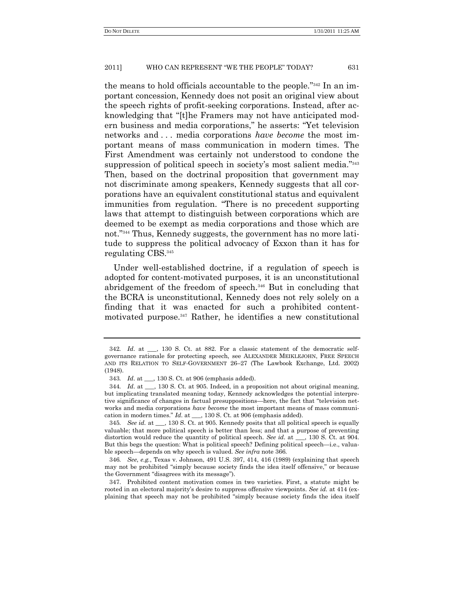the means to hold officials accountable to the people."<sup>342</sup> In an important concession, Kennedy does not posit an original view about the speech rights of profit-seeking corporations. Instead, after acknowledging that "[t]he Framers may not have anticipated modern business and media corporations," he asserts: "Yet television networks and . . . media corporations *have become* the most important means of mass communication in modern times. The First Amendment was certainly not understood to condone the suppression of political speech in society's most salient media."<sup>343</sup> Then, based on the doctrinal proposition that government may not discriminate among speakers, Kennedy suggests that all corporations have an equivalent constitutional status and equivalent immunities from regulation. "There is no precedent supporting laws that attempt to distinguish between corporations which are deemed to be exempt as media corporations and those which are not."<sup>344</sup> Thus, Kennedy suggests, the government has no more latitude to suppress the political advocacy of Exxon than it has for regulating CBS.<sup>345</sup>

Under well-established doctrine, if a regulation of speech is adopted for content-motivated purposes, it is an unconstitutional abridgement of the freedom of speech.<sup>346</sup> But in concluding that the BCRA is unconstitutional, Kennedy does not rely solely on a finding that it was enacted for such a prohibited contentmotivated purpose.<sup>347</sup> Rather, he identifies a new constitutional

345*. See id.* at \_\_\_, 130 S. Ct. at 905. Kennedy posits that all political speech is equally valuable; that more political speech is better than less; and that a purpose of preventing distortion would reduce the quantity of political speech. *See id*. at \_\_\_, 130 S. Ct. at 904. But this begs the question: What is political speech? Defining political speech—i.e., valuable speech—depends on why speech is valued. *See infra* note 366.

346*. See*, *e.g.*, Texas v. Johnson, 491 U.S. 397, 414, 416 (1989) (explaining that speech may not be prohibited "simply because society finds the idea itself offensive," or because the Government "disagrees with its message").

347. Prohibited content motivation comes in two varieties. First, a statute might be rooted in an electoral majority's desire to suppress offensive viewpoints. *See id.* at 414 (explaining that speech may not be prohibited "simply because society finds the idea itself

<sup>342</sup>*. Id*. at \_\_\_, 130 S. Ct. at 882. For a classic statement of the democratic selfgovernance rationale for protecting speech, see ALEXANDER MEIKLEJOHN, FREE SPEECH AND ITS RELATION TO SELF-GOVERNMENT 26–27 (The Lawbook Exchange, Ltd. 2002) (1948).

<sup>343</sup>*. Id*. at \_\_\_, 130 S. Ct. at 906 (emphasis added).

<sup>344</sup>*. Id*. at \_\_\_, 130 S. Ct. at 905. Indeed, in a proposition not about original meaning, but implicating translated meaning today, Kennedy acknowledges the potential interpretive significance of changes in factual presuppositions—here, the fact that "television networks and media corporations *have become* the most important means of mass communication in modern times.‖ *Id*. at \_\_\_, 130 S. Ct. at 906 (emphasis added).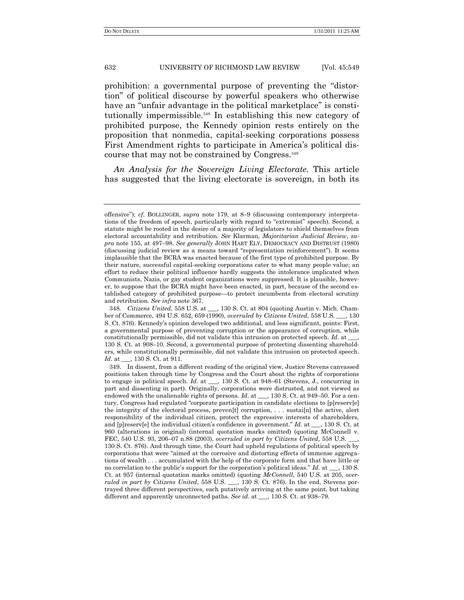prohibition: a governmental purpose of preventing the "distortion‖ of political discourse by powerful speakers who otherwise have an "unfair advantage in the political marketplace" is constitutionally impermissible.<sup>348</sup> In establishing this new category of prohibited purpose, the Kennedy opinion rests entirely on the proposition that nonmedia, capital-seeking corporations possess First Amendment rights to participate in America's political discourse that may not be constrained by Congress.<sup>349</sup>

*An Analysis for the Sovereign Living Electorate.* This article has suggested that the living electorate is sovereign, in both its

offensive‖); *cf*. BOLLINGER, *supra* note 179, at 8–9 (discussing contemporary interpretations of the freedom of speech, particularly with regard to "extremist" speech). Second, a statute might be rooted in the desire of a majority of legislators to shield themselves from electoral accountability and retribution. *See* Klarman, *Majoritarian Judicial Review*, *supra* note 155, at 497–98. *See generally* JOHN HART ELY, DEMOCRACY AND DISTRUST (1980) (discussing judicial review as a means toward "representation reinforcement"). It seems implausible that the BCRA was enacted because of the first type of prohibited purpose. By their nature, successful capital-seeking corporations cater to what many people value; an effort to reduce their political influence hardly suggests the intolerance implicated when Communists, Nazis, or gay student organizations were suppressed. It is plausible, however, to suppose that the BCRA might have been enacted, in part, because of the second established category of prohibited purpose—to protect incumbents from electoral scrutiny and retribution. *See infra* note 367.

<sup>348</sup>*. Citizens United*, 558 U.S. at \_\_\_, 130 S. Ct. at 804 (quoting Austin v. Mich. Chamber of Commerce, 494 U.S. 652, 659 (1990), *overruled by Citizens United*, 558 U.S. \_\_\_, 130 S. Ct. 876). Kennedy's opinion developed two additional, and less significant, points: First, a governmental purpose of preventing corruption or the appearance of corruption, while constitutionally permissible, did not validate this intrusion on protected speech. *Id*. at \_\_\_, 130 S. Ct. at 908–10. Second, a governmental purpose of protecting dissenting shareholders, while constitutionally permissible, did not validate this intrusion on protected speech. *Id*. at \_\_\_, 130 S. Ct. at 911.

<sup>349.</sup> In dissent, from a different reading of the original view, Justice Stevens canvassed positions taken through time by Congress and the Court about the rights of corporations to engage in political speech. *Id*. at \_\_\_, 130 S. Ct. at 948–61 (Stevens, J., concurring in part and dissenting in part). Originally, corporations were distrusted, and not viewed as endowed with the unalienable rights of persons. *Id.* at \_\_, 130 S. Ct. at 949–50. For a century, Congress had regulated "corporate participation in candidate elections to [p]reserv[e] the integrity of the electoral process, preven[t] corruption, . . . sustai[n] the active, alert responsibility of the individual citizen, protect the expressive interests of shareholders, and [p]reserv[e] the individual citizen's confidence in government." *Id.* at \_\_, 130 S. Ct. at 960 (alterations in original) (internal quotation marks omitted) (quoting McConnell v. FEC, 540 U.S. 93, 206-07 n.88 (2003), *overruled in part by Citizens United*, 558 U.S. 130 S. Ct. 876). And through time, the Court had upheld regulations of political speech by corporations that were "aimed at the corrosive and distorting effects of immense aggregations of wealth . . . accumulated with the help of the corporate form and that have little or no correlation to the public's support for the corporation's political ideas." *Id.* at \_\_, 130 S. Ct. at 957 (internal quotation marks omitted) (quoting *McConnell*, 540 U.S. at 205, *overruled in part by Citizens United*, 558 U.S. \_\_\_, 130 S. Ct. 876). In the end, Stevens portrayed three different perspectives, each putatively arriving at the same point, but taking different and apparently unconnected paths. *See id*. at \_\_\_, 130 S. Ct. at 938–79.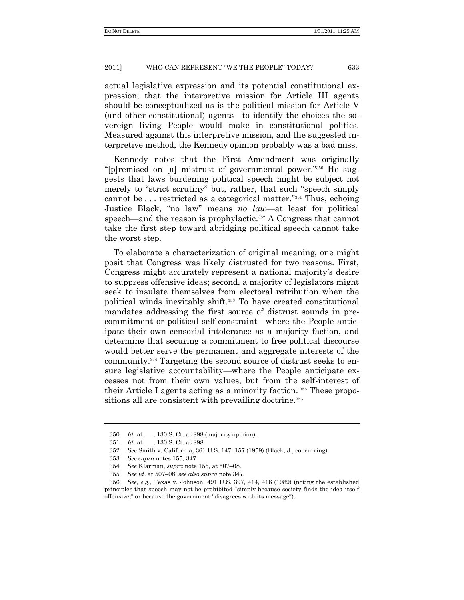actual legislative expression and its potential constitutional expression; that the interpretive mission for Article III agents should be conceptualized as is the political mission for Article V (and other constitutional) agents—to identify the choices the sovereign living People would make in constitutional politics. Measured against this interpretive mission, and the suggested interpretive method, the Kennedy opinion probably was a bad miss.

Kennedy notes that the First Amendment was originally "[p]remised on [a] mistrust of governmental power."<sup>350</sup> He suggests that laws burdening political speech might be subject not merely to "strict scrutiny" but, rather, that such "speech simply cannot be  $\dots$  restricted as a categorical matter."<sup>351</sup> Thus, echoing Justice Black, "no law" means *no law*—at least for political speech—and the reason is prophylactic.<sup>352</sup> A Congress that cannot take the first step toward abridging political speech cannot take the worst step.

To elaborate a characterization of original meaning, one might posit that Congress was likely distrusted for two reasons. First, Congress might accurately represent a national majority's desire to suppress offensive ideas; second, a majority of legislators might seek to insulate themselves from electoral retribution when the political winds inevitably shift.<sup>353</sup> To have created constitutional mandates addressing the first source of distrust sounds in precommitment or political self-constraint—where the People anticipate their own censorial intolerance as a majority faction, and determine that securing a commitment to free political discourse would better serve the permanent and aggregate interests of the community.<sup>354</sup> Targeting the second source of distrust seeks to ensure legislative accountability—where the People anticipate excesses not from their own values, but from the self-interest of their Article I agents acting as a minority faction. <sup>355</sup> These propositions all are consistent with prevailing doctrine.<sup>356</sup>

<sup>350</sup>*. Id*. at \_\_\_, 130 S. Ct. at 898 (majority opinion).

<sup>351</sup>*. Id*. at \_\_\_, 130 S. Ct. at 898.

<sup>352</sup>*. See* Smith v. California, 361 U.S. 147, 157 (1959) (Black, J., concurring).

<sup>353</sup>*. See supra* notes 155, 347.

<sup>354</sup>*. See* Klarman, *supra* note 155, at 507–08.

<sup>355</sup>*. See id*. at 507–08; *see also supra* note 347.

<sup>356</sup>*. See, e.g.*, Texas v. Johnson, 491 U.S. 397, 414, 416 (1989) (noting the established principles that speech may not be prohibited "simply because society finds the idea itself offensive," or because the government "disagrees with its message").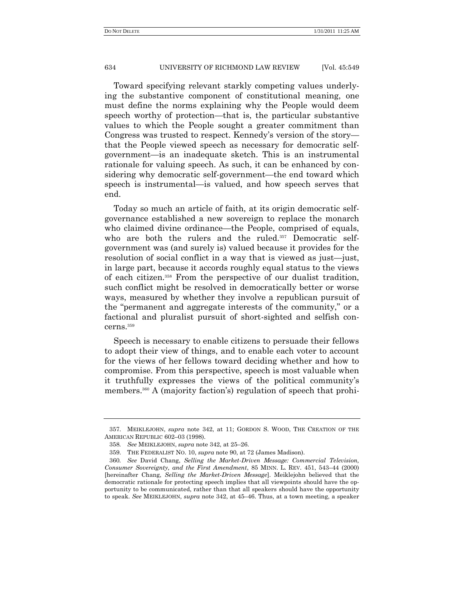Toward specifying relevant starkly competing values underlying the substantive component of constitutional meaning, one must define the norms explaining why the People would deem speech worthy of protection—that is, the particular substantive values to which the People sought a greater commitment than Congress was trusted to respect. Kennedy's version of the story that the People viewed speech as necessary for democratic selfgovernment—is an inadequate sketch. This is an instrumental rationale for valuing speech. As such, it can be enhanced by considering why democratic self-government—the end toward which speech is instrumental—is valued, and how speech serves that end.

Today so much an article of faith, at its origin democratic selfgovernance established a new sovereign to replace the monarch who claimed divine ordinance—the People, comprised of equals, who are both the rulers and the ruled.<sup>357</sup> Democratic selfgovernment was (and surely is) valued because it provides for the resolution of social conflict in a way that is viewed as just—just, in large part, because it accords roughly equal status to the views of each citizen.<sup>358</sup> From the perspective of our dualist tradition, such conflict might be resolved in democratically better or worse ways, measured by whether they involve a republican pursuit of the "permanent and aggregate interests of the community," or a factional and pluralist pursuit of short-sighted and selfish concerns.<sup>359</sup>

Speech is necessary to enable citizens to persuade their fellows to adopt their view of things, and to enable each voter to account for the views of her fellows toward deciding whether and how to compromise. From this perspective, speech is most valuable when it truthfully expresses the views of the political community's members.<sup>360</sup> A (majority faction's) regulation of speech that prohi-

<sup>357.</sup> MEIKLEJOHN, *supra* note 342, at 11; GORDON S. WOOD, THE CREATION OF THE AMERICAN REPUBLIC 602–03 (1998).

<sup>358</sup>*. See* MEIKLEJOHN, *supra* note 342, at 25–26.

<sup>359.</sup> THE FEDERALIST NO. 10, *supra* note 90, at 72 (James Madison).

<sup>360</sup>*. See* David Chang, *Selling the Market-Driven Message: Commercial Television, Consumer Sovereignty, and the First Amendment*, 85 MINN. L. REV. 451, 543–44 (2000) [hereinafter Chang, *Selling the Market-Driven Message*]. Meiklejohn believed that the democratic rationale for protecting speech implies that all viewpoints should have the opportunity to be communicated, rather than that all speakers should have the opportunity to speak. *See* MEIKLEJOHN, *supra* note 342, at 45–46. Thus, at a town meeting, a speaker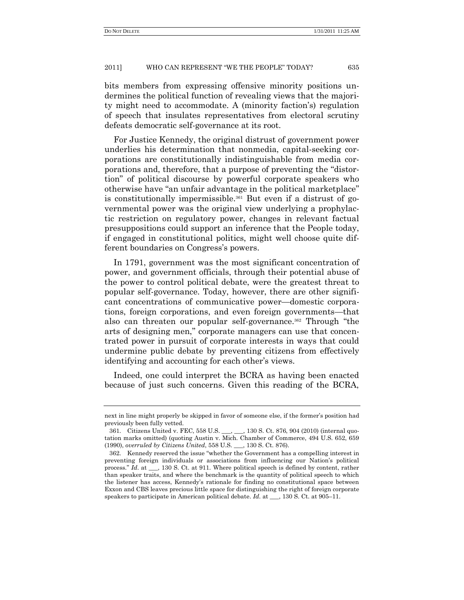bits members from expressing offensive minority positions undermines the political function of revealing views that the majority might need to accommodate. A (minority faction's) regulation of speech that insulates representatives from electoral scrutiny defeats democratic self-governance at its root.

For Justice Kennedy, the original distrust of government power underlies his determination that nonmedia, capital-seeking corporations are constitutionally indistinguishable from media corporations and, therefore, that a purpose of preventing the "distortion" of political discourse by powerful corporate speakers who otherwise have "an unfair advantage in the political marketplace" is constitutionally impermissible.<sup>361</sup> But even if a distrust of governmental power was the original view underlying a prophylactic restriction on regulatory power, changes in relevant factual presuppositions could support an inference that the People today, if engaged in constitutional politics, might well choose quite different boundaries on Congress's powers.

In 1791, government was the most significant concentration of power, and government officials, through their potential abuse of the power to control political debate, were the greatest threat to popular self-governance. Today, however, there are other significant concentrations of communicative power—domestic corporations, foreign corporations, and even foreign governments—that also can threaten our popular self-governance.<sup>362</sup> Through "the arts of designing men," corporate managers can use that concentrated power in pursuit of corporate interests in ways that could undermine public debate by preventing citizens from effectively identifying and accounting for each other's views.

Indeed, one could interpret the BCRA as having been enacted because of just such concerns. Given this reading of the BCRA,

next in line might properly be skipped in favor of someone else, if the former's position had previously been fully vetted.

<sup>361.</sup> Citizens United v. FEC, 558 U.S. \_\_\_, 130 S. Ct. 876, 904 (2010) (internal quotation marks omitted) (quoting Austin v. Mich. Chamber of Commerce, 494 U.S. 652, 659 (1990), *overruled by Citizens United*, 558 U.S. \_\_\_, 130 S. Ct. 876).

<sup>362.</sup> Kennedy reserved the issue "whether the Government has a compelling interest in preventing foreign individuals or associations from influencing our Nation's political process.‖ *Id*. at \_\_\_, 130 S. Ct. at 911. Where political speech is defined by content, rather than speaker traits, and where the benchmark is the quantity of political speech to which the listener has access, Kennedy's rationale for finding no constitutional space between Exxon and CBS leaves precious little space for distinguishing the right of foreign corporate speakers to participate in American political debate. *Id*. at \_\_\_, 130 S. Ct. at 905–11.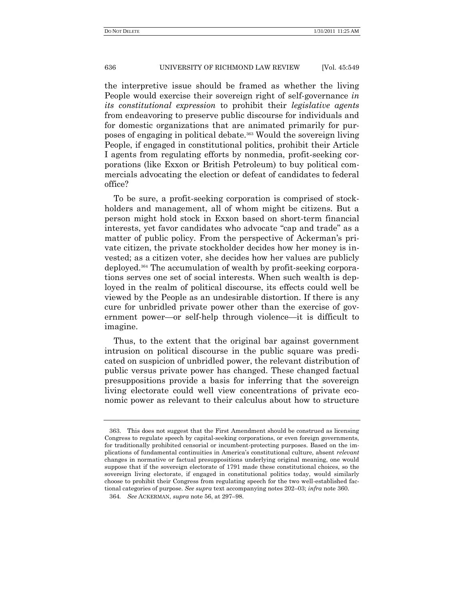the interpretive issue should be framed as whether the living People would exercise their sovereign right of self-governance *in its constitutional expression* to prohibit their *legislative agents* from endeavoring to preserve public discourse for individuals and for domestic organizations that are animated primarily for purposes of engaging in political debate.<sup>363</sup> Would the sovereign living People, if engaged in constitutional politics, prohibit their Article I agents from regulating efforts by nonmedia, profit-seeking corporations (like Exxon or British Petroleum) to buy political commercials advocating the election or defeat of candidates to federal office?

To be sure, a profit-seeking corporation is comprised of stockholders and management, all of whom might be citizens. But a person might hold stock in Exxon based on short-term financial interests, yet favor candidates who advocate "cap and trade" as a matter of public policy. From the perspective of Ackerman's private citizen, the private stockholder decides how her money is invested; as a citizen voter, she decides how her values are publicly deployed.<sup>364</sup> The accumulation of wealth by profit-seeking corporations serves one set of social interests. When such wealth is deployed in the realm of political discourse, its effects could well be viewed by the People as an undesirable distortion. If there is any cure for unbridled private power other than the exercise of government power—or self-help through violence—it is difficult to imagine.

Thus, to the extent that the original bar against government intrusion on political discourse in the public square was predicated on suspicion of unbridled power, the relevant distribution of public versus private power has changed. These changed factual presuppositions provide a basis for inferring that the sovereign living electorate could well view concentrations of private economic power as relevant to their calculus about how to structure

<sup>363.</sup> This does not suggest that the First Amendment should be construed as licensing Congress to regulate speech by capital-seeking corporations, or even foreign governments, for traditionally prohibited censorial or incumbent-protecting purposes. Based on the implications of fundamental continuities in America's constitutional culture, absent *relevant* changes in normative or factual presuppositions underlying original meaning, one would suppose that if the sovereign electorate of 1791 made these constitutional choices, so the sovereign living electorate, if engaged in constitutional politics today, would similarly choose to prohibit their Congress from regulating speech for the two well-established factional categories of purpose. *See supra* text accompanying notes 202–03; *infra* note 360.

<sup>364</sup>*. See* ACKERMAN, *supra* note 56, at 297–98.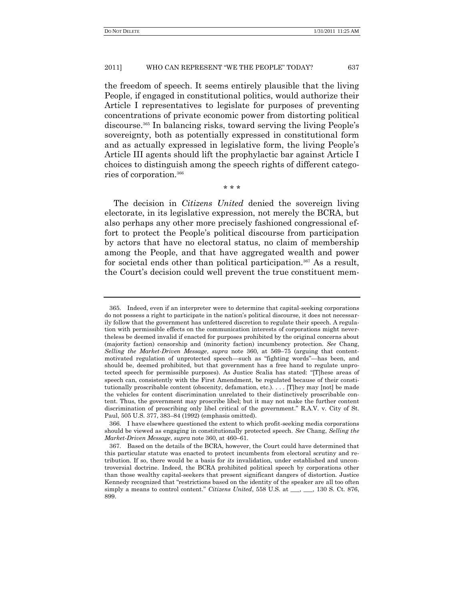the freedom of speech. It seems entirely plausible that the living People, if engaged in constitutional politics, would authorize their Article I representatives to legislate for purposes of preventing concentrations of private economic power from distorting political discourse.<sup>365</sup> In balancing risks, toward serving the living People's sovereignty, both as potentially expressed in constitutional form and as actually expressed in legislative form, the living People's Article III agents should lift the prophylactic bar against Article I choices to distinguish among the speech rights of different categories of corporation. 366

The decision in *Citizens United* denied the sovereign living electorate, in its legislative expression, not merely the BCRA, but also perhaps any other more precisely fashioned congressional effort to protect the People's political discourse from participation by actors that have no electoral status, no claim of membership among the People, and that have aggregated wealth and power for societal ends other than political participation.<sup>367</sup> As a result, the Court's decision could well prevent the true constituent mem-

\* \* \*

<sup>365.</sup> Indeed, even if an interpreter were to determine that capital-seeking corporations do not possess a right to participate in the nation's political discourse, it does not necessarily follow that the government has unfettered discretion to regulate their speech. A regulation with permissible effects on the communication interests of corporations might nevertheless be deemed invalid if enacted for purposes prohibited by the original concerns about (majority faction) censorship and (minority faction) incumbency protection. *See* Chang, *Selling the Market-Driven Message*, *supra* note 360, at 569–75 (arguing that contentmotivated regulation of unprotected speech—such as "fighting words"—has been, and should be, deemed prohibited, but that government has a free hand to regulate unprotected speech for permissible purposes). As Justice Scalia has stated: "[T]hese areas of speech can, consistently with the First Amendment, be regulated because of their constitutionally proscribable content (obscenity, defamation, etc.). . . . [T]hey may [not] be made the vehicles for content discrimination unrelated to their distinctively proscribable content. Thus, the government may proscribe libel; but it may not make the further content discrimination of proscribing only libel critical of the government." R.A.V. v. City of St. Paul, 505 U.S. 377, 383–84 (1992) (emphasis omitted).

<sup>366.</sup> I have elsewhere questioned the extent to which profit-seeking media corporations should be viewed as engaging in constitutionally protected speech. *See* Chang, *Selling the Market-Driven Message*, *supra* note 360, at 460–61.

<sup>367.</sup> Based on the details of the BCRA, however, the Court could have determined that this particular statute was enacted to protect incumbents from electoral scrutiny and retribution. If so, there would be a basis for *its* invalidation, under established and uncontroversial doctrine. Indeed, the BCRA prohibited political speech by corporations other than those wealthy capital-seekers that present significant dangers of distortion. Justice Kennedy recognized that "restrictions based on the identity of the speaker are all too often simply a means to control content." *Citizens United*, 558 U.S. at <u>\_\_</u>, \_\_, 130 S. Ct. 876, 899.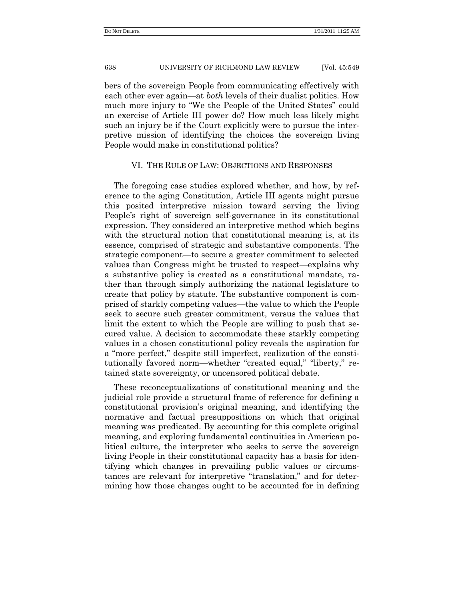bers of the sovereign People from communicating effectively with each other ever again—at *both* levels of their dualist politics. How much more injury to "We the People of the United States" could an exercise of Article III power do? How much less likely might such an injury be if the Court explicitly were to pursue the interpretive mission of identifying the choices the sovereign living People would make in constitutional politics?

# VI. THE RULE OF LAW: OBJECTIONS AND RESPONSES

The foregoing case studies explored whether, and how, by reference to the aging Constitution, Article III agents might pursue this posited interpretive mission toward serving the living People's right of sovereign self-governance in its constitutional expression. They considered an interpretive method which begins with the structural notion that constitutional meaning is, at its essence, comprised of strategic and substantive components. The strategic component—to secure a greater commitment to selected values than Congress might be trusted to respect—explains why a substantive policy is created as a constitutional mandate, rather than through simply authorizing the national legislature to create that policy by statute. The substantive component is comprised of starkly competing values—the value to which the People seek to secure such greater commitment, versus the values that limit the extent to which the People are willing to push that secured value. A decision to accommodate these starkly competing values in a chosen constitutional policy reveals the aspiration for a "more perfect," despite still imperfect, realization of the constitutionally favored norm—whether "created equal," "liberty," retained state sovereignty, or uncensored political debate.

These reconceptualizations of constitutional meaning and the judicial role provide a structural frame of reference for defining a constitutional provision's original meaning, and identifying the normative and factual presuppositions on which that original meaning was predicated. By accounting for this complete original meaning, and exploring fundamental continuities in American political culture, the interpreter who seeks to serve the sovereign living People in their constitutional capacity has a basis for identifying which changes in prevailing public values or circumstances are relevant for interpretive "translation," and for determining how those changes ought to be accounted for in defining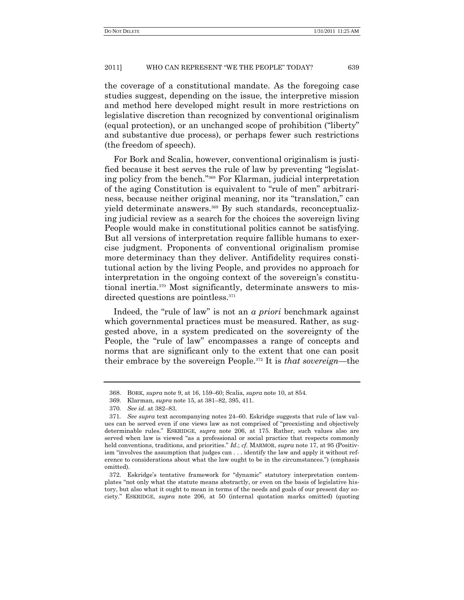the coverage of a constitutional mandate. As the foregoing case studies suggest, depending on the issue, the interpretive mission and method here developed might result in more restrictions on legislative discretion than recognized by conventional originalism (equal protection), or an unchanged scope of prohibition ("liberty" and substantive due process), or perhaps fewer such restrictions (the freedom of speech).

For Bork and Scalia, however, conventional originalism is justified because it best serves the rule of law by preventing "legislating policy from the bench."<sup>368</sup> For Klarman, judicial interpretation of the aging Constitution is equivalent to "rule of men" arbitrariness, because neither original meaning, nor its "translation," can yield determinate answers.<sup>369</sup> By such standards, reconceptualizing judicial review as a search for the choices the sovereign living People would make in constitutional politics cannot be satisfying. But all versions of interpretation require fallible humans to exercise judgment. Proponents of conventional originalism promise more determinacy than they deliver. Antifidelity requires constitutional action by the living People, and provides no approach for interpretation in the ongoing context of the sovereign's constitutional inertia.<sup>370</sup> Most significantly, determinate answers to misdirected questions are pointless.<sup>371</sup>

Indeed, the "rule of law" is not an *a priori* benchmark against which governmental practices must be measured. Rather, as suggested above, in a system predicated on the sovereignty of the People, the "rule of law" encompasses a range of concepts and norms that are significant only to the extent that one can posit their embrace by the sovereign People.<sup>372</sup> It is *that sovereign*—the

<sup>368.</sup> BORK, *supra* note 9, at 16, 159–60; Scalia, *supra* note 10, at 854.

<sup>369.</sup> Klarman, *supra* note 15, at 381–82, 395, 411.

<sup>370</sup>*. See id*. at 382–83.

<sup>371</sup>*. See supra* text accompanying notes 24–60. Eskridge suggests that rule of law values can be served even if one views law as not comprised of "preexisting and objectively determinable rules.‖ ESKRIDGE, *supra* note 206, at 175. Rather, such values also are served when law is viewed "as a professional or social practice that respects commonly held conventions, traditions, and priorities." *Id.*; *cf.* MARMOR, *supra* note 17, at 95 (Positivism "involves the assumption that judges can . . . identify the law and apply it without reference to considerations about what the law ought to be in the circumstances.") (emphasis omitted).

<sup>372.</sup> Eskridge's tentative framework for "dynamic" statutory interpretation contemplates "not only what the statute means abstractly, or even on the basis of legislative history, but also what it ought to mean in terms of the needs and goals of our present day society.‖ ESKRIDGE, *supra* note 206, at 50 (internal quotation marks omitted) (quoting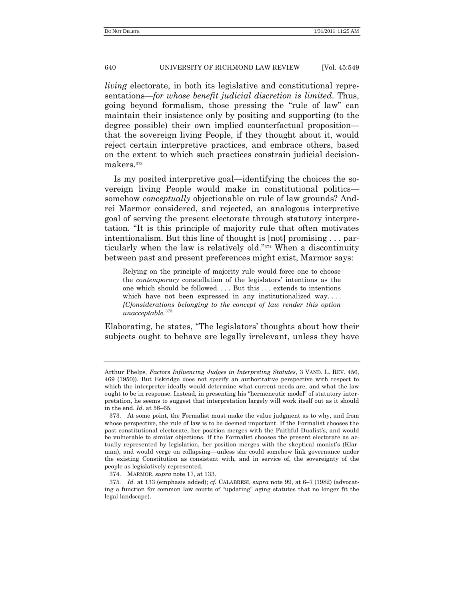*living* electorate, in both its legislative and constitutional representations—*for whose benefit judicial discretion is limited*. Thus, going beyond formalism, those pressing the "rule of law" can maintain their insistence only by positing and supporting (to the degree possible) their own implied counterfactual proposition that the sovereign living People, if they thought about it, would reject certain interpretive practices, and embrace others, based on the extent to which such practices constrain judicial decisionmakers.<sup>373</sup>

Is my posited interpretive goal—identifying the choices the sovereign living People would make in constitutional politics somehow *conceptually* objectionable on rule of law grounds? Andrei Marmor considered, and rejected, an analogous interpretive goal of serving the present electorate through statutory interpretation. ―It is this principle of majority rule that often motivates intentionalism. But this line of thought is [not] promising . . . particularly when the law is relatively old."<sup>374</sup> When a discontinuity between past and present preferences might exist, Marmor says:

Relying on the principle of majority rule would force one to choose the *contemporary* constellation of the legislators' intentions as the one which should be followed. . . . But this . . . extends to intentions which have not been expressed in any institutionalized way.... *[C]onsiderations belonging to the concept of law render this option unacceptable.*<sup>375</sup>

Elaborating, he states, "The legislators' thoughts about how their subjects ought to behave are legally irrelevant, unless they have

Arthur Phelps, *Factors Influencing Judges in Interpreting Statutes*, 3 VAND. L. REV. 456, 469 (1950)). But Eskridge does not specify an authoritative perspective with respect to which the interpreter ideally would determine what current needs are, and what the law ought to be in response. Instead, in presenting his "hermeneutic model" of statutory interpretation, he seems to suggest that interpretation largely will work itself out as it should in the end. *Id*. at 58–65.

<sup>373.</sup> At some point, the Formalist must make the value judgment as to why, and from whose perspective, the rule of law is to be deemed important. If the Formalist chooses the past constitutional electorate, her position merges with the Faithful Dualist's, and would be vulnerable to similar objections. If the Formalist chooses the present electorate as actually represented by legislation, her position merges with the skeptical monist's (Klarman), and would verge on collapsing—unless she could somehow link governance under the existing Constitution as consistent with, and in service of, the sovereignty of the people as legislatively represented.

<sup>374.</sup> MARMOR, *supra* note 17, at 133.

<sup>375</sup>*. Id.* at 133 (emphasis added); *cf.* CALABRESI, *supra* note 99, at 6–7 (1982) (advocating a function for common law courts of "updating" aging statutes that no longer fit the legal landscape).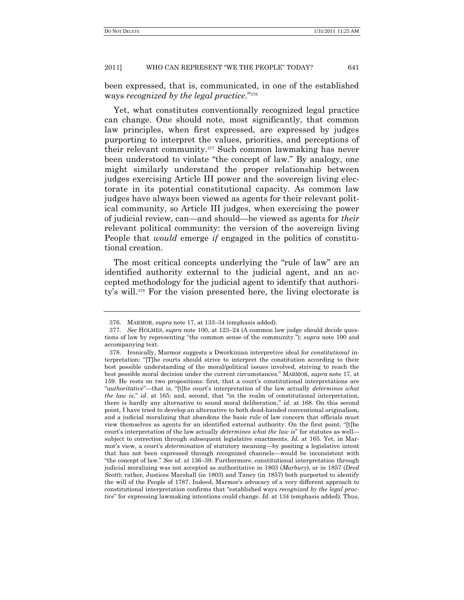been expressed, that is, communicated, in one of the established ways *recognized by the legal practice.*"<sup>376</sup>

Yet, what constitutes conventionally recognized legal practice can change. One should note, most significantly, that common law principles, when first expressed, are expressed by judges purporting to interpret the values, priorities, and perceptions of their relevant community.<sup>377</sup> Such common lawmaking has never been understood to violate "the concept of law." By analogy, one might similarly understand the proper relationship between judges exercising Article III power and the sovereign living electorate in its potential constitutional capacity. As common law judges have always been viewed as agents for their relevant political community, so Article III judges, when exercising the power of judicial review, can—and should—be viewed as agents for *their* relevant political community: the version of the sovereign living People that *would* emerge *if* engaged in the politics of constitutional creation.

The most critical concepts underlying the "rule of law" are an identified authority external to the judicial agent, and an accepted methodology for the judicial agent to identify that authority's will.<sup>378</sup> For the vision presented here, the living electorate is

<sup>376.</sup> MARMOR, *supra* note 17, at 133–34 (emphasis added).

<sup>377</sup>*. See* HOLMES, *supra* note 100, at 123–24 (A common law judge should decide questions of law by representing "the common sense of the community."); *supra* note 100 and accompanying text.

<sup>378.</sup> Ironically, Marmor suggests a Dworkinian interpretive ideal for *constitutional* interpretation: ―[T]he courts should strive to interpret the constitution according to their best possible understanding of the moral/political issues involved, striving to reach the best possible moral decision under the current circumstances.‖ MARMOR, *supra* note 17, at 159. He rests on two propositions: first, that a court's constitutional interpretations are ―*authoritative*‖—that is, ―[t]he court's interpretation of the law actually *determines what the law is,*" *id.* at 165; and, second, that "in the realm of constitutional interpretation, there is hardly any alternative to sound moral deliberation," *id.* at 168. On this second point, I have tried to develop an alternative to both dead-handed conventional originalism, and a judicial moralizing that abandons the basic rule of law concern that officials must view themselves as agents for an identified external authority. On the first point, "[t]he court's interpretation of the law actually *determines what the law is*" for statutes as well subject to correction through subsequent legislative enactments. *Id*. at 165. Yet, in Marmor's view, a court's *determination* of statutory meaning—by positing a legislative intent that has not been expressed through recognized channels—would be inconsistent with ―the concept of law.‖ *See id*. at 136–39. Furthermore, constitutional interpretation through judicial moralizing was not accepted as authoritative in 1803 (*Marbury*), or in 1857 (*Dred Scott*); rather, Justices Marshall (in 1803) and Taney (in 1857) both purported to identify the will of the People of 1787. Indeed, Marmor's advocacy of a very different approach to constitutional interpretation confirms that "established ways *recognized by the legal practice*" for expressing lawmaking intentions could change. *Id.* at 134 (emphasis added). Thus,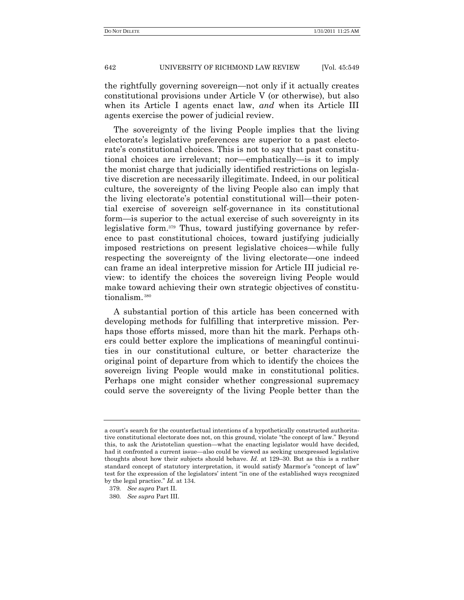the rightfully governing sovereign—not only if it actually creates constitutional provisions under Article V (or otherwise), but also when its Article I agents enact law, *and* when its Article III agents exercise the power of judicial review.

The sovereignty of the living People implies that the living electorate's legislative preferences are superior to a past electorate's constitutional choices. This is not to say that past constitutional choices are irrelevant; nor—emphatically—is it to imply the monist charge that judicially identified restrictions on legislative discretion are necessarily illegitimate. Indeed, in our political culture, the sovereignty of the living People also can imply that the living electorate's potential constitutional will—their potential exercise of sovereign self-governance in its constitutional form—is superior to the actual exercise of such sovereignty in its legislative form.<sup>379</sup> Thus, toward justifying governance by reference to past constitutional choices, toward justifying judicially imposed restrictions on present legislative choices—while fully respecting the sovereignty of the living electorate—one indeed can frame an ideal interpretive mission for Article III judicial review: to identify the choices the sovereign living People would make toward achieving their own strategic objectives of constitutionalism.<sup>380</sup>

A substantial portion of this article has been concerned with developing methods for fulfilling that interpretive mission. Perhaps those efforts missed, more than hit the mark. Perhaps others could better explore the implications of meaningful continuities in our constitutional culture, or better characterize the original point of departure from which to identify the choices the sovereign living People would make in constitutional politics. Perhaps one might consider whether congressional supremacy could serve the sovereignty of the living People better than the

a court's search for the counterfactual intentions of a hypothetically constructed authoritative constitutional electorate does not, on this ground, violate "the concept of law." Beyond this, to ask the Aristotelian question—what the enacting legislator would have decided, had it confronted a current issue—also could be viewed as seeking unexpressed legislative thoughts about how their subjects should behave. *Id*. at 129–30. But as this is a rather standard concept of statutory interpretation, it would satisfy Marmor's "concept of law" test for the expression of the legislators' intent "in one of the established ways recognized by the legal practice.‖ *Id*. at 134.

<sup>379</sup>*. See supra* Part II.

<sup>380</sup>*. See supra* Part III.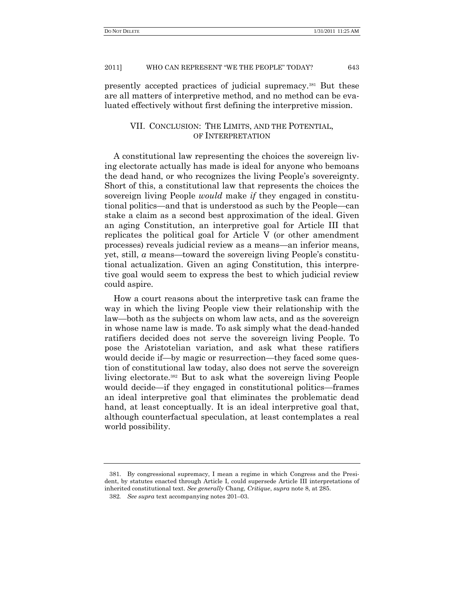presently accepted practices of judicial supremacy.<sup>381</sup> But these are all matters of interpretive method, and no method can be evaluated effectively without first defining the interpretive mission.

# VII. CONCLUSION: THE LIMITS, AND THE POTENTIAL, OF INTERPRETATION

A constitutional law representing the choices the sovereign living electorate actually has made is ideal for anyone who bemoans the dead hand, or who recognizes the living People's sovereignty. Short of this, a constitutional law that represents the choices the sovereign living People *would* make *if* they engaged in constitutional politics—and that is understood as such by the People—can stake a claim as a second best approximation of the ideal. Given an aging Constitution, an interpretive goal for Article III that replicates the political goal for Article V (or other amendment processes) reveals judicial review as a means—an inferior means, yet, still, *a* means—toward the sovereign living People's constitutional actualization. Given an aging Constitution, this interpretive goal would seem to express the best to which judicial review could aspire.

How a court reasons about the interpretive task can frame the way in which the living People view their relationship with the law—both as the subjects on whom law acts, and as the sovereign in whose name law is made. To ask simply what the dead-handed ratifiers decided does not serve the sovereign living People. To pose the Aristotelian variation, and ask what these ratifiers would decide if—by magic or resurrection—they faced some question of constitutional law today, also does not serve the sovereign living electorate.<sup>382</sup> But to ask what the sovereign living People would decide—if they engaged in constitutional politics—frames an ideal interpretive goal that eliminates the problematic dead hand, at least conceptually. It is an ideal interpretive goal that, although counterfactual speculation, at least contemplates a real world possibility.

<sup>381.</sup> By congressional supremacy, I mean a regime in which Congress and the President, by statutes enacted through Article I, could supersede Article III interpretations of inherited constitutional text. *See generally* Chang, *Critique*, *supra* note 8, at 285.

<sup>382</sup>*. See supra* text accompanying notes 201–03.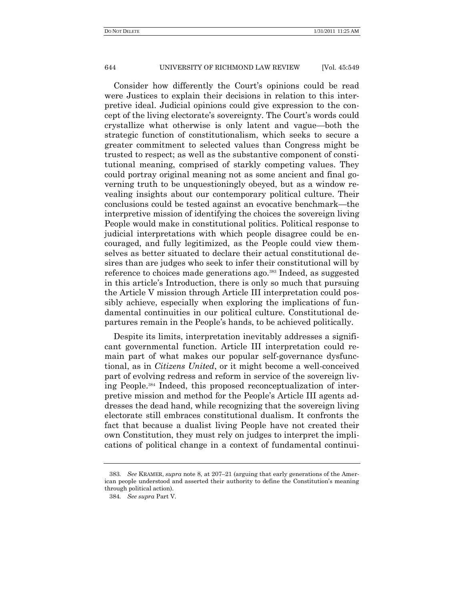Consider how differently the Court's opinions could be read were Justices to explain their decisions in relation to this interpretive ideal. Judicial opinions could give expression to the concept of the living electorate's sovereignty. The Court's words could crystallize what otherwise is only latent and vague—both the strategic function of constitutionalism, which seeks to secure a greater commitment to selected values than Congress might be trusted to respect; as well as the substantive component of constitutional meaning, comprised of starkly competing values. They could portray original meaning not as some ancient and final governing truth to be unquestioningly obeyed, but as a window revealing insights about our contemporary political culture. Their conclusions could be tested against an evocative benchmark—the interpretive mission of identifying the choices the sovereign living People would make in constitutional politics. Political response to judicial interpretations with which people disagree could be encouraged, and fully legitimized, as the People could view themselves as better situated to declare their actual constitutional desires than are judges who seek to infer their constitutional will by reference to choices made generations ago.<sup>383</sup> Indeed, as suggested in this article's Introduction, there is only so much that pursuing the Article V mission through Article III interpretation could possibly achieve, especially when exploring the implications of fundamental continuities in our political culture. Constitutional departures remain in the People's hands, to be achieved politically.

Despite its limits, interpretation inevitably addresses a significant governmental function. Article III interpretation could remain part of what makes our popular self-governance dysfunctional, as in *Citizens United*, or it might become a well-conceived part of evolving redress and reform in service of the sovereign living People.<sup>384</sup> Indeed, this proposed reconceptualization of interpretive mission and method for the People's Article III agents addresses the dead hand, while recognizing that the sovereign living electorate still embraces constitutional dualism. It confronts the fact that because a dualist living People have not created their own Constitution, they must rely on judges to interpret the implications of political change in a context of fundamental continui-

<sup>383</sup>*. See* KRAMER, *supra* note 8, at 207–21 (arguing that early generations of the American people understood and asserted their authority to define the Constitution's meaning through political action).

<sup>384</sup>*. See supra* Part V.